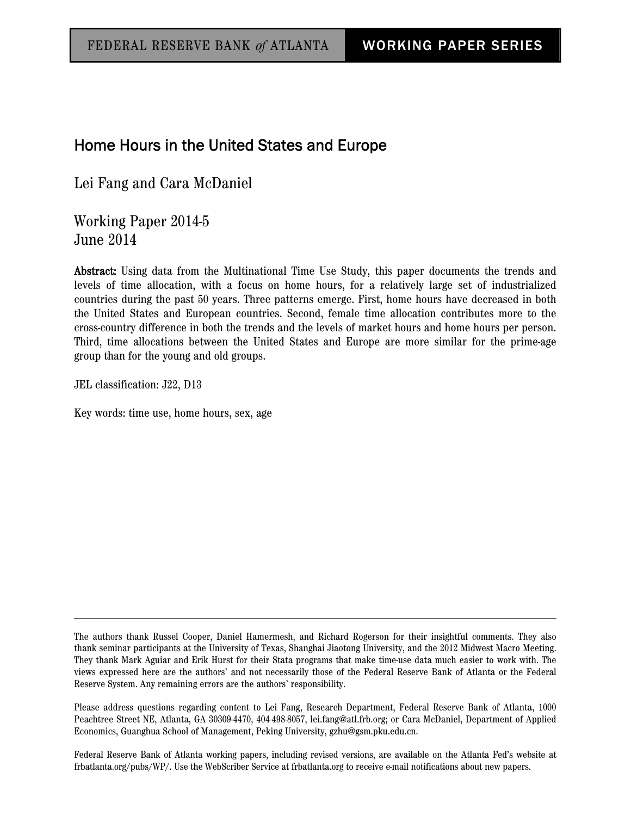# Home Hours in the United States and Europe

Lei Fang and Cara McDaniel

Working Paper 2014-5 June 2014

Abstract: Using data from the Multinational Time Use Study, this paper documents the trends and levels of time allocation, with a focus on home hours, for a relatively large set of industrialized countries during the past 50 years. Three patterns emerge. First, home hours have decreased in both the United States and European countries. Second, female time allocation contributes more to the cross-country difference in both the trends and the levels of market hours and home hours per person. Third, time allocations between the United States and Europe are more similar for the prime-age group than for the young and old groups.

JEL classification: J22, D13

Key words: time use, home hours, sex, age

Federal Reserve Bank of Atlanta working papers, including revised versions, are available on the Atlanta Fed's website at frbatlanta.org/pubs/WP/. Use the WebScriber Service at frbatlanta.org to receive e-mail notifications about new papers.

The authors thank Russel Cooper, Daniel Hamermesh, and Richard Rogerson for their insightful comments. They also thank seminar participants at the University of Texas, Shanghai Jiaotong University, and the 2012 Midwest Macro Meeting. They thank Mark Aguiar and Erik Hurst for their Stata programs that make time-use data much easier to work with. The views expressed here are the authors' and not necessarily those of the Federal Reserve Bank of Atlanta or the Federal Reserve System. Any remaining errors are the authors' responsibility.

Please address questions regarding content to Lei Fang, Research Department, Federal Reserve Bank of Atlanta, 1000 Peachtree Street NE, Atlanta, GA 30309-4470, 404-498-8057, lei.fang@atl.frb.org; or Cara McDaniel, Department of Applied Economics, Guanghua School of Management, Peking University, gzhu@gsm.pku.edu.cn.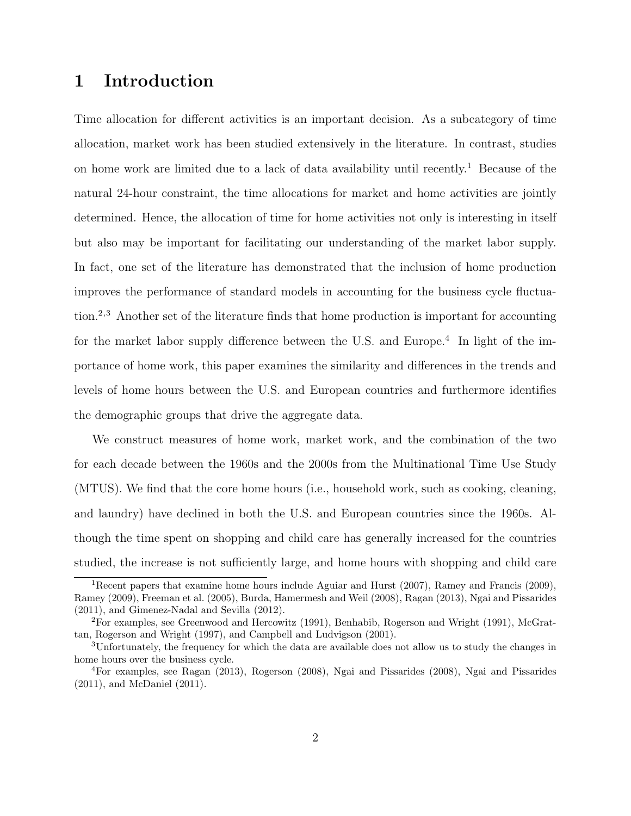# 1 Introduction

Time allocation for different activities is an important decision. As a subcategory of time allocation, market work has been studied extensively in the literature. In contrast, studies on home work are limited due to a lack of data availability until recently.<sup>1</sup> Because of the natural 24-hour constraint, the time allocations for market and home activities are jointly determined. Hence, the allocation of time for home activities not only is interesting in itself but also may be important for facilitating our understanding of the market labor supply. In fact, one set of the literature has demonstrated that the inclusion of home production improves the performance of standard models in accounting for the business cycle fluctuation.2,3 Another set of the literature finds that home production is important for accounting for the market labor supply difference between the U.S. and Europe.<sup>4</sup> In light of the importance of home work, this paper examines the similarity and differences in the trends and levels of home hours between the U.S. and European countries and furthermore identifies the demographic groups that drive the aggregate data.

We construct measures of home work, market work, and the combination of the two for each decade between the 1960s and the 2000s from the Multinational Time Use Study (MTUS). We find that the core home hours (i.e., household work, such as cooking, cleaning, and laundry) have declined in both the U.S. and European countries since the 1960s. Although the time spent on shopping and child care has generally increased for the countries studied, the increase is not sufficiently large, and home hours with shopping and child care

<sup>&</sup>lt;sup>1</sup>Recent papers that examine home hours include Aguiar and Hurst (2007), Ramey and Francis (2009), Ramey (2009), Freeman et al. (2005), Burda, Hamermesh and Weil (2008), Ragan (2013), Ngai and Pissarides (2011), and Gimenez-Nadal and Sevilla (2012).

<sup>2</sup>For examples, see Greenwood and Hercowitz (1991), Benhabib, Rogerson and Wright (1991), McGrattan, Rogerson and Wright (1997), and Campbell and Ludvigson (2001).

<sup>3</sup>Unfortunately, the frequency for which the data are available does not allow us to study the changes in home hours over the business cycle.

<sup>4</sup>For examples, see Ragan (2013), Rogerson (2008), Ngai and Pissarides (2008), Ngai and Pissarides (2011), and McDaniel (2011).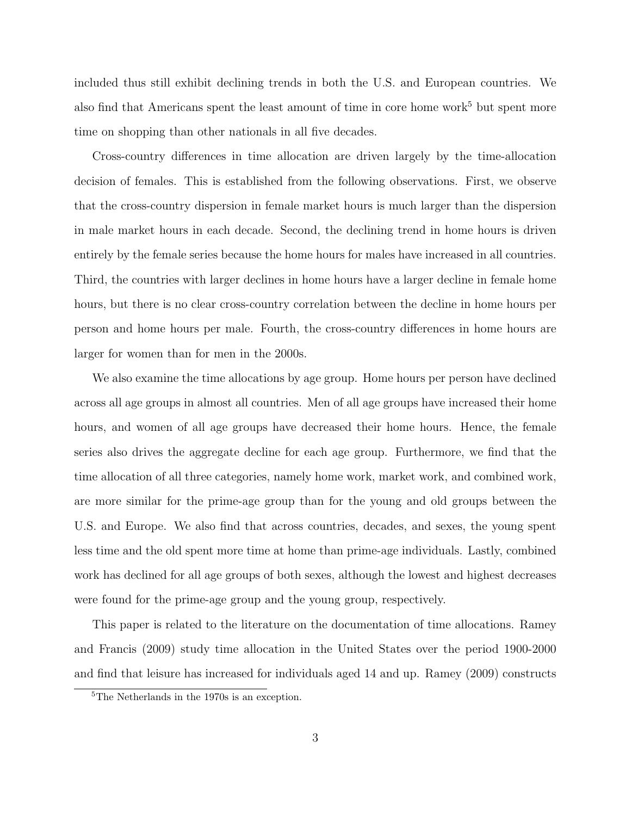included thus still exhibit declining trends in both the U.S. and European countries. We also find that Americans spent the least amount of time in core home work<sup>5</sup> but spent more time on shopping than other nationals in all five decades.

Cross-country differences in time allocation are driven largely by the time-allocation decision of females. This is established from the following observations. First, we observe that the cross-country dispersion in female market hours is much larger than the dispersion in male market hours in each decade. Second, the declining trend in home hours is driven entirely by the female series because the home hours for males have increased in all countries. Third, the countries with larger declines in home hours have a larger decline in female home hours, but there is no clear cross-country correlation between the decline in home hours per person and home hours per male. Fourth, the cross-country differences in home hours are larger for women than for men in the 2000s.

We also examine the time allocations by age group. Home hours per person have declined across all age groups in almost all countries. Men of all age groups have increased their home hours, and women of all age groups have decreased their home hours. Hence, the female series also drives the aggregate decline for each age group. Furthermore, we find that the time allocation of all three categories, namely home work, market work, and combined work, are more similar for the prime-age group than for the young and old groups between the U.S. and Europe. We also find that across countries, decades, and sexes, the young spent less time and the old spent more time at home than prime-age individuals. Lastly, combined work has declined for all age groups of both sexes, although the lowest and highest decreases were found for the prime-age group and the young group, respectively.

This paper is related to the literature on the documentation of time allocations. Ramey and Francis (2009) study time allocation in the United States over the period 1900-2000 and find that leisure has increased for individuals aged 14 and up. Ramey (2009) constructs

<sup>5</sup>The Netherlands in the 1970s is an exception.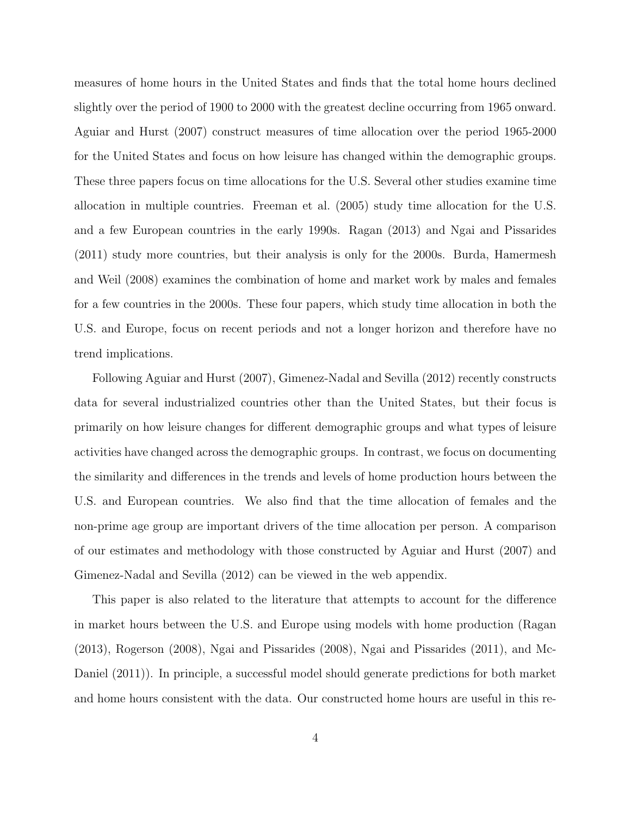measures of home hours in the United States and finds that the total home hours declined slightly over the period of 1900 to 2000 with the greatest decline occurring from 1965 onward. Aguiar and Hurst (2007) construct measures of time allocation over the period 1965-2000 for the United States and focus on how leisure has changed within the demographic groups. These three papers focus on time allocations for the U.S. Several other studies examine time allocation in multiple countries. Freeman et al. (2005) study time allocation for the U.S. and a few European countries in the early 1990s. Ragan (2013) and Ngai and Pissarides (2011) study more countries, but their analysis is only for the 2000s. Burda, Hamermesh and Weil (2008) examines the combination of home and market work by males and females for a few countries in the 2000s. These four papers, which study time allocation in both the U.S. and Europe, focus on recent periods and not a longer horizon and therefore have no trend implications.

Following Aguiar and Hurst (2007), Gimenez-Nadal and Sevilla (2012) recently constructs data for several industrialized countries other than the United States, but their focus is primarily on how leisure changes for different demographic groups and what types of leisure activities have changed across the demographic groups. In contrast, we focus on documenting the similarity and differences in the trends and levels of home production hours between the U.S. and European countries. We also find that the time allocation of females and the non-prime age group are important drivers of the time allocation per person. A comparison of our estimates and methodology with those constructed by Aguiar and Hurst (2007) and Gimenez-Nadal and Sevilla (2012) can be viewed in the web appendix.

This paper is also related to the literature that attempts to account for the difference in market hours between the U.S. and Europe using models with home production (Ragan (2013), Rogerson (2008), Ngai and Pissarides (2008), Ngai and Pissarides (2011), and Mc-Daniel (2011)). In principle, a successful model should generate predictions for both market and home hours consistent with the data. Our constructed home hours are useful in this re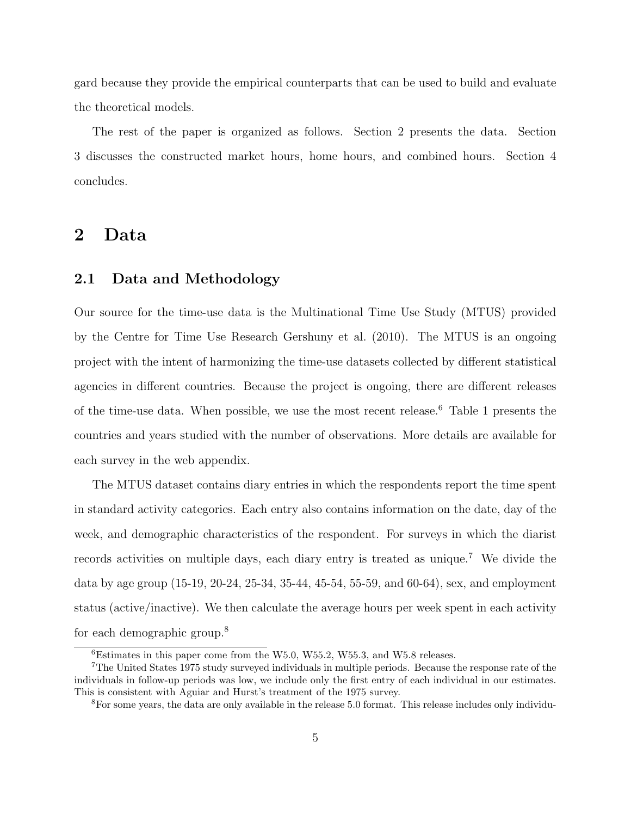gard because they provide the empirical counterparts that can be used to build and evaluate the theoretical models.

The rest of the paper is organized as follows. Section 2 presents the data. Section 3 discusses the constructed market hours, home hours, and combined hours. Section 4 concludes.

# 2 Data

### 2.1 Data and Methodology

Our source for the time-use data is the Multinational Time Use Study (MTUS) provided by the Centre for Time Use Research Gershuny et al. (2010). The MTUS is an ongoing project with the intent of harmonizing the time-use datasets collected by different statistical agencies in different countries. Because the project is ongoing, there are different releases of the time-use data. When possible, we use the most recent release.<sup>6</sup> Table 1 presents the countries and years studied with the number of observations. More details are available for each survey in the web appendix.

The MTUS dataset contains diary entries in which the respondents report the time spent in standard activity categories. Each entry also contains information on the date, day of the week, and demographic characteristics of the respondent. For surveys in which the diarist records activities on multiple days, each diary entry is treated as unique.<sup>7</sup> We divide the data by age group (15-19, 20-24, 25-34, 35-44, 45-54, 55-59, and 60-64), sex, and employment status (active/inactive). We then calculate the average hours per week spent in each activity for each demographic group.<sup>8</sup>

 ${}^{6}$ Estimates in this paper come from the W5.0, W55.2, W55.3, and W5.8 releases.

<sup>7</sup>The United States 1975 study surveyed individuals in multiple periods. Because the response rate of the individuals in follow-up periods was low, we include only the first entry of each individual in our estimates. This is consistent with Aguiar and Hurst's treatment of the 1975 survey.

<sup>8</sup>For some years, the data are only available in the release 5.0 format. This release includes only individu-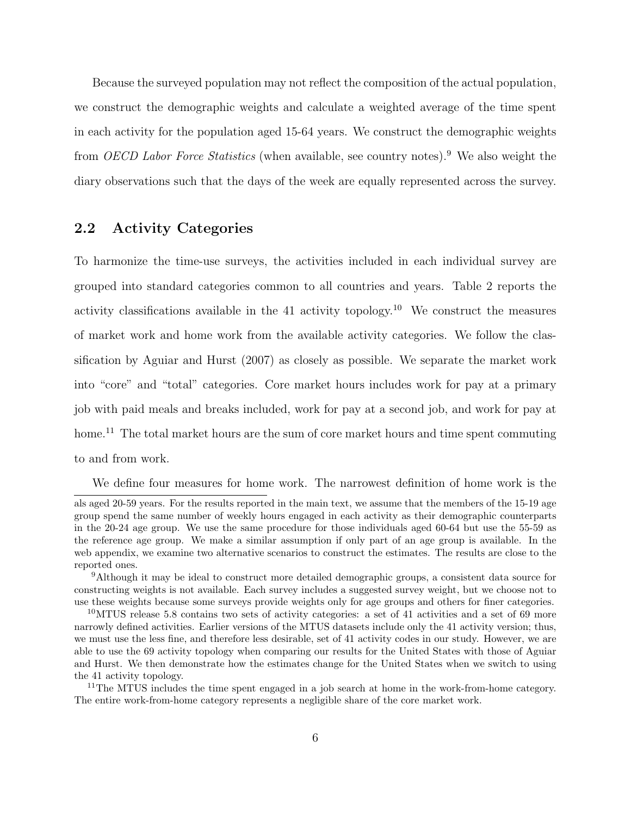Because the surveyed population may not reflect the composition of the actual population, we construct the demographic weights and calculate a weighted average of the time spent in each activity for the population aged 15-64 years. We construct the demographic weights from OECD Labor Force Statistics (when available, see country notes).<sup>9</sup> We also weight the diary observations such that the days of the week are equally represented across the survey.

## 2.2 Activity Categories

To harmonize the time-use surveys, the activities included in each individual survey are grouped into standard categories common to all countries and years. Table 2 reports the activity classifications available in the 41 activity topology.<sup>10</sup> We construct the measures of market work and home work from the available activity categories. We follow the classification by Aguiar and Hurst (2007) as closely as possible. We separate the market work into "core" and "total" categories. Core market hours includes work for pay at a primary job with paid meals and breaks included, work for pay at a second job, and work for pay at home.<sup>11</sup> The total market hours are the sum of core market hours and time spent commuting to and from work.

We define four measures for home work. The narrowest definition of home work is the

als aged 20-59 years. For the results reported in the main text, we assume that the members of the 15-19 age group spend the same number of weekly hours engaged in each activity as their demographic counterparts in the 20-24 age group. We use the same procedure for those individuals aged 60-64 but use the 55-59 as the reference age group. We make a similar assumption if only part of an age group is available. In the web appendix, we examine two alternative scenarios to construct the estimates. The results are close to the reported ones.

<sup>9</sup>Although it may be ideal to construct more detailed demographic groups, a consistent data source for constructing weights is not available. Each survey includes a suggested survey weight, but we choose not to use these weights because some surveys provide weights only for age groups and others for finer categories.

 $10<sup>10</sup>$ MTUS release 5.8 contains two sets of activity categories: a set of 41 activities and a set of 69 more narrowly defined activities. Earlier versions of the MTUS datasets include only the 41 activity version; thus, we must use the less fine, and therefore less desirable, set of 41 activity codes in our study. However, we are able to use the 69 activity topology when comparing our results for the United States with those of Aguiar and Hurst. We then demonstrate how the estimates change for the United States when we switch to using the 41 activity topology.

<sup>&</sup>lt;sup>11</sup>The MTUS includes the time spent engaged in a job search at home in the work-from-home category. The entire work-from-home category represents a negligible share of the core market work.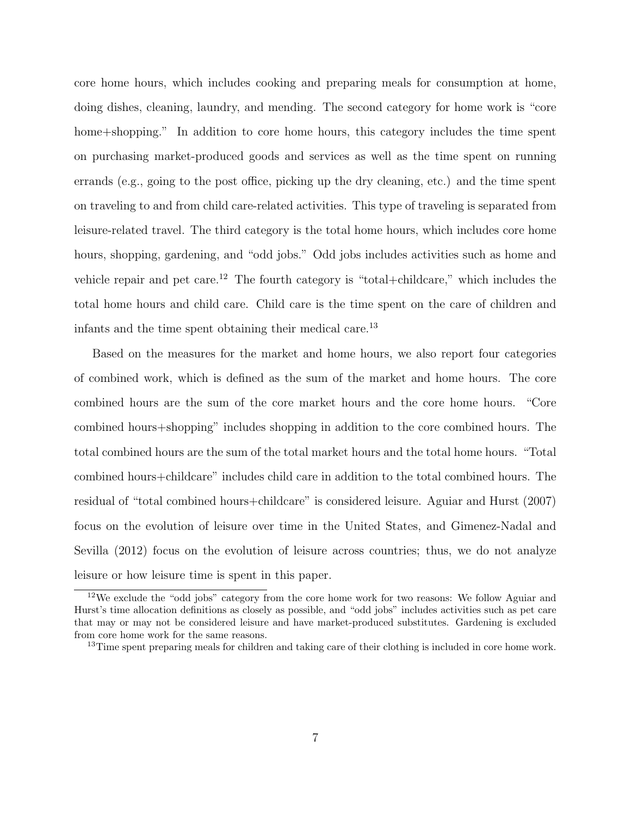core home hours, which includes cooking and preparing meals for consumption at home, doing dishes, cleaning, laundry, and mending. The second category for home work is "core home+shopping." In addition to core home hours, this category includes the time spent on purchasing market-produced goods and services as well as the time spent on running errands (e.g., going to the post office, picking up the dry cleaning, etc.) and the time spent on traveling to and from child care-related activities. This type of traveling is separated from leisure-related travel. The third category is the total home hours, which includes core home hours, shopping, gardening, and "odd jobs." Odd jobs includes activities such as home and vehicle repair and pet care.<sup>12</sup> The fourth category is "total+childcare," which includes the total home hours and child care. Child care is the time spent on the care of children and infants and the time spent obtaining their medical care.<sup>13</sup>

Based on the measures for the market and home hours, we also report four categories of combined work, which is defined as the sum of the market and home hours. The core combined hours are the sum of the core market hours and the core home hours. "Core combined hours+shopping" includes shopping in addition to the core combined hours. The total combined hours are the sum of the total market hours and the total home hours. "Total combined hours+childcare" includes child care in addition to the total combined hours. The residual of "total combined hours+childcare" is considered leisure. Aguiar and Hurst (2007) focus on the evolution of leisure over time in the United States, and Gimenez-Nadal and Sevilla (2012) focus on the evolution of leisure across countries; thus, we do not analyze leisure or how leisure time is spent in this paper.

<sup>&</sup>lt;sup>12</sup>We exclude the "odd jobs" category from the core home work for two reasons: We follow Aguiar and Hurst's time allocation definitions as closely as possible, and "odd jobs" includes activities such as pet care that may or may not be considered leisure and have market-produced substitutes. Gardening is excluded from core home work for the same reasons.

<sup>&</sup>lt;sup>13</sup>Time spent preparing meals for children and taking care of their clothing is included in core home work.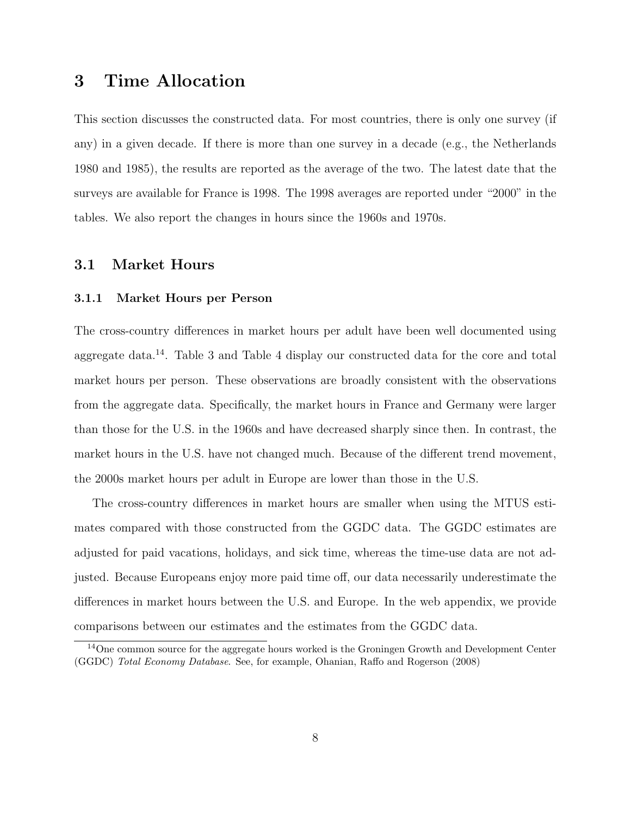# 3 Time Allocation

This section discusses the constructed data. For most countries, there is only one survey (if any) in a given decade. If there is more than one survey in a decade (e.g., the Netherlands 1980 and 1985), the results are reported as the average of the two. The latest date that the surveys are available for France is 1998. The 1998 averages are reported under "2000" in the tables. We also report the changes in hours since the 1960s and 1970s.

### 3.1 Market Hours

#### 3.1.1 Market Hours per Person

The cross-country differences in market hours per adult have been well documented using aggregate data.<sup>14</sup>. Table 3 and Table 4 display our constructed data for the core and total market hours per person. These observations are broadly consistent with the observations from the aggregate data. Specifically, the market hours in France and Germany were larger than those for the U.S. in the 1960s and have decreased sharply since then. In contrast, the market hours in the U.S. have not changed much. Because of the different trend movement, the 2000s market hours per adult in Europe are lower than those in the U.S.

The cross-country differences in market hours are smaller when using the MTUS estimates compared with those constructed from the GGDC data. The GGDC estimates are adjusted for paid vacations, holidays, and sick time, whereas the time-use data are not adjusted. Because Europeans enjoy more paid time off, our data necessarily underestimate the differences in market hours between the U.S. and Europe. In the web appendix, we provide comparisons between our estimates and the estimates from the GGDC data.

<sup>&</sup>lt;sup>14</sup>One common source for the aggregate hours worked is the Groningen Growth and Development Center (GGDC) Total Economy Database. See, for example, Ohanian, Raffo and Rogerson (2008)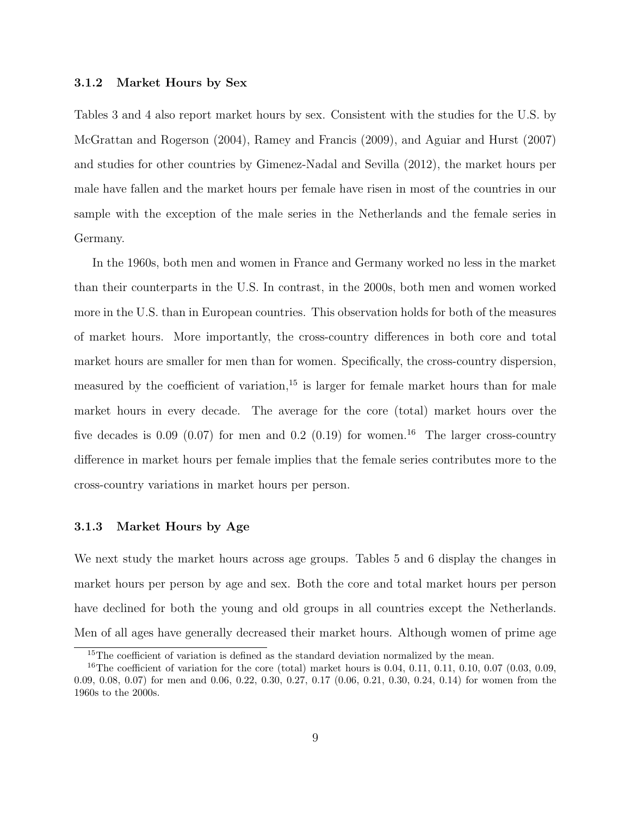#### 3.1.2 Market Hours by Sex

Tables 3 and 4 also report market hours by sex. Consistent with the studies for the U.S. by McGrattan and Rogerson (2004), Ramey and Francis (2009), and Aguiar and Hurst (2007) and studies for other countries by Gimenez-Nadal and Sevilla (2012), the market hours per male have fallen and the market hours per female have risen in most of the countries in our sample with the exception of the male series in the Netherlands and the female series in Germany.

In the 1960s, both men and women in France and Germany worked no less in the market than their counterparts in the U.S. In contrast, in the 2000s, both men and women worked more in the U.S. than in European countries. This observation holds for both of the measures of market hours. More importantly, the cross-country differences in both core and total market hours are smaller for men than for women. Specifically, the cross-country dispersion, measured by the coefficient of variation, $15$  is larger for female market hours than for male market hours in every decade. The average for the core (total) market hours over the five decades is 0.09 (0.07) for men and 0.2 (0.19) for women.<sup>16</sup> The larger cross-country difference in market hours per female implies that the female series contributes more to the cross-country variations in market hours per person.

#### 3.1.3 Market Hours by Age

We next study the market hours across age groups. Tables 5 and 6 display the changes in market hours per person by age and sex. Both the core and total market hours per person have declined for both the young and old groups in all countries except the Netherlands. Men of all ages have generally decreased their market hours. Although women of prime age

<sup>&</sup>lt;sup>15</sup>The coefficient of variation is defined as the standard deviation normalized by the mean.

<sup>&</sup>lt;sup>16</sup>The coefficient of variation for the core (total) market hours is 0.04, 0.11, 0.11, 0.10, 0.07 (0.03, 0.09, 0.09, 0.08, 0.07) for men and 0.06, 0.22, 0.30, 0.27, 0.17 (0.06, 0.21, 0.30, 0.24, 0.14) for women from the 1960s to the 2000s.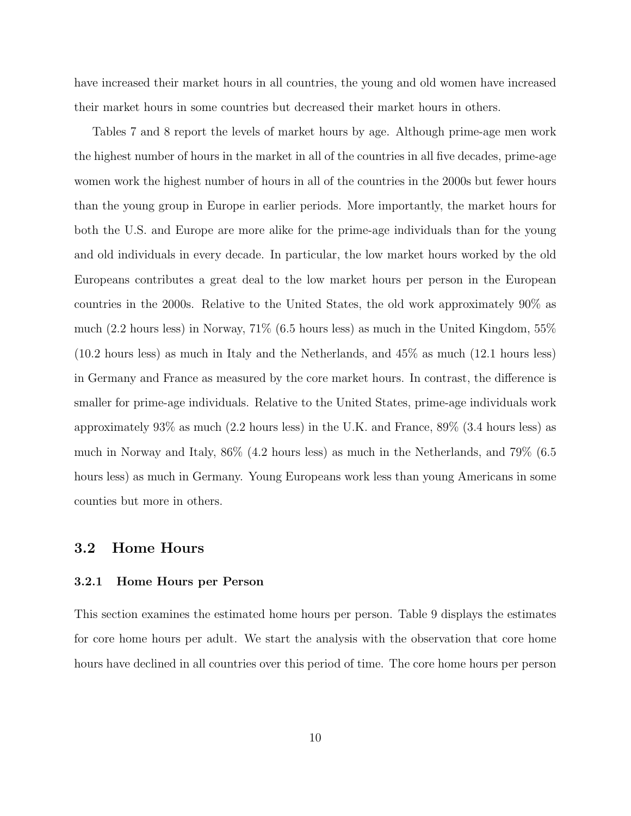have increased their market hours in all countries, the young and old women have increased their market hours in some countries but decreased their market hours in others.

Tables 7 and 8 report the levels of market hours by age. Although prime-age men work the highest number of hours in the market in all of the countries in all five decades, prime-age women work the highest number of hours in all of the countries in the 2000s but fewer hours than the young group in Europe in earlier periods. More importantly, the market hours for both the U.S. and Europe are more alike for the prime-age individuals than for the young and old individuals in every decade. In particular, the low market hours worked by the old Europeans contributes a great deal to the low market hours per person in the European countries in the 2000s. Relative to the United States, the old work approximately 90% as much (2.2 hours less) in Norway, 71% (6.5 hours less) as much in the United Kingdom, 55% (10.2 hours less) as much in Italy and the Netherlands, and 45% as much (12.1 hours less) in Germany and France as measured by the core market hours. In contrast, the difference is smaller for prime-age individuals. Relative to the United States, prime-age individuals work approximately 93% as much (2.2 hours less) in the U.K. and France, 89% (3.4 hours less) as much in Norway and Italy, 86% (4.2 hours less) as much in the Netherlands, and 79% (6.5 hours less) as much in Germany. Young Europeans work less than young Americans in some counties but more in others.

### 3.2 Home Hours

#### 3.2.1 Home Hours per Person

This section examines the estimated home hours per person. Table 9 displays the estimates for core home hours per adult. We start the analysis with the observation that core home hours have declined in all countries over this period of time. The core home hours per person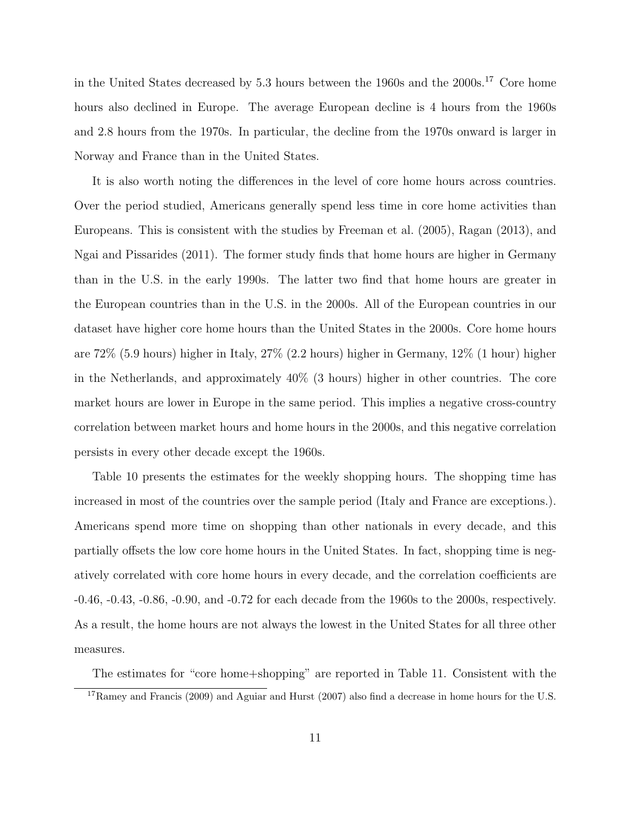in the United States decreased by 5.3 hours between the 1960s and the 2000s.<sup>17</sup> Core home hours also declined in Europe. The average European decline is 4 hours from the 1960s and 2.8 hours from the 1970s. In particular, the decline from the 1970s onward is larger in Norway and France than in the United States.

It is also worth noting the differences in the level of core home hours across countries. Over the period studied, Americans generally spend less time in core home activities than Europeans. This is consistent with the studies by Freeman et al. (2005), Ragan (2013), and Ngai and Pissarides (2011). The former study finds that home hours are higher in Germany than in the U.S. in the early 1990s. The latter two find that home hours are greater in the European countries than in the U.S. in the 2000s. All of the European countries in our dataset have higher core home hours than the United States in the 2000s. Core home hours are 72% (5.9 hours) higher in Italy, 27% (2.2 hours) higher in Germany, 12% (1 hour) higher in the Netherlands, and approximately 40% (3 hours) higher in other countries. The core market hours are lower in Europe in the same period. This implies a negative cross-country correlation between market hours and home hours in the 2000s, and this negative correlation persists in every other decade except the 1960s.

Table 10 presents the estimates for the weekly shopping hours. The shopping time has increased in most of the countries over the sample period (Italy and France are exceptions.). Americans spend more time on shopping than other nationals in every decade, and this partially offsets the low core home hours in the United States. In fact, shopping time is negatively correlated with core home hours in every decade, and the correlation coefficients are -0.46, -0.43, -0.86, -0.90, and -0.72 for each decade from the 1960s to the 2000s, respectively. As a result, the home hours are not always the lowest in the United States for all three other measures.

The estimates for "core home+shopping" are reported in Table 11. Consistent with the

<sup>&</sup>lt;sup>17</sup>Ramey and Francis (2009) and Aguiar and Hurst (2007) also find a decrease in home hours for the U.S.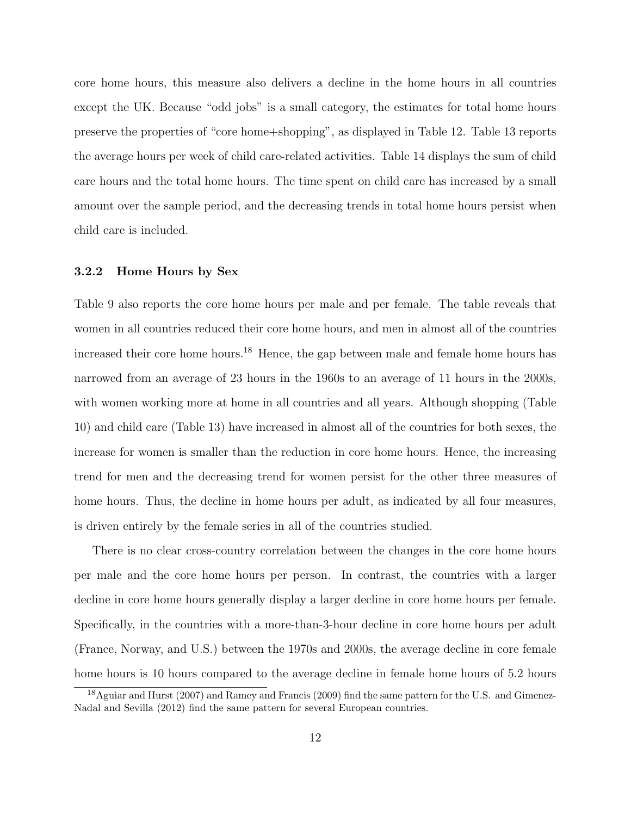core home hours, this measure also delivers a decline in the home hours in all countries except the UK. Because "odd jobs" is a small category, the estimates for total home hours preserve the properties of "core home+shopping", as displayed in Table 12. Table 13 reports the average hours per week of child care-related activities. Table 14 displays the sum of child care hours and the total home hours. The time spent on child care has increased by a small amount over the sample period, and the decreasing trends in total home hours persist when child care is included.

#### 3.2.2 Home Hours by Sex

Table 9 also reports the core home hours per male and per female. The table reveals that women in all countries reduced their core home hours, and men in almost all of the countries increased their core home hours.<sup>18</sup> Hence, the gap between male and female home hours has narrowed from an average of 23 hours in the 1960s to an average of 11 hours in the 2000s, with women working more at home in all countries and all years. Although shopping (Table 10) and child care (Table 13) have increased in almost all of the countries for both sexes, the increase for women is smaller than the reduction in core home hours. Hence, the increasing trend for men and the decreasing trend for women persist for the other three measures of home hours. Thus, the decline in home hours per adult, as indicated by all four measures, is driven entirely by the female series in all of the countries studied.

There is no clear cross-country correlation between the changes in the core home hours per male and the core home hours per person. In contrast, the countries with a larger decline in core home hours generally display a larger decline in core home hours per female. Specifically, in the countries with a more-than-3-hour decline in core home hours per adult (France, Norway, and U.S.) between the 1970s and 2000s, the average decline in core female home hours is 10 hours compared to the average decline in female home hours of 5.2 hours

<sup>18</sup>Aguiar and Hurst (2007) and Ramey and Francis (2009) find the same pattern for the U.S. and Gimenez-Nadal and Sevilla (2012) find the same pattern for several European countries.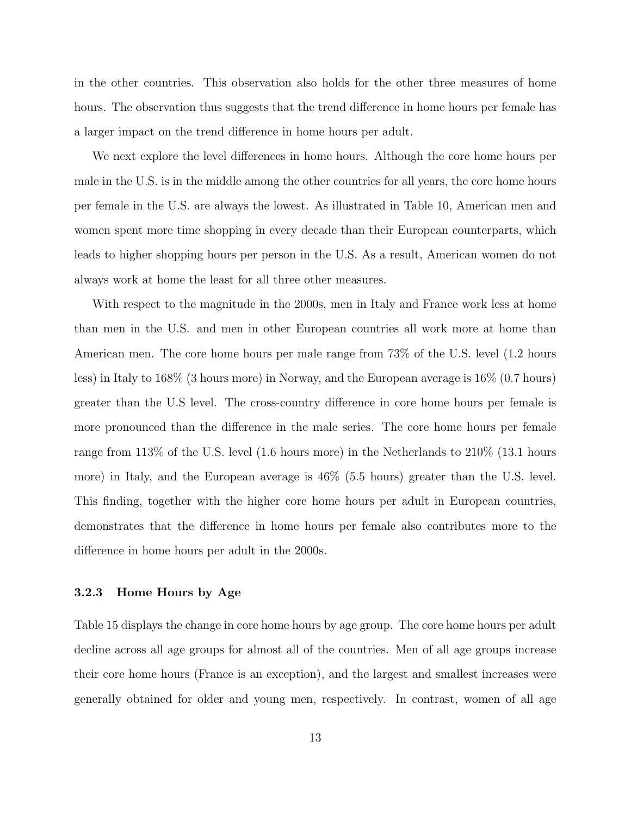in the other countries. This observation also holds for the other three measures of home hours. The observation thus suggests that the trend difference in home hours per female has a larger impact on the trend difference in home hours per adult.

We next explore the level differences in home hours. Although the core home hours per male in the U.S. is in the middle among the other countries for all years, the core home hours per female in the U.S. are always the lowest. As illustrated in Table 10, American men and women spent more time shopping in every decade than their European counterparts, which leads to higher shopping hours per person in the U.S. As a result, American women do not always work at home the least for all three other measures.

With respect to the magnitude in the 2000s, men in Italy and France work less at home than men in the U.S. and men in other European countries all work more at home than American men. The core home hours per male range from 73% of the U.S. level (1.2 hours less) in Italy to 168% (3 hours more) in Norway, and the European average is 16% (0.7 hours) greater than the U.S level. The cross-country difference in core home hours per female is more pronounced than the difference in the male series. The core home hours per female range from 113% of the U.S. level (1.6 hours more) in the Netherlands to 210% (13.1 hours more) in Italy, and the European average is 46% (5.5 hours) greater than the U.S. level. This finding, together with the higher core home hours per adult in European countries, demonstrates that the difference in home hours per female also contributes more to the difference in home hours per adult in the 2000s.

#### 3.2.3 Home Hours by Age

Table 15 displays the change in core home hours by age group. The core home hours per adult decline across all age groups for almost all of the countries. Men of all age groups increase their core home hours (France is an exception), and the largest and smallest increases were generally obtained for older and young men, respectively. In contrast, women of all age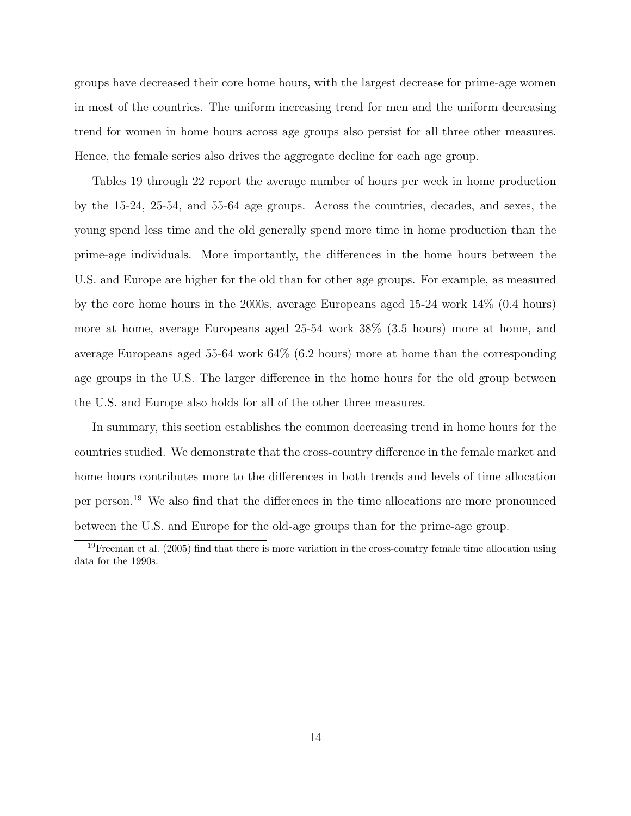groups have decreased their core home hours, with the largest decrease for prime-age women in most of the countries. The uniform increasing trend for men and the uniform decreasing trend for women in home hours across age groups also persist for all three other measures. Hence, the female series also drives the aggregate decline for each age group.

Tables 19 through 22 report the average number of hours per week in home production by the 15-24, 25-54, and 55-64 age groups. Across the countries, decades, and sexes, the young spend less time and the old generally spend more time in home production than the prime-age individuals. More importantly, the differences in the home hours between the U.S. and Europe are higher for the old than for other age groups. For example, as measured by the core home hours in the 2000s, average Europeans aged 15-24 work 14% (0.4 hours) more at home, average Europeans aged 25-54 work 38% (3.5 hours) more at home, and average Europeans aged 55-64 work 64% (6.2 hours) more at home than the corresponding age groups in the U.S. The larger difference in the home hours for the old group between the U.S. and Europe also holds for all of the other three measures.

In summary, this section establishes the common decreasing trend in home hours for the countries studied. We demonstrate that the cross-country difference in the female market and home hours contributes more to the differences in both trends and levels of time allocation per person.<sup>19</sup> We also find that the differences in the time allocations are more pronounced between the U.S. and Europe for the old-age groups than for the prime-age group.

<sup>19</sup>Freeman et al. (2005) find that there is more variation in the cross-country female time allocation using data for the 1990s.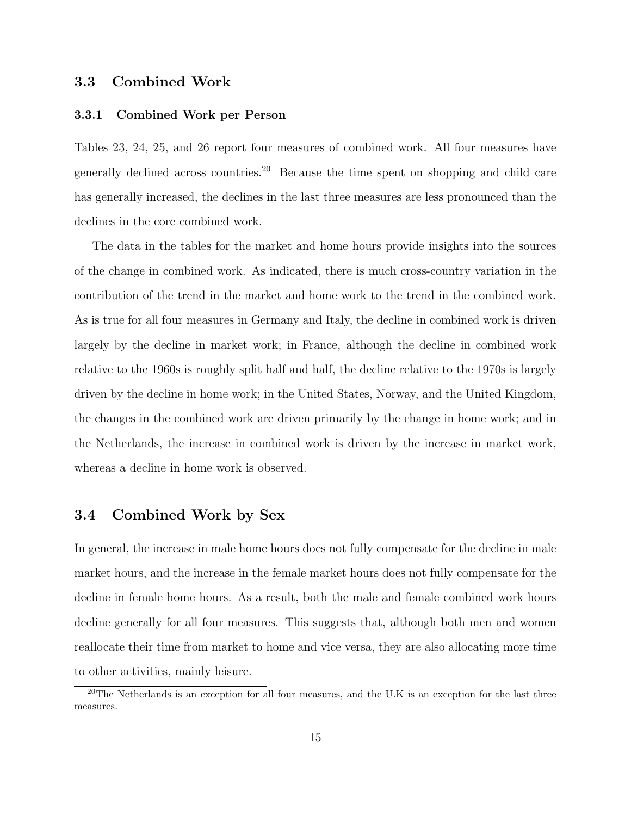### 3.3 Combined Work

#### 3.3.1 Combined Work per Person

Tables 23, 24, 25, and 26 report four measures of combined work. All four measures have generally declined across countries.<sup>20</sup> Because the time spent on shopping and child care has generally increased, the declines in the last three measures are less pronounced than the declines in the core combined work.

The data in the tables for the market and home hours provide insights into the sources of the change in combined work. As indicated, there is much cross-country variation in the contribution of the trend in the market and home work to the trend in the combined work. As is true for all four measures in Germany and Italy, the decline in combined work is driven largely by the decline in market work; in France, although the decline in combined work relative to the 1960s is roughly split half and half, the decline relative to the 1970s is largely driven by the decline in home work; in the United States, Norway, and the United Kingdom, the changes in the combined work are driven primarily by the change in home work; and in the Netherlands, the increase in combined work is driven by the increase in market work, whereas a decline in home work is observed.

### 3.4 Combined Work by Sex

In general, the increase in male home hours does not fully compensate for the decline in male market hours, and the increase in the female market hours does not fully compensate for the decline in female home hours. As a result, both the male and female combined work hours decline generally for all four measures. This suggests that, although both men and women reallocate their time from market to home and vice versa, they are also allocating more time to other activities, mainly leisure.

<sup>&</sup>lt;sup>20</sup>The Netherlands is an exception for all four measures, and the U.K is an exception for the last three measures.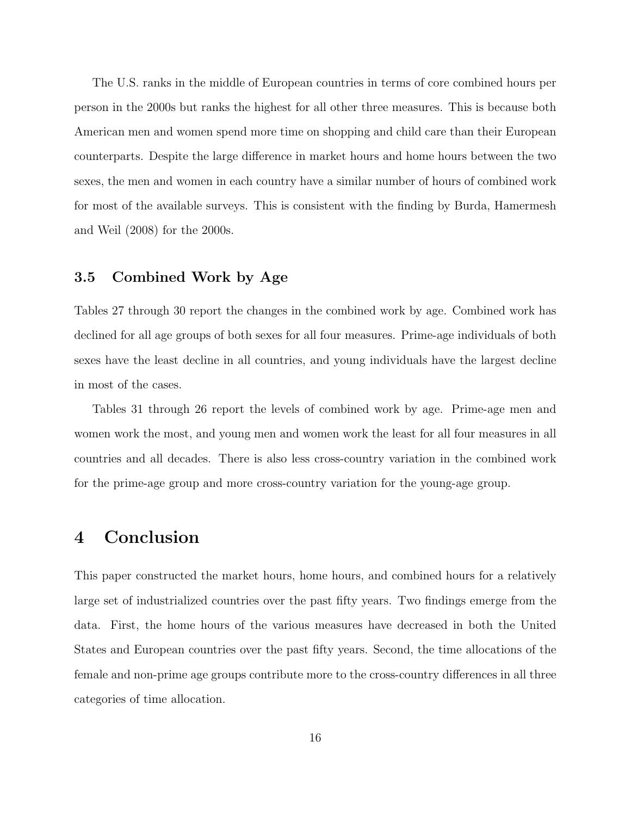The U.S. ranks in the middle of European countries in terms of core combined hours per person in the 2000s but ranks the highest for all other three measures. This is because both American men and women spend more time on shopping and child care than their European counterparts. Despite the large difference in market hours and home hours between the two sexes, the men and women in each country have a similar number of hours of combined work for most of the available surveys. This is consistent with the finding by Burda, Hamermesh and Weil (2008) for the 2000s.

### 3.5 Combined Work by Age

Tables 27 through 30 report the changes in the combined work by age. Combined work has declined for all age groups of both sexes for all four measures. Prime-age individuals of both sexes have the least decline in all countries, and young individuals have the largest decline in most of the cases.

Tables 31 through 26 report the levels of combined work by age. Prime-age men and women work the most, and young men and women work the least for all four measures in all countries and all decades. There is also less cross-country variation in the combined work for the prime-age group and more cross-country variation for the young-age group.

## 4 Conclusion

This paper constructed the market hours, home hours, and combined hours for a relatively large set of industrialized countries over the past fifty years. Two findings emerge from the data. First, the home hours of the various measures have decreased in both the United States and European countries over the past fifty years. Second, the time allocations of the female and non-prime age groups contribute more to the cross-country differences in all three categories of time allocation.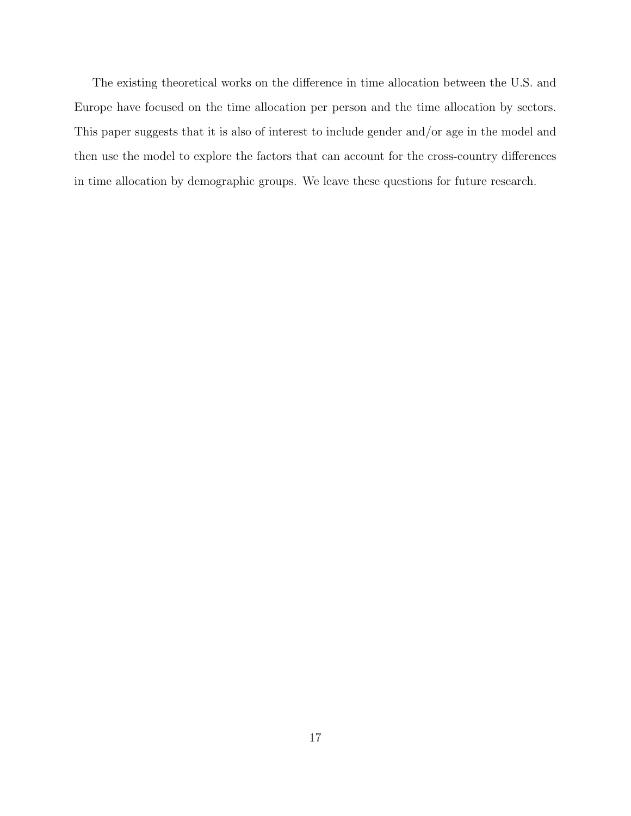The existing theoretical works on the difference in time allocation between the U.S. and Europe have focused on the time allocation per person and the time allocation by sectors. This paper suggests that it is also of interest to include gender and/or age in the model and then use the model to explore the factors that can account for the cross-country differences in time allocation by demographic groups. We leave these questions for future research.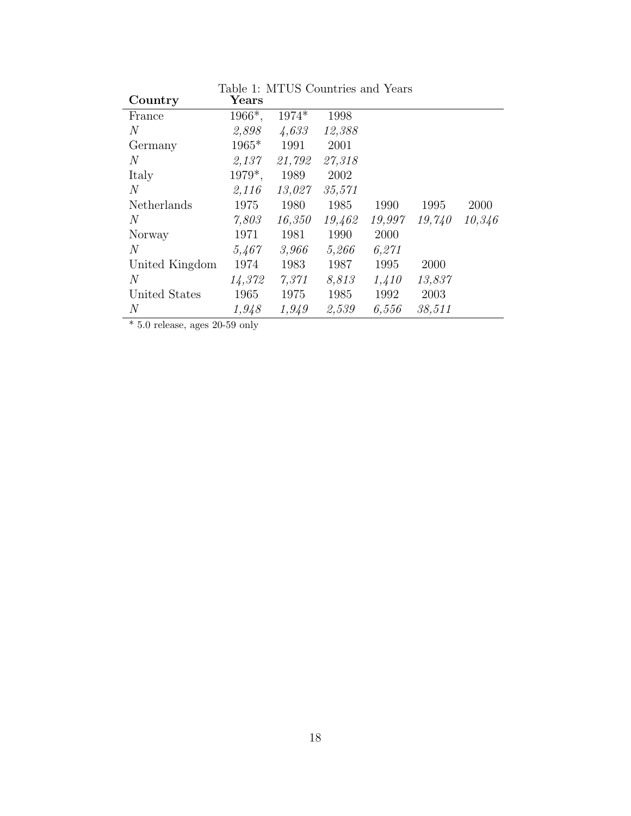| Country        | Years   |        |        |        |        |        |
|----------------|---------|--------|--------|--------|--------|--------|
| France         | 1966*,  | 1974*  | 1998   |        |        |        |
| $\,N$          | 2,898   | 4,633  | 12,388 |        |        |        |
| Germany        | $1965*$ | 1991   | 2001   |        |        |        |
| $\overline{N}$ | 2,137   | 21,792 | 27,318 |        |        |        |
| Italy          | 1979*,  | 1989   | 2002   |        |        |        |
| N              | 2,116   | 13,027 | 35,571 |        |        |        |
| Netherlands    | 1975    | 1980   | 1985   | 1990   | 1995   | 2000   |
| $\overline{N}$ | 7,803   | 16,350 | 19,462 | 19,997 | 19,740 | 10,346 |
| Norway         | 1971    | 1981   | 1990   | 2000   |        |        |
| N              | 5,467   | 3,966  | 5,266  | 6,271  |        |        |
| United Kingdom | 1974    | 1983   | 1987   | 1995   | 2000   |        |
| $\overline{N}$ | 14,372  | 7,371  | 8,813  | 1,410  | 13,837 |        |
| United States  | 1965    | 1975   | 1985   | 1992   | 2003   |        |
| N              | 1,948   | 1,949  | 2,539  | 6,556  | 38,511 |        |

Table 1: MTUS Countries and Years

 $*$  5.0 release, ages 20-59 only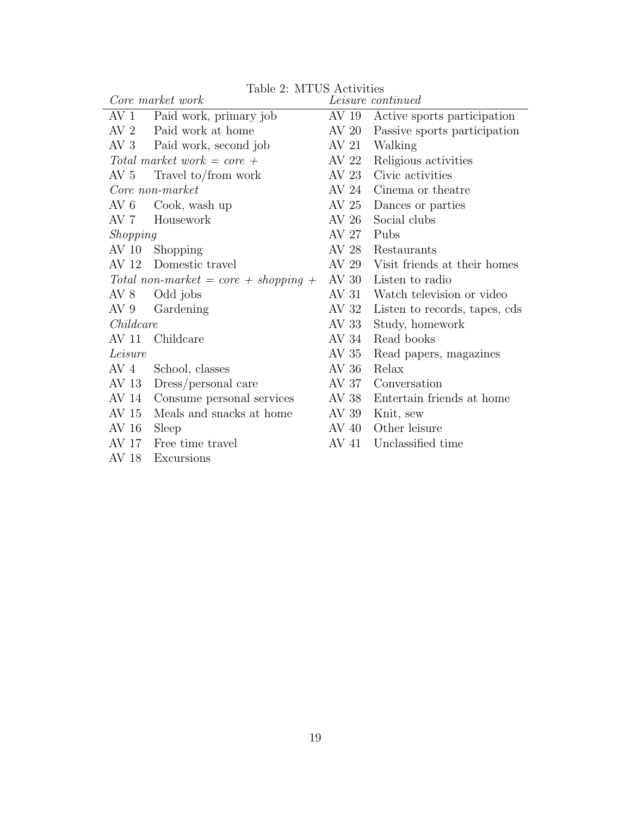|                 | Core market work                       |       | <i>Leisure continued</i>      |
|-----------------|----------------------------------------|-------|-------------------------------|
| AV <sub>1</sub> | Paid work, primary job                 | AV 19 | Active sports participation   |
|                 | AV 2 Paid work at home                 | AV 20 | Passive sports participation  |
|                 | AV 3 Paid work, second job             | AV 21 | Walking                       |
|                 | Total market work $= core +$           | AV 22 | Religious activities          |
| AV 5            | Travel to/from work                    | AV 23 | Civic activities              |
|                 | Core non-market                        | AV 24 | Cinema or theatre             |
| AV 6            | Cook, wash up                          | AV 25 | Dances or parties             |
| AV 7            | Housework                              | AV 26 | Social clubs                  |
| <i>Shopping</i> |                                        | AV 27 | Pubs                          |
|                 | AV 10 Shopping                         | AV 28 | Restaurants                   |
|                 | AV 12 Domestic travel                  | AV 29 | Visit friends at their homes  |
|                 | Total non-market = $core + shopping +$ | AV 30 | Listen to radio               |
| AV 8            | Odd jobs                               | AV 31 | Watch television or video     |
| AV 9            | Gardening                              | AV 32 | Listen to records, tapes, cds |
| Childcare       |                                        | AV 33 | Study, homework               |
| AV 11           | Childcare                              | AV 34 | Read books                    |
| Leisure         |                                        | AV 35 | Read papers, magazines        |
| AV 4            | School, classes                        | AV 36 | Relax                         |
| AV 13           | Dress/personal care                    | AV 37 | Conversation                  |
| AV 14           | Consume personal services              | AV 38 | Entertain friends at home     |
| AV 15           | Meals and snacks at home               | AV 39 | Knit, sew                     |
| AV 16           | Sleep                                  | AV 40 | Other leisure                 |
| AV 17           | Free time travel                       | AV 41 | Unclassified time             |
| AV 18           | Excursions                             |       |                               |

Table 2: MTUS Activities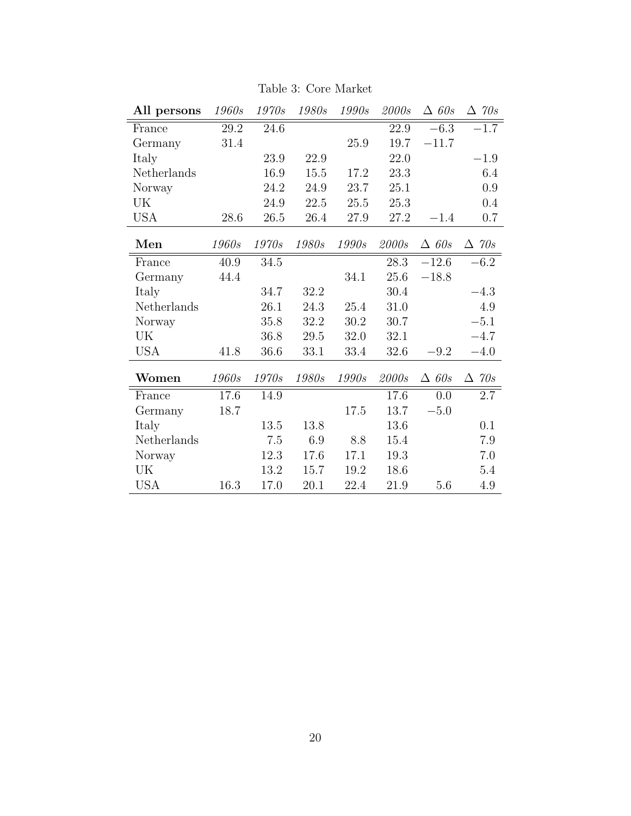| All persons | 1960s | $1970s$  | 1980s | 1990s        | 2000s | $\triangle$ 60s | $\Delta$ 70s    |
|-------------|-------|----------|-------|--------------|-------|-----------------|-----------------|
| France      | 29.2  | 24.6     |       |              | 22.9  | $-6.3$          | $-1.7$          |
| Germany     | 31.4  |          |       | 25.9         | 19.7  | $-11.7$         |                 |
| Italy       |       | 23.9     | 22.9  |              | 22.0  |                 | $-1.9$          |
| Netherlands |       | 16.9     | 15.5  | 17.2         | 23.3  |                 | 6.4             |
| Norway      |       | 24.2     | 24.9  | 23.7         | 25.1  |                 | 0.9             |
| UK          |       | 24.9     | 22.5  | 25.5         | 25.3  |                 | $0.4\,$         |
| <b>USA</b>  | 28.6  | 26.5     | 26.4  | 27.9         | 27.2  | $-1.4$          | 0.7             |
| Men         | 1960s | 1970s    | 1980s | 1990s        | 2000s | $\triangle$ 60s | $\triangle$ 70s |
| France      | 40.9  | 34.5     |       |              | 28.3  | $-12.6$         | $-6.2$          |
| Germany     | 44.4  |          |       | 34.1         | 25.6  | $-18.8$         |                 |
| Italy       |       | 34.7     | 32.2  |              | 30.4  |                 | $-4.3$          |
| Netherlands |       | 26.1     | 24.3  | 25.4         | 31.0  |                 | 4.9             |
| Norway      |       | 35.8     | 32.2  | 30.2         | 30.7  |                 | $-5.1$          |
| UK          |       | 36.8     | 29.5  | 32.0         | 32.1  |                 | $-4.7$          |
| <b>USA</b>  | 41.8  | 36.6     | 33.1  | 33.4         | 32.6  | $-9.2$          | $-4.0$          |
| Women       | 1960s | 1970s    | 1980s | <i>1990s</i> | 2000s | $\triangle$ 60s | $\triangle$ 70s |
| France      | 17.6  | 14.9     |       |              | 17.6  | 0.0             | 2.7             |
| Germany     | 18.7  |          |       | 17.5         | 13.7  | $-5.0$          |                 |
| Italy       |       | $13.5\,$ | 13.8  |              | 13.6  |                 | 0.1             |
| Netherlands |       | 7.5      | 6.9   | 8.8          | 15.4  |                 | 7.9             |
| Norway      |       | 12.3     | 17.6  | 17.1         | 19.3  |                 | 7.0             |
| UK          |       | 13.2     | 15.7  | 19.2         | 18.6  |                 | 5.4             |
| <b>USA</b>  | 16.3  | 17.0     | 20.1  | 22.4         | 21.9  | 5.6             | 4.9             |

Table 3: Core Market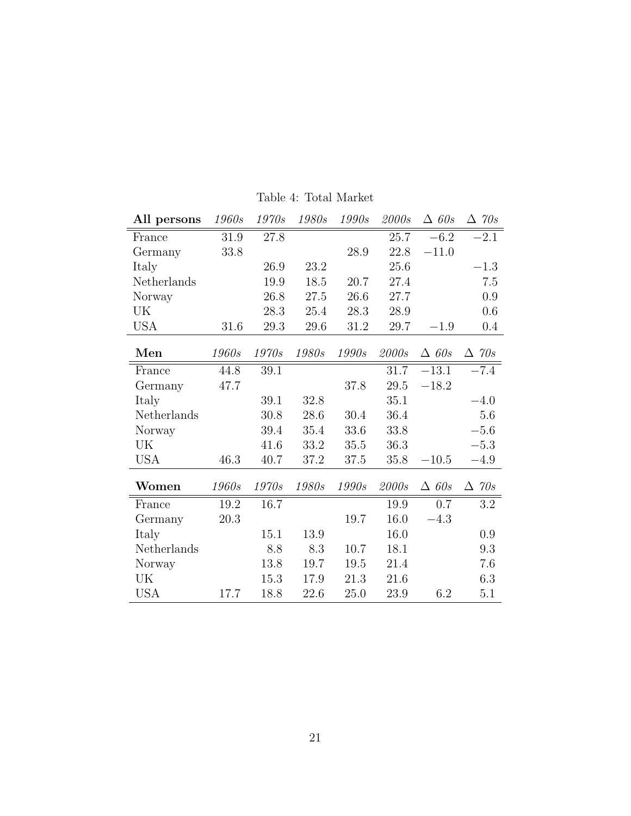| All persons | 1960s | 1970s        | <i>1980s</i> | 1990s | 2000s | $\triangle$ 60s | $\Delta$ 70s    |
|-------------|-------|--------------|--------------|-------|-------|-----------------|-----------------|
| France      | 31.9  | 27.8         |              |       | 25.7  | $-6.2$          | $-2.1$          |
| Germany     | 33.8  |              |              | 28.9  | 22.8  | $-11.0$         |                 |
| Italy       |       | 26.9         | 23.2         |       | 25.6  |                 | $-1.3$          |
| Netherlands |       | 19.9         | 18.5         | 20.7  | 27.4  |                 | 7.5             |
| Norway      |       | 26.8         | 27.5         | 26.6  | 27.7  |                 | 0.9             |
| UK          |       | 28.3         | 25.4         | 28.3  | 28.9  |                 | 0.6             |
| <b>USA</b>  | 31.6  | 29.3         | 29.6         | 31.2  | 29.7  | $-1.9$          | $0.4\,$         |
| Men         | 1960s | <i>1970s</i> | 1980s        | 1990s | 2000s | $\triangle$ 60s | $\Delta$ 70s    |
| France      | 44.8  | 39.1         |              |       | 31.7  | $-13.1$         | $-7.4$          |
| Germany     | 47.7  |              |              | 37.8  | 29.5  | $-18.2$         |                 |
| Italy       |       | 39.1         | 32.8         |       | 35.1  |                 | $-4.0$          |
| Netherlands |       | 30.8         | 28.6         | 30.4  | 36.4  |                 | 5.6             |
| Norway      |       | 39.4         | 35.4         | 33.6  | 33.8  |                 | $-5.6$          |
| UK          |       | 41.6         | 33.2         | 35.5  | 36.3  |                 | $-5.3$          |
| <b>USA</b>  | 46.3  | 40.7         | 37.2         | 37.5  | 35.8  | $-10.5$         | $-4.9$          |
| Women       | 1960s | 1970s        | 1980s        | 1990s | 2000s | $\triangle$ 60s | $\triangle$ 70s |
| France      | 19.2  | 16.7         |              |       | 19.9  | 0.7             | 3.2             |
| Germany     | 20.3  |              |              | 19.7  | 16.0  | $-4.3$          |                 |
| Italy       |       | 15.1         | 13.9         |       | 16.0  |                 | 0.9             |
| Netherlands |       | 8.8          | 8.3          | 10.7  | 18.1  |                 | 9.3             |
| Norway      |       | 13.8         | 19.7         | 19.5  | 21.4  |                 | 7.6             |
| UK          |       | 15.3         | 17.9         | 21.3  | 21.6  |                 | 6.3             |
| <b>USA</b>  | 17.7  | 18.8         | 22.6         | 25.0  | 23.9  | $6.2\,$         | 5.1             |

Table 4: Total Market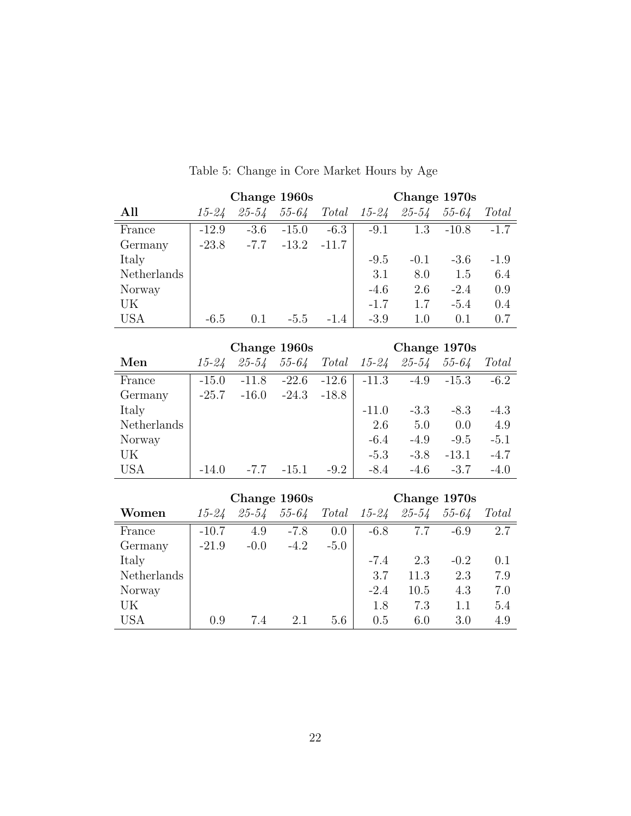|             |           |         | Change 1960s |         | Change 1970s |              |           |              |  |  |  |  |
|-------------|-----------|---------|--------------|---------|--------------|--------------|-----------|--------------|--|--|--|--|
| All         | $15 - 24$ | 25-54   | $55 - 64$    | Total   | $15 - 24$    | $25 - 54$    | $55 - 64$ | <i>Total</i> |  |  |  |  |
| France      | $-12.9$   | $-3.6$  | $-15.0$      | $-6.3$  | $-9.1$       | 1.3          | $-10.8$   | $-1.7$       |  |  |  |  |
| Germany     | $-23.8$   | $-7.7$  | $-13.2$      | $-11.7$ |              |              |           |              |  |  |  |  |
| Italy       |           |         |              |         | $-9.5$       | $-0.1$       | $-3.6$    | $-1.9$       |  |  |  |  |
| Netherlands |           |         |              |         | 3.1          | 8.0          | 1.5       | 6.4          |  |  |  |  |
| Norway      |           |         |              |         | $-4.6$       | 2.6          | $-2.4$    | 0.9          |  |  |  |  |
| UK          |           |         |              |         | $-1.7$       | 1.7          | $-5.4$    | 0.4          |  |  |  |  |
| <b>USA</b>  | $-6.5$    | 0.1     | $-5.5$       | $-1.4$  | $-3.9$       | 1.0          | 0.1       | 0.7          |  |  |  |  |
|             |           |         |              |         |              |              |           |              |  |  |  |  |
|             |           |         | Change 1960s |         |              | Change 1970s |           |              |  |  |  |  |
| Men         | $15 - 24$ | 25-54   | $55 - 64$    | Total   | $15 - 24$    | $25 - 54$    | 55-64     | <b>Total</b> |  |  |  |  |
| France      | $-15.0$   | $-11.8$ | $-22.6$      | $-12.6$ | $-11.3$      | $-4.9$       | $-15.3$   | $-6.2$       |  |  |  |  |

## Table 5: Change in Core Market Hours by Age

|             |         |           | Change 1960s |         | Change 1970s |           |           |        |  |  |  |
|-------------|---------|-----------|--------------|---------|--------------|-----------|-----------|--------|--|--|--|
| Men         | 15-24   | $25 - 54$ | $55 - 64$    | Total   | $15 - 24$    | $25 - 54$ | $55 - 64$ | Total  |  |  |  |
| France      | $-15.0$ | $-11.8$   | $-22.6$      | $-12.6$ | $-11.3$      | $-4.9$    | $-15.3$   | $-6.2$ |  |  |  |
| Germany     | $-25.7$ | $-16.0$   | $-24.3$      | $-18.8$ |              |           |           |        |  |  |  |
| Italy       |         |           |              |         | $-11.0$      | $-3.3$    | $-8.3$    | $-4.3$ |  |  |  |
| Netherlands |         |           |              |         | 2.6          | 5.0       | 0.0       | 4.9    |  |  |  |
| Norway      |         |           |              |         | $-6.4$       | $-4.9$    | $-9.5$    | $-5.1$ |  |  |  |
| UK          |         |           |              |         | $-5.3$       | $-3.8$    | $-13.1$   | $-4.7$ |  |  |  |
| <b>USA</b>  | $-14.0$ | $-7.7$    | $-15.1$      | $-9.2$  | $-8.4$       | $-4.6$    | $-3.7$    | $-4.0$ |  |  |  |

|             |           |           | Change 1960s |        | Change 1970s |           |        |     |  |  |  |  |  |
|-------------|-----------|-----------|--------------|--------|--------------|-----------|--------|-----|--|--|--|--|--|
| Women       | $15 - 24$ | $25 - 54$ | $55 - 64$    | Total  | $15 - 24$    | $55 - 64$ | Total  |     |  |  |  |  |  |
| France      | $-10.7$   | 4.9       | $-7.8$       | 0.0    | $-6.8$       | 7.7       | $-6.9$ | 2.7 |  |  |  |  |  |
| Germany     | $-21.9$   | $-0.0$    | $-4.2$       | $-5.0$ |              |           |        |     |  |  |  |  |  |
| Italy       |           |           |              |        | $-7.4$       | 2.3       | $-0.2$ | 0.1 |  |  |  |  |  |
| Netherlands |           |           |              |        | 3.7          | 11.3      | 2.3    | 7.9 |  |  |  |  |  |
| Norway      |           |           |              |        | $-2.4$       | 10.5      | 4.3    | 7.0 |  |  |  |  |  |
| UK          |           |           |              |        | 1.8          | 7.3       | 1.1    | 5.4 |  |  |  |  |  |
| <b>USA</b>  | 0.9       | 7.4       | 2.1          | 5.6    | 0.5          | 6.0       | 3.0    | 4.9 |  |  |  |  |  |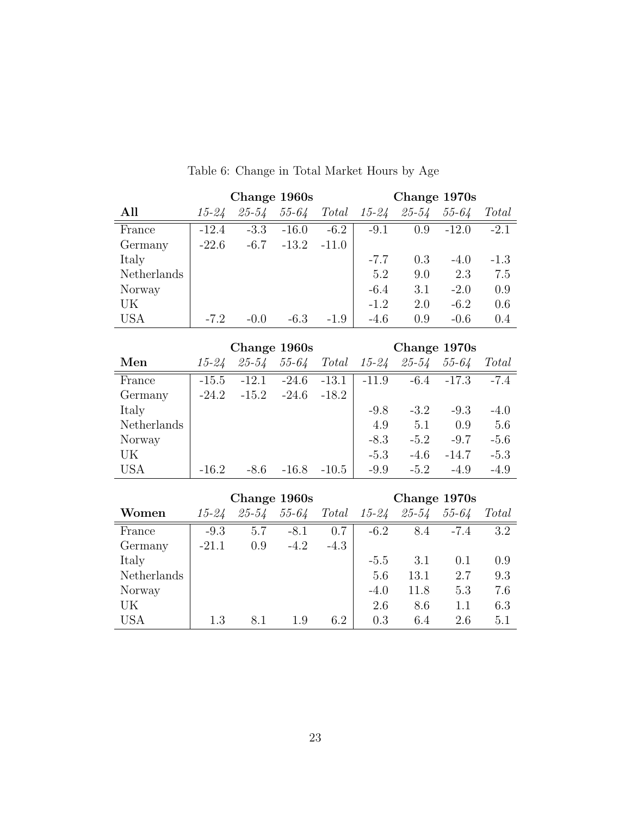|             |           |           | Change 1960s |         | Change 1970s |           |              |        |  |  |  |  |
|-------------|-----------|-----------|--------------|---------|--------------|-----------|--------------|--------|--|--|--|--|
| All         | $15 - 24$ | 25-54     | $55 - 64$    | Total   | $15 - 24$    | 25-54     | $55 - 64$    | Total  |  |  |  |  |
| France      | $-12.4$   | $-3.3$    | $-16.0$      | $-6.2$  | $-9.1$       | 0.9       | $-12.0$      | $-2.1$ |  |  |  |  |
| Germany     | $-22.6$   | $-6.7$    | $-13.2$      | $-11.0$ |              |           |              |        |  |  |  |  |
| Italy       |           |           |              |         | $-7.7$       | 0.3       | $-4.0$       | $-1.3$ |  |  |  |  |
| Netherlands |           |           |              |         | 5.2          | 9.0       | 2.3          | 7.5    |  |  |  |  |
| Norway      |           |           |              |         | $-6.4$       | 3.1       | $-2.0$       | 0.9    |  |  |  |  |
| UK          |           |           |              |         | $-1.2$       | 2.0       | $-6.2$       | 0.6    |  |  |  |  |
| <b>USA</b>  | $-7.2$    | $-0.0$    | $-6.3$       | $-1.9$  | $-4.6$       | 0.9       | $-0.6$       | 0.4    |  |  |  |  |
|             |           |           |              |         |              |           |              |        |  |  |  |  |
|             |           |           | Change 1960s |         |              |           | Change 1970s |        |  |  |  |  |
| Men         | 15-24     | $25 - 54$ | $55 - 64$    | Total   | 15-24        | $25 - 54$ | $55 - 64$    | Total  |  |  |  |  |
| France      | $-15.5$   | $-12.1$   | $-24.6$      | $-13.1$ | $-11.9$      | $-6.4$    | $-17.3$      | $-7.4$ |  |  |  |  |

## Table 6: Change in Total Market Hours by Age

|             |           | Change 1960s |           |         | Change 1970s |           |           |        |  |  |  |
|-------------|-----------|--------------|-----------|---------|--------------|-----------|-----------|--------|--|--|--|
| Men         | $15 - 24$ | $25 - 54$    | $55 - 64$ | Total   | $15 - 24$    | $25 - 54$ | $55 - 64$ | Total  |  |  |  |
| France      | $-15.5$   | $-12.1$      | $-24.6$   | $-13.1$ | $-11.9$      | $-6.4$    | $-17.3$   | $-7.4$ |  |  |  |
| Germany     | $-24.2$   | $-15.2$      | $-24.6$   | $-18.2$ |              |           |           |        |  |  |  |
| Italy       |           |              |           |         | $-9.8$       | $-3.2$    | $-9.3$    | $-4.0$ |  |  |  |
| Netherlands |           |              |           |         | 4.9          | 5.1       | 0.9       | 5.6    |  |  |  |
| Norway      |           |              |           |         | $-8.3$       | $-5.2$    | $-9.7$    | $-5.6$ |  |  |  |
| UK          |           |              |           |         | $-5.3$       | $-4.6$    | $-14.7$   | $-5.3$ |  |  |  |
| <b>USA</b>  | $-16.2$   | -8.6         | $-16.8$   | $-10.5$ | $-9.9$       | $-5.2$    | $-4.9$    | $-4.9$ |  |  |  |

|             |         |           | Change 1960s |        | Change 1970s |           |           |       |  |  |  |  |  |
|-------------|---------|-----------|--------------|--------|--------------|-----------|-----------|-------|--|--|--|--|--|
| Women       | 15-24   | $25 - 54$ | $55 - 64$    | Total  | $15 - 24$    | $25 - 54$ | $55 - 64$ | Total |  |  |  |  |  |
| France      | $-9.3$  | 5.7       | $-8.1$       | 0.7    | $-6.2$       | 8.4       | $-7.4$    | 3.2   |  |  |  |  |  |
| Germany     | $-21.1$ | 0.9       | $-4.2$       | $-4.3$ |              |           |           |       |  |  |  |  |  |
| Italy       |         |           |              |        | $-5.5$       | 3.1       | 0.1       | 0.9   |  |  |  |  |  |
| Netherlands |         |           |              |        | 5.6          | 13.1      | 2.7       | 9.3   |  |  |  |  |  |
| Norway      |         |           |              |        | $-4.0$       | 11.8      | 5.3       | 7.6   |  |  |  |  |  |
| UK          |         |           |              |        | 2.6          | 8.6       | 1.1       | 6.3   |  |  |  |  |  |
| USA         | 1.3     | 8.1       | 1.9          | 6.2    | 0.3          | 6.4       | 2.6       | 5.1   |  |  |  |  |  |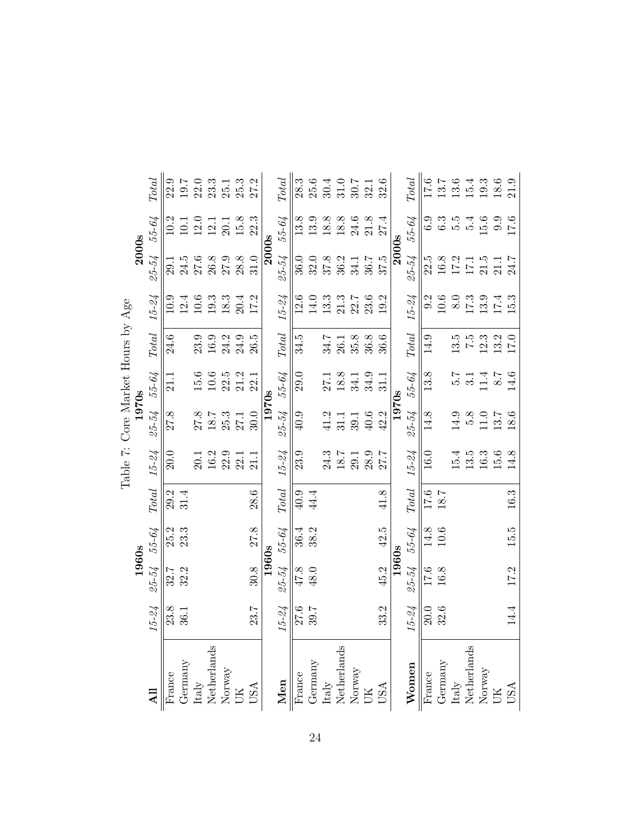|                                   |              | <b>Total</b>           | 22.9    | 19.7    |      | $22.0$<br>$23.3$<br>$25.1$            |          | 25.3 | 27.2                                                                            |              | <b>Total</b>           | $28.3\,$          | 25.6 | 30.4                                  | 31.0 | 30.7                                                    | 32.1 | 32.6       |       | <b>Total</b>             | 17.6              | 13.7     | 13.6                                  | 15.4             | 19.3                                                                    | 18.6 | 21.9 |
|-----------------------------------|--------------|------------------------|---------|---------|------|---------------------------------------|----------|------|---------------------------------------------------------------------------------|--------------|------------------------|-------------------|------|---------------------------------------|------|---------------------------------------------------------|------|------------|-------|--------------------------|-------------------|----------|---------------------------------------|------------------|-------------------------------------------------------------------------|------|------|
|                                   |              | 55-64                  | 10.2    | 10.1    | 12.0 | 12.1                                  | 20.1     | 15.8 | 22.3                                                                            |              | 55-64                  | 13.8              | 13.9 | 18.8                                  | 18.8 | 24.6                                                    | 21.8 | 27.4       |       | 55-64                    | 6.9               | 6.3      | 5.5                                   | $\ddot{5}$       | 15.6                                                                    | 0.9  | 17.6 |
|                                   | <b>2000s</b> | 25-54                  | ر<br>29 | 24.5    | 27.6 | 26.8                                  | $27.9\,$ | 28.8 | 31.0                                                                            | <b>2000s</b> | 25-54                  | 36.0              | 32.0 | 37.8                                  | 36.2 | 34.1                                                    | 36.7 | 37.5       | 2000s | $25 - 54$                | 22.5              | 16.8     | 17.2                                  | 171              | 21.5                                                                    | 21.1 | 24.7 |
|                                   |              | $15 - 24$              | 10.9    | 12.4    | 10.6 | $19.3\,$                              | $18.3\,$ | 20.4 | 17.2                                                                            |              | $15 - 24$              | 12.6              | 14.0 | 13.3                                  | 21.3 | 22.7                                                    | 23.6 | 19.2       |       | $15 - 24$                | 9.2               | 10.6     | $\overline{8.0}$                      | 17.3             | 13.9                                                                    | 17.4 | 15.3 |
|                                   |              | $\operatorname{Total}$ | 24.6    |         | 23.9 | 16.9                                  | 24.2     | 24.9 | 26.5                                                                            |              | $\operatorname{Total}$ | 34.5              |      | 34.7                                  | 26.1 | 35.8                                                    | 36.8 | 36.6       |       | $\label{eq:total} Total$ | 14.9              |          | 13.5                                  | $\frac{5}{2}$    | 12.3                                                                    | 13.2 | 17.0 |
|                                   |              | 55-64                  | 21.1    |         | 15.6 | $10.6\,$                              | 22.5     | 21.2 | 22.1                                                                            |              | 55-64                  | 29.0              |      | 27.1                                  | 18.8 | 34.1                                                    | 34.9 | 31.1       |       | 55-64                    | 13.8              |          | 2.G                                   | $\overline{3.1}$ | 11.4                                                                    | 2.8  | 14.6 |
|                                   | 1970s        | 25-54                  | 27.8    |         | 27.8 | 18.7                                  | 25.3     | 27.1 | 30.0                                                                            | 1970s        | 25-54                  | 40.9              |      | 41.2                                  | 31.1 | 39.1                                                    | 40.6 | 42.2       | 1970s | 25-54                    | 14.8              |          | 14.9                                  | 5.8              | 11.0                                                                    | 13.7 | 18.6 |
| Table 7: Core Market Hours by Age |              | $15 - 24$              | 20.0    |         | 20.1 | $16.2\,$                              | 22.9     | 22.1 | 21.1                                                                            |              | $15 - 24$              | 23.9              |      | 24.3                                  | 18.7 | 29.1                                                    | 28.9 | 27.7       |       | $15 - 24$                | 16.0              |          | 15.4                                  | 13.5             | 16.3                                                                    | 15.6 | 14.8 |
|                                   |              | Total                  | 29.2    | 31.4    |      |                                       |          |      | 28.6                                                                            |              | <b>Total</b>           | $40.9$            | 44.4 |                                       |      |                                                         |      | 41.8       |       | $\operatorname{Total}$   | $\overline{17.6}$ | 18.7     |                                       |                  |                                                                         |      | 16.3 |
|                                   |              | 55-64                  | 25.2    | 23.3    |      |                                       |          |      | 27.8                                                                            |              | 55-64                  | 36.4              | 38.2 |                                       |      |                                                         |      | 42.5       |       | 55-64                    | 14.8              | $10.6\,$ |                                       |                  |                                                                         |      | 15.5 |
|                                   | 1960s        | $25 - 54$              | 32.7    | 32.2    |      |                                       |          |      | 30.8                                                                            | 1960s        | 25-54                  | 47.8              | 48.0 |                                       |      |                                                         |      | 45.2       | 1960s | 25-54                    | 17.6              | 16.8     |                                       |                  |                                                                         |      | 17.2 |
|                                   |              | $15 - 24$              | 23.8    | 36.1    |      |                                       |          |      | 23.7                                                                            |              | $15 - 24$              | 27.6              | 39.7 |                                       |      |                                                         |      | 33.2       |       | $15 - 24$                | 20.0              | 32.6     |                                       |                  |                                                                         |      | 14.4 |
|                                   |              |                        | France  | Germany |      | ${\rm Italy} \atop {\rm Netherlands}$ |          |      | $\begin{array}{lcl} & \text{Normay} \\ & \text{UK} \\ & \text{USA} \end{array}$ |              | Men                    | France<br>Germany |      | ${\rm Italy} \atop {\rm Netherlands}$ |      | $\begin{array}{l} {\rm Norway} \\ {\rm UK} \end{array}$ |      | <b>USA</b> |       | Women                    | France            | Germany  | ${\rm Italy} \atop {\rm Netherlands}$ |                  | $\begin{array}{lcl} & & \\ \text{Moway} & \\ & \text{UK} & \end{array}$ |      | USA  |

| Age<br>$\sum_{i=1}^{n}$<br>l<br>Hours<br>larket<br>֧֦֧֦֦֦֧֦֦֦֦֦֦֦֧֚֝֝֝֝֝֝֬֝֝֓֬֝֓֓֝֬<br>֧֖֧֧֚֚֝֬֝֓֝֓<br>O۲A<br>)<br>5<br>ζ | 1070 <sub>1</sub> |
|---------------------------------------------------------------------------------------------------------------------------|-------------------|
|                                                                                                                           |                   |
| Table                                                                                                                     |                   |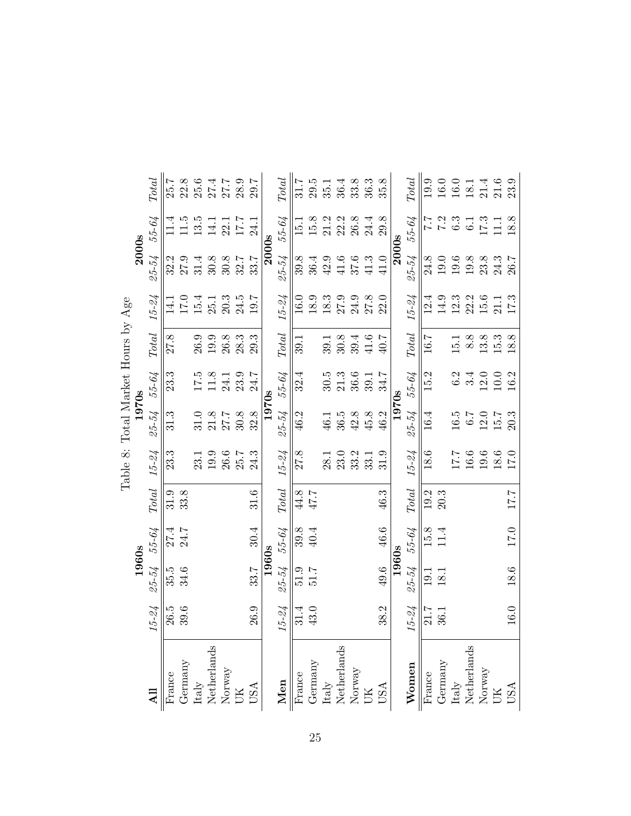|                                                                                             |           | 1960s             |          |                        |                                             | ASD SUL SULTAINS INTO THE SULTAIN SULTAIN<br>1970s |          |              |                            | 2000s        |                  |                            |
|---------------------------------------------------------------------------------------------|-----------|-------------------|----------|------------------------|---------------------------------------------|----------------------------------------------------|----------|--------------|----------------------------|--------------|------------------|----------------------------|
|                                                                                             |           |                   |          |                        |                                             |                                                    |          |              |                            |              |                  |                            |
|                                                                                             | $15 - 24$ | 25-54             | 55-64    | $\operatorname{Total}$ | $15 - 24$                                   | 25-54                                              | 55-64    | Total        | $15 - 24$                  | 25-54        | 55-64            | $\label{eq:total} Total$   |
| France                                                                                      | 26.5      | 35.5              | 27.4     | 31.9                   | 23.3                                        | 31.3                                               | 23.3     | 27.8         | $\frac{1}{4}$              | 32.2         | 11.4             | 25.7                       |
| Germany                                                                                     | 39.6      | 34.6              | 24.7     | 33.8                   |                                             |                                                    |          |              | 17.0                       | 27.9         | 11.5             |                            |
| ${\rm Italy} \atop {\rm Netherlands}$                                                       |           |                   |          |                        | 23.1                                        | 31.0                                               |          | 26.9         | 15.4                       | 31.4         | $13.5\,$         | $22.8$<br>$25.6$<br>$27.4$ |
|                                                                                             |           |                   |          |                        | 19.9                                        | 21.8                                               | 11.8     | 19.9         | 25.1                       | 30.8         | 14.1             |                            |
|                                                                                             |           |                   |          |                        | $\begin{array}{c} 26.6 \\ 25.7 \end{array}$ | 27.7                                               | 24.1     | 26.8         | 20.3                       | 30.8         | $22.1$ $17.7$    | $27.7$<br>$28.9$           |
| $\begin{array}{lcl} & & \\ \text{Norway} & \\ & \text{UK} & \\ \text{USA} & \\ \end{array}$ |           |                   |          |                        |                                             | 30.8                                               | 23.9     | 28.3         | 24.5                       | 32.7         |                  |                            |
|                                                                                             | 26.9      | 33.7              | 30.4     | 31.6                   | 24.3                                        | 32.8                                               | 24.7     | 29.3         | 19.7                       | 33.7         | 24.1             | 2.02                       |
|                                                                                             |           | 1960s             |          |                        |                                             | 1970s                                              |          |              |                            | <b>2000s</b> |                  |                            |
| Men                                                                                         | $15 - 24$ | 25-54             | 55-64    | <b>Total</b>           | $15 - 24$                                   | 25-54                                              | 55-64    | <b>Total</b> | $15 - 24$                  | 25-54        | 55-64            | <b>Total</b>               |
| France<br>Germany                                                                           | 31.4      | 51.9              | 39.8     | 44.8                   | 27.8                                        | 46.2                                               | 32.4     | 39.1         | 16.0                       | 39.8         | 15.1             | 31.7                       |
|                                                                                             | 43.0      | $7.1\overline{6}$ | 40.4     | 47.7                   |                                             |                                                    |          |              | 18.9                       | 36.4         | 15.8             | 29.5                       |
|                                                                                             |           |                   |          |                        | 28.1                                        | 46.1                                               | 30.5     | 39.1         | $18.3\,$                   | 42.9         | 21.2             | 35.1                       |
| Italy<br>Netherlands<br>Norway<br>UK<br>USA                                                 |           |                   |          |                        | 23.0                                        | 36.5                                               | $21.3\,$ | $30.8\,$     | $27.9$<br>$24.9$           | $41.6$       | 22.2             | 36.4                       |
|                                                                                             |           |                   |          |                        | 33.2                                        | 42.8                                               | 36.6     | 39.4         |                            | 37.6         | 26.8             | 33.8                       |
|                                                                                             |           |                   |          |                        | 33.1                                        | 45.8                                               | 39.1     | $41.6$       | 27.8                       | $41.3$       | 24.4             | 36.3                       |
|                                                                                             | 38.2      | 49.6              | 46.6     | 46.3                   | 31.9                                        | 46.2                                               | 34.7     | 40.7         | 22.0                       | 41.0         | 29.8             | 35.8                       |
|                                                                                             |           | 1960s             |          |                        |                                             | 1970s                                              |          |              |                            | 2000s        |                  |                            |
| Women                                                                                       | $15 - 24$ | 25-54             | 55-64    | <b>Total</b>           | $15 - 24$                                   | 25-54                                              | 55-64    | Total        | $15 - 24$                  | $25 - 54$    | 55-64            | <b>Total</b>               |
| France                                                                                      | 21.7      | 19.1              | 15.8     | 19.2                   | 18.6                                        | 16.4                                               | 15.2     | 16.7         | 12.4                       | 24.8         | 7.7              | 19.9                       |
| Germany                                                                                     | 36.1      | 18.1              | $11.4\,$ | 20.3                   |                                             |                                                    |          |              | 14.9                       | 19.0         | 7.2              | 16.0                       |
| Italy                                                                                       |           |                   |          |                        | 17.7                                        | 16.5                                               | 6.2      | 15.1         | $12.3$<br>$21.5$<br>$15.6$ | $19.6\,$     | 6.3              | $16.0\,$                   |
| $\begin{array}{l} \text{Netherlands} \\ \text{Norway} \\ \text{UK} \end{array}$             |           |                   |          |                        | 16.6                                        | 6.7                                                | 3.4      | 8.8          |                            | $19.8\,$     | $\overline{6.1}$ | 18.1                       |
|                                                                                             |           |                   |          |                        | 19.6                                        | 12.0                                               | 12.0     | 13.8         |                            | $23.8\,$     | 17.3             | 21.4                       |
|                                                                                             |           |                   |          |                        | 18.6                                        | 15.7                                               | 10.0     | 15.3         | 21.1                       | 24.3         |                  | $21.6\,$                   |
| USA                                                                                         | $16.0\,$  | 18.6              | 17.0     | 17.7                   | 17.0                                        | 20.3                                               | 16.2     | 18.8         | 17.3                       | 26.7         | 18.8             | 23.9                       |

Table 8: Total Market Hours by Age Table 8: Total Market Hours by Age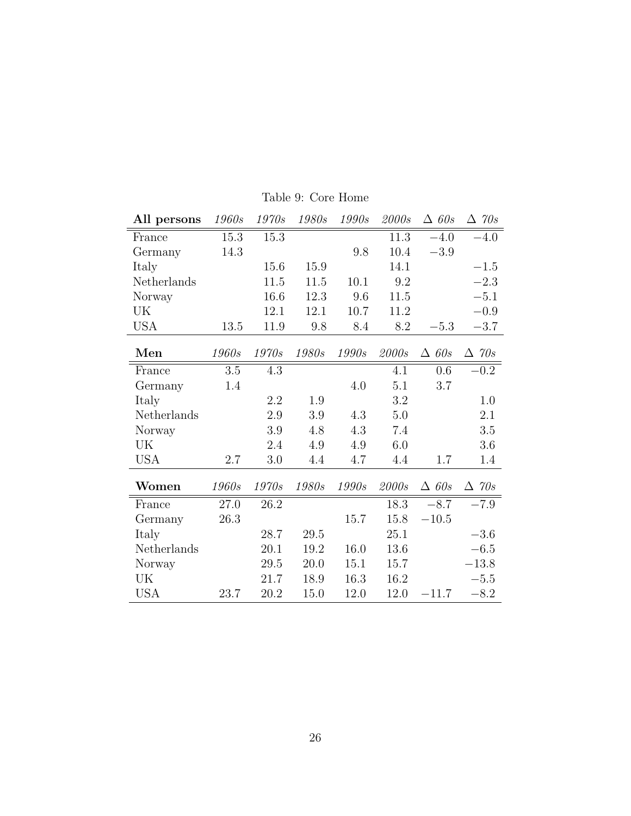| All persons | 1960s   | 1970s | 1980s | 1990s    | 2000s | $\triangle$ 60s | $\triangle$ 70s |
|-------------|---------|-------|-------|----------|-------|-----------------|-----------------|
| France      | 15.3    | 15.3  |       |          | 11.3  | $-4.0$          | $-4.0$          |
| Germany     | 14.3    |       |       | 9.8      | 10.4  | $-3.9$          |                 |
| Italy       |         | 15.6  | 15.9  |          | 14.1  |                 | $-1.5$          |
| Netherlands |         | 11.5  | 11.5  | 10.1     | 9.2   |                 | $-2.3$          |
| Norway      |         | 16.6  | 12.3  | 9.6      | 11.5  |                 | $-5.1$          |
| UK          |         | 12.1  | 12.1  | 10.7     | 11.2  |                 | $-0.9$          |
| <b>USA</b>  | 13.5    | 11.9  | 9.8   | 8.4      | 8.2   | $-5.3$          | $-3.7$          |
| Men         | 1960s   | 1970s | 1980s | 1990s    | 2000s | $\triangle$ 60s | $\triangle$ 70s |
| France      | $3.5\,$ | 4.3   |       |          | 4.1   | 0.6             | $-0.2$          |
| Germany     | 1.4     |       |       | 4.0      | 5.1   | $3.7\,$         |                 |
| Italy       |         | 2.2   | 1.9   |          | 3.2   |                 | 1.0             |
| Netherlands |         | 2.9   | 3.9   | 4.3      | 5.0   |                 | 2.1             |
| Norway      |         | 3.9   | 4.8   | 4.3      | 7.4   |                 | 3.5             |
| UK          |         | 2.4   | 4.9   | 4.9      | 6.0   |                 | 3.6             |
| <b>USA</b>  | 2.7     | 3.0   | 4.4   | 4.7      | 4.4   | 1.7             | 1.4             |
| Women       | 1960s   | 1970s | 1980s | 1990s    | 2000s | $\triangle$ 60s | $\triangle$ 70s |
| France      | 27.0    | 26.2  |       |          | 18.3  | $-8.7$          | $-7.9$          |
| Germany     | 26.3    |       |       | 15.7     | 15.8  | $-10.5$         |                 |
| Italy       |         | 28.7  | 29.5  |          | 25.1  |                 | $-3.6$          |
| Netherlands |         | 20.1  | 19.2  | 16.0     | 13.6  |                 | $-6.5$          |
| Norway      |         | 29.5  | 20.0  | $15.1\,$ | 15.7  |                 | $-13.8$         |
| UK          |         | 21.7  | 18.9  | 16.3     | 16.2  |                 | $-5.5$          |
| <b>USA</b>  | 23.7    | 20.2  | 15.0  | 12.0     | 12.0  | $-11.7$         | $-8.2$          |

Table 9: Core Home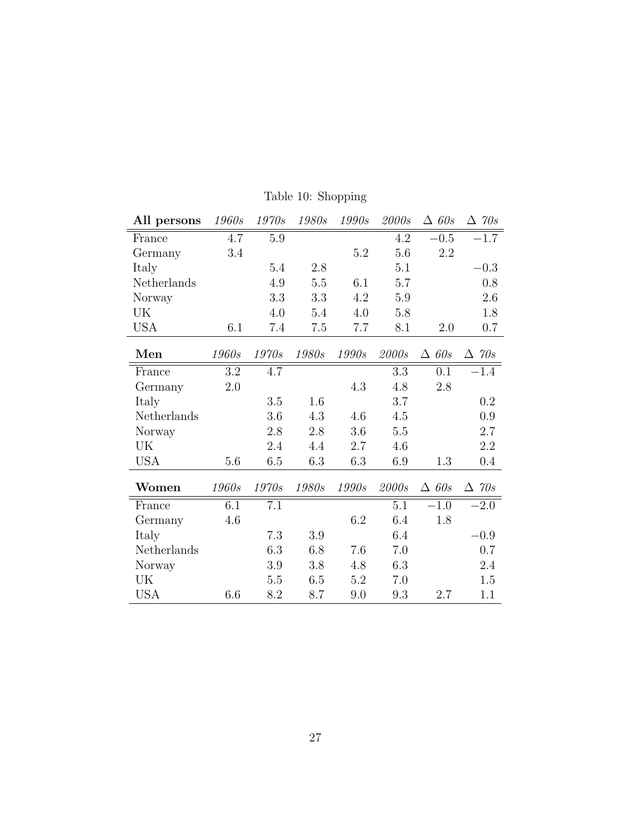| All persons | 1960s   | 1970s   | 1980s   | 1990s        | 2000s   | $\triangle$ 60s | $\triangle$ 70s |
|-------------|---------|---------|---------|--------------|---------|-----------------|-----------------|
| France      | 4.7     | 5.9     |         |              | 4.2     | $-0.5$          | $-1.7$          |
| Germany     | 3.4     |         |         | 5.2          | 5.6     | 2.2             |                 |
| Italy       |         | $5.4\,$ | $2.8\,$ |              | 5.1     |                 | $-0.3$          |
| Netherlands |         | 4.9     | $5.5\,$ | 6.1          | 5.7     |                 | 0.8             |
| Norway      |         | 3.3     | 3.3     | 4.2          | $5.9\,$ |                 | 2.6             |
| UK          |         | 4.0     | 5.4     | 4.0          | 5.8     |                 | 1.8             |
| <b>USA</b>  | 6.1     | 7.4     | 7.5     | 7.7          | 8.1     | 2.0             | 0.7             |
| Men         | 1960s   | 1970s   | 1980s   | 1990s        | 2000s   | $\triangle$ 60s | $\triangle$ 70s |
| France      | 3.2     | 4.7     |         |              | 3.3     | 0.1             | $-1.4$          |
| Germany     | $2.0\,$ |         |         | 4.3          | 4.8     | 2.8             |                 |
| Italy       |         | $3.5\,$ | 1.6     |              | 3.7     |                 | $0.2\,$         |
| Netherlands |         | 3.6     | 4.3     | 4.6          | 4.5     |                 | 0.9             |
| Norway      |         | 2.8     | 2.8     | 3.6          | $5.5\,$ |                 | 2.7             |
| UK          |         | $2.4\,$ | 4.4     | 2.7          | 4.6     |                 | 2.2             |
| <b>USA</b>  | 5.6     | 6.5     | 6.3     | 6.3          | 6.9     | 1.3             | $0.4\,$         |
| Women       | 1960s   | 1970s   | 1980s   | <i>1990s</i> | 2000s   | $\triangle$ 60s | $\triangle$ 70s |
| France      | 6.1     | 7.1     |         |              | 5.1     | $-1.0$          | $-2.0$          |
| Germany     | 4.6     |         |         | 6.2          | 6.4     | 1.8             |                 |
| Italy       |         | 7.3     | 3.9     |              | 6.4     |                 | $-0.9$          |
| Netherlands |         | 6.3     | 6.8     | 7.6          | 7.0     |                 | 0.7             |
| Norway      |         | 3.9     | 3.8     | 4.8          | 6.3     |                 | 2.4             |
| UK          |         | 5.5     | 6.5     | 5.2          | 7.0     |                 | 1.5             |
| <b>USA</b>  | 6.6     | 8.2     | 8.7     | 9.0          | 9.3     | 2.7             | 1.1             |

Table 10: Shopping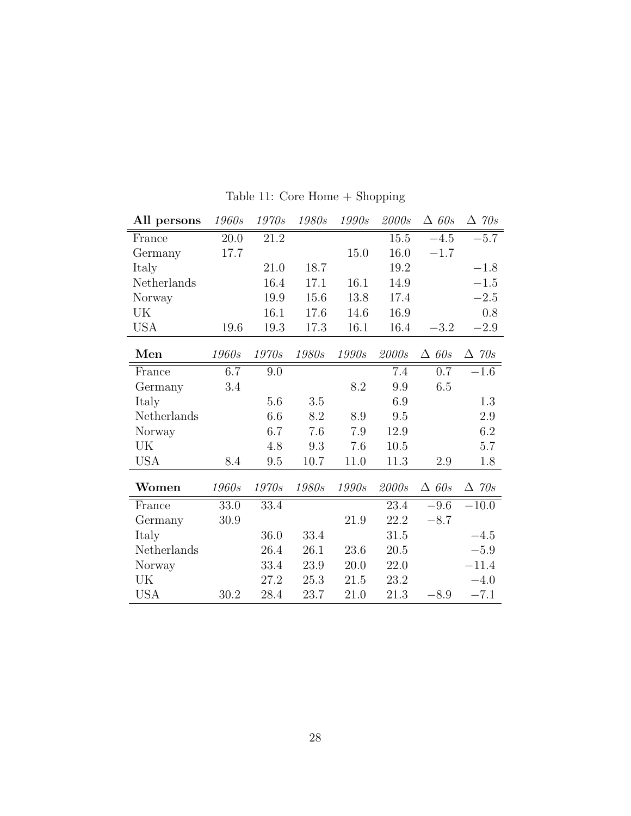| All persons | 1960s | 1970s        | 1980s | 1990s | 2000s | $\triangle$ 60s | $\Delta$ 70s    |
|-------------|-------|--------------|-------|-------|-------|-----------------|-----------------|
| France      | 20.0  | 21.2         |       |       | 15.5  | $-4.5$          | $-5.7$          |
| Germany     | 17.7  |              |       | 15.0  | 16.0  | $-1.7$          |                 |
| Italy       |       | 21.0         | 18.7  |       | 19.2  |                 | $-1.8$          |
| Netherlands |       | 16.4         | 17.1  | 16.1  | 14.9  |                 | $-1.5$          |
| Norway      |       | 19.9         | 15.6  | 13.8  | 17.4  |                 | $-2.5$          |
| UK          |       | 16.1         | 17.6  | 14.6  | 16.9  |                 | 0.8             |
| <b>USA</b>  | 19.6  | 19.3         | 17.3  | 16.1  | 16.4  | $-3.2$          | $-2.9\,$        |
| Men         | 1960s | 1970s        | 1980s | 1990s | 2000s | $\triangle$ 60s | $\triangle$ 70s |
| France      | 6.7   | 9.0          |       |       | 7.4   | 0.7             | $-1.6$          |
| Germany     | 3.4   |              |       | 8.2   | 9.9   | 6.5             |                 |
| Italy       |       | 5.6          | 3.5   |       | 6.9   |                 | 1.3             |
| Netherlands |       | 6.6          | 8.2   | 8.9   | 9.5   |                 | 2.9             |
| Norway      |       | 6.7          | 7.6   | 7.9   | 12.9  |                 | 6.2             |
| UK          |       | 4.8          | 9.3   | 7.6   | 10.5  |                 | 5.7             |
| <b>USA</b>  | 8.4   | 9.5          | 10.7  | 11.0  | 11.3  | 2.9             | 1.8             |
| Women       | 1960s | <i>1970s</i> | 1980s | 1990s | 2000s | $\triangle$ 60s | $\triangle$ 70s |
| France      | 33.0  | 33.4         |       |       | 23.4  | $-9.6$          | $-10.0$         |
| Germany     | 30.9  |              |       | 21.9  | 22.2  | $-8.7$          |                 |
| Italy       |       | 36.0         | 33.4  |       | 31.5  |                 | $-4.5$          |
| Netherlands |       | 26.4         | 26.1  | 23.6  | 20.5  |                 | $-5.9$          |
| Norway      |       | 33.4         | 23.9  | 20.0  | 22.0  |                 | $-11.4$         |
| UK          |       | 27.2         | 25.3  | 21.5  | 23.2  |                 | $-4.0$          |
| <b>USA</b>  | 30.2  | 28.4         | 23.7  | 21.0  | 21.3  | $-8.9$          | $-7.1$          |

Table 11: Core Home + Shopping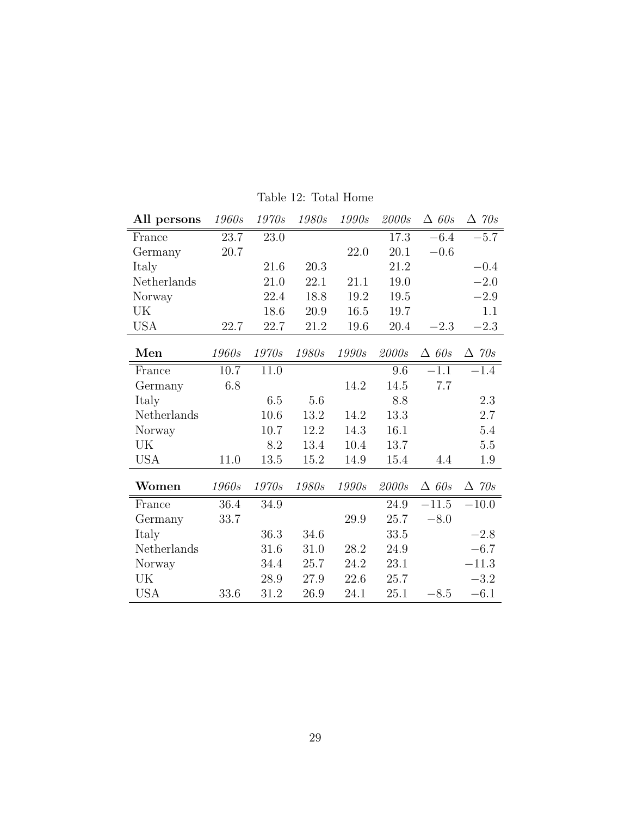| All persons | 1960s | 1970s        | <i>1980s</i> | 1990s | 2000s | $\triangle$ 60s | $\Delta$ 70s    |
|-------------|-------|--------------|--------------|-------|-------|-----------------|-----------------|
| France      | 23.7  | 23.0         |              |       | 17.3  | $-6.4$          | $-5.7$          |
| Germany     | 20.7  |              |              | 22.0  | 20.1  | $-0.6$          |                 |
| Italy       |       | 21.6         | 20.3         |       | 21.2  |                 | $-0.4$          |
| Netherlands |       | 21.0         | 22.1         | 21.1  | 19.0  |                 | $-2.0$          |
| Norway      |       | 22.4         | 18.8         | 19.2  | 19.5  |                 | $-2.9$          |
| UK          |       | 18.6         | 20.9         | 16.5  | 19.7  |                 | 1.1             |
| <b>USA</b>  | 22.7  | 22.7         | 21.2         | 19.6  | 20.4  | $-2.3$          | $-2.3$          |
| Men         | 1960s | <i>1970s</i> | 1980s        | 1990s | 2000s | $\triangle$ 60s | $\Delta$ 70s    |
| France      | 10.7  | 11.0         |              |       | 9.6   | $-1.1$          | $-1.4$          |
| Germany     | 6.8   |              |              | 14.2  | 14.5  | $7.7\,$         |                 |
| Italy       |       | 6.5          | 5.6          |       | 8.8   |                 | 2.3             |
| Netherlands |       | 10.6         | 13.2         | 14.2  | 13.3  |                 | 2.7             |
| Norway      |       | 10.7         | 12.2         | 14.3  | 16.1  |                 | 5.4             |
| UK          |       | 8.2          | 13.4         | 10.4  | 13.7  |                 | $5.5\,$         |
| <b>USA</b>  | 11.0  | 13.5         | 15.2         | 14.9  | 15.4  | 4.4             | 1.9             |
| Women       | 1960s | 1970s        | 1980s        | 1990s | 2000s | $\triangle$ 60s | $\triangle$ 70s |
| France      | 36.4  | 34.9         |              |       | 24.9  | $-11.5$         | $-10.0$         |
| Germany     | 33.7  |              |              | 29.9  | 25.7  | $-8.0$          |                 |
| Italy       |       | 36.3         | 34.6         |       | 33.5  |                 | $-2.8$          |
| Netherlands |       | 31.6         | 31.0         | 28.2  | 24.9  |                 | $-6.7$          |
| Norway      |       | 34.4         | 25.7         | 24.2  | 23.1  |                 | $-11.3$         |
| UK          |       | 28.9         | 27.9         | 22.6  | 25.7  |                 | $-3.2$          |
| <b>USA</b>  | 33.6  | 31.2         | 26.9         | 24.1  | 25.1  | $-8.5$          | $-6.1$          |

Table 12: Total Home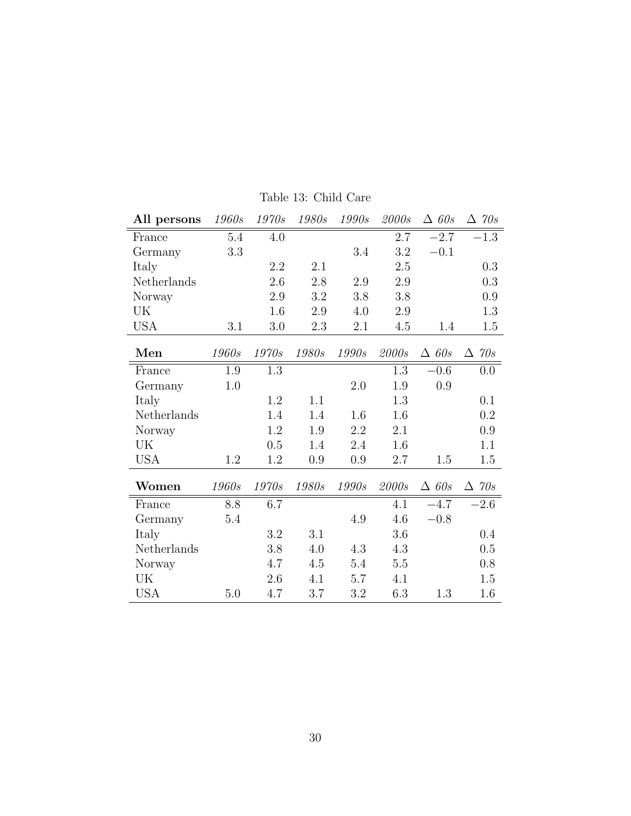| All persons | 1960s   | 1970s | <i>1980s</i> | 1990s   | 2000s   | $\triangle$ 60s | $\triangle$ 70s |
|-------------|---------|-------|--------------|---------|---------|-----------------|-----------------|
| France      | 5.4     | 4.0   |              |         | 2.7     | $-2.7$          | $-1.3$          |
| Germany     | 3.3     |       |              | 3.4     | 3.2     | $-0.1$          |                 |
| Italy       |         | 2.2   | 2.1          |         | $2.5\,$ |                 | 0.3             |
| Netherlands |         | 2.6   | $2.8\,$      | $2.9\,$ | $2.9\,$ |                 | 0.3             |
| Norway      |         | 2.9   | 3.2          | 3.8     | 3.8     |                 | 0.9             |
| UK          |         | 1.6   | 2.9          | 4.0     | 2.9     |                 | 1.3             |
| <b>USA</b>  | 3.1     | 3.0   | 2.3          | 2.1     | 4.5     | 1.4             | 1.5             |
| Men         | 1960s   | 1970s | 1980s        | 1990s   | 2000s   | $\triangle$ 60s | $\triangle$ 70s |
| France      | $1.9\,$ | 1.3   |              |         | 1.3     | $-0.6$          | 0.0             |
| Germany     | 1.0     |       |              | $2.0\,$ | 1.9     | 0.9             |                 |
| Italy       |         | 1.2   | 1.1          |         | 1.3     |                 | 0.1             |
| Netherlands |         | 1.4   | 1.4          | 1.6     | 1.6     |                 | 0.2             |
| Norway      |         | 1.2   | 1.9          | 2.2     | 2.1     |                 | 0.9             |
| UK          |         | 0.5   | 1.4          | 2.4     | 1.6     |                 | 1.1             |
| <b>USA</b>  | 1.2     | 1.2   | 0.9          | 0.9     | 2.7     | 1.5             | 1.5             |
| Women       | 1960s   | 1970s | 1980s        | 1990s   | 2000s   | $\triangle$ 60s | $\triangle$ 70s |
| France      | 8.8     | 6.7   |              |         | 4.1     | $-4.7$          | $-2.6$          |
| Germany     | 5.4     |       |              | 4.9     | 4.6     | $-0.8$          |                 |
| Italy       |         | 3.2   | 3.1          |         | 3.6     |                 | 0.4             |
| Netherlands |         | 3.8   | 4.0          | 4.3     | 4.3     |                 | 0.5             |
| Norway      |         | 4.7   | 4.5          | 5.4     | $5.5\,$ |                 | 0.8             |
| UK          |         | 2.6   | 4.1          | 5.7     | 4.1     |                 | 1.5             |
| <b>USA</b>  | 5.0     | 4.7   | 3.7          | 3.2     | 6.3     | 1.3             | 1.6             |

Table 13: Child Care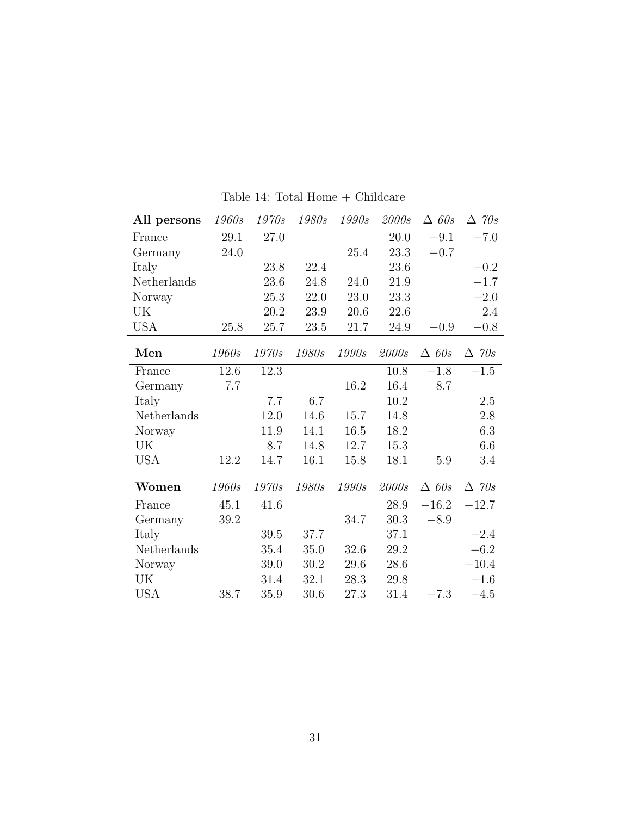| All persons | 1960s | 1970s | 1980s | 1990s | 2000s | $\triangle$ 60s | $\triangle$ 70s |
|-------------|-------|-------|-------|-------|-------|-----------------|-----------------|
| France      | 29.1  | 27.0  |       |       | 20.0  | $-9.1$          | $-7.0$          |
| Germany     | 24.0  |       |       | 25.4  | 23.3  | $-0.7$          |                 |
| Italy       |       | 23.8  | 22.4  |       | 23.6  |                 | $-0.2$          |
| Netherlands |       | 23.6  | 24.8  | 24.0  | 21.9  |                 | $-1.7$          |
| Norway      |       | 25.3  | 22.0  | 23.0  | 23.3  |                 | $-2.0$          |
| UK          |       | 20.2  | 23.9  | 20.6  | 22.6  |                 | 2.4             |
| USA         | 25.8  | 25.7  | 23.5  | 21.7  | 24.9  | $-0.9$          | $-0.8$          |
| Men         | 1960s | 1970s | 1980s | 1990s | 2000s | $\triangle$ 60s | $\Delta$ 70s    |
| France      | 12.6  | 12.3  |       |       | 10.8  | $-1.8$          | $-1.5$          |
| Germany     | 7.7   |       |       | 16.2  | 16.4  | 8.7             |                 |
| Italy       |       | 7.7   | 6.7   |       | 10.2  |                 | 2.5             |
| Netherlands |       | 12.0  | 14.6  | 15.7  | 14.8  |                 | $2.8\,$         |
| Norway      |       | 11.9  | 14.1  | 16.5  | 18.2  |                 | 6.3             |
| UK          |       | 8.7   | 14.8  | 12.7  | 15.3  |                 | 6.6             |
| <b>USA</b>  | 12.2  | 14.7  | 16.1  | 15.8  | 18.1  | 5.9             | 3.4             |
| Women       | 1960s | 1970s | 1980s | 1990s | 2000s | $\triangle$ 60s | $\Delta$ 70s    |
| France      | 45.1  | 41.6  |       |       | 28.9  | $-16.2$         | $-12.7$         |
| Germany     | 39.2  |       |       | 34.7  | 30.3  | $-8.9$          |                 |
| Italy       |       | 39.5  | 37.7  |       | 37.1  |                 | $-2.4$          |
| Netherlands |       | 35.4  | 35.0  | 32.6  | 29.2  |                 | $-6.2$          |
| Norway      |       | 39.0  | 30.2  | 29.6  | 28.6  |                 | $-10.4$         |
| UK          |       | 31.4  | 32.1  | 28.3  | 29.8  |                 | $-1.6$          |
| <b>USA</b>  | 38.7  | 35.9  | 30.6  | 27.3  | 31.4  | $-7.3$          | $-4.5$          |

Table 14: Total Home  $+$  Childcare  $\,$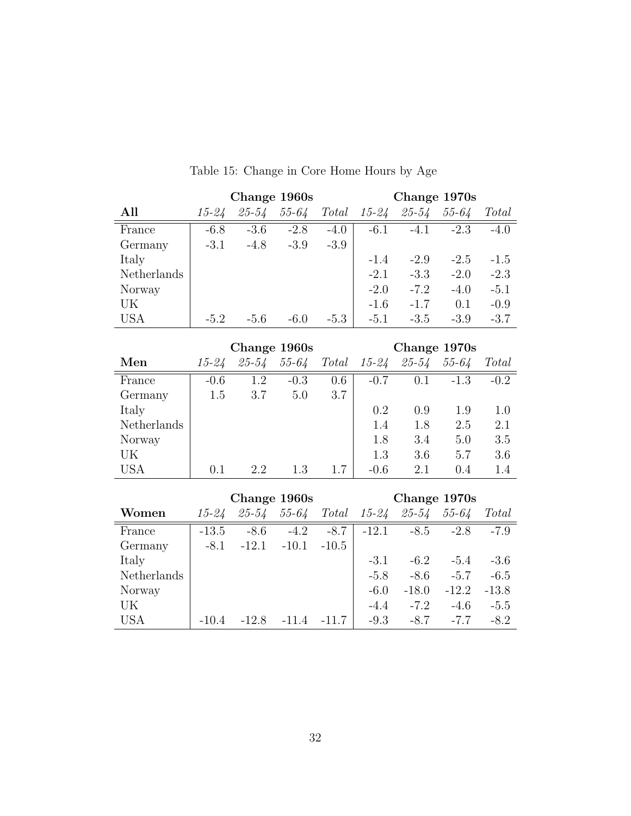|             |        |           | Change 1960s |        |           | Change 1970s |           |        |
|-------------|--------|-----------|--------------|--------|-----------|--------------|-----------|--------|
| All         | 15-24  | $25 - 54$ | $55 - 64$    | Total  | $15 - 24$ | $25 - 54$    | $55 - 64$ | Total  |
| France      | $-6.8$ | $-3.6$    | $-2.8$       | $-4.0$ | $-6.1$    | $-4.1$       | $-2.3$    | $-4.0$ |
| Germany     | $-3.1$ | $-4.8$    | $-3.9$       | $-3.9$ |           |              |           |        |
| Italy       |        |           |              |        | $-1.4$    | $-2.9$       | $-2.5$    | $-1.5$ |
| Netherlands |        |           |              |        | $-2.1$    | $-3.3$       | $-2.0$    | $-2.3$ |
| Norway      |        |           |              |        | $-2.0$    | $-7.2$       | $-4.0$    | $-5.1$ |
| UK          |        |           |              |        | $-1.6$    | $-1.7$       | 0.1       | $-0.9$ |
| <b>USA</b>  | $-5.2$ | $-5.6$    | $-6.0$       | $-5.3$ | $-5.1$    | $-3.5$       | $-3.9$    | $-3.7$ |

## Table 15: Change in Core Home Hours by Age

|             |           |           | Change 1960s |       |           | Change 1970s |           |        |
|-------------|-----------|-----------|--------------|-------|-----------|--------------|-----------|--------|
| Men         | $15 - 24$ | $25 - 54$ | $55 - 64$    | Total | $15 - 24$ | $25 - 54$    | $55 - 64$ | Total  |
| France      | $-0.6$    | 1.2       | $-0.3$       | 0.6   | $-0.7$    | 0.1          | $-1.3$    | $-0.2$ |
| Germany     | 1.5       | 3.7       | 5.0          | 3.7   |           |              |           |        |
| Italy       |           |           |              |       | 0.2       | 0.9          | 1.9       | 1.0    |
| Netherlands |           |           |              |       | 1.4       | 1.8          | 2.5       | 2.1    |
| Norway      |           |           |              |       | 1.8       | 3.4          | 5.0       | 3.5    |
| UK          |           |           |              |       | 1.3       | 3.6          | 5.7       | 3.6    |
| USA         | 0.1       | 2.2       | 1.3          | 17    | $-0.6$    | 2.1          | 0.4       | 1.4    |

|             |           |           | Change 1960s |         |           | Change 1970s |           |         |
|-------------|-----------|-----------|--------------|---------|-----------|--------------|-----------|---------|
| Women       | $15 - 24$ | $25 - 54$ | $55 - 64$    | Total   | $15 - 24$ | $25 - 54$    | $55 - 64$ | Total   |
| France      | $-13.5$   | $-8.6$    | $-4.2$       | $-8.7$  | $-12.1$   | $-8.5$       | $-2.8$    | $-7.9$  |
| Germany     | $-8.1$    | $-12.1$   | $-10.1$      | $-10.5$ |           |              |           |         |
| Italy       |           |           |              |         | $-3.1$    | $-6.2$       | $-5.4$    | $-3.6$  |
| Netherlands |           |           |              |         | $-5.8$    | $-8.6$       | $-5.7$    | $-6.5$  |
| Norway      |           |           |              |         | $-6.0$    | $-18.0$      | $-12.2$   | $-13.8$ |
| UK          |           |           |              |         | $-4.4$    | $-7.2$       | $-4.6$    | $-5.5$  |
| <b>USA</b>  | $-10.4$   | $-12.8$   | $-11.4$      | $-11.7$ | $-9.3$    | $-8.7$       | $-7.7$    | $-8.2$  |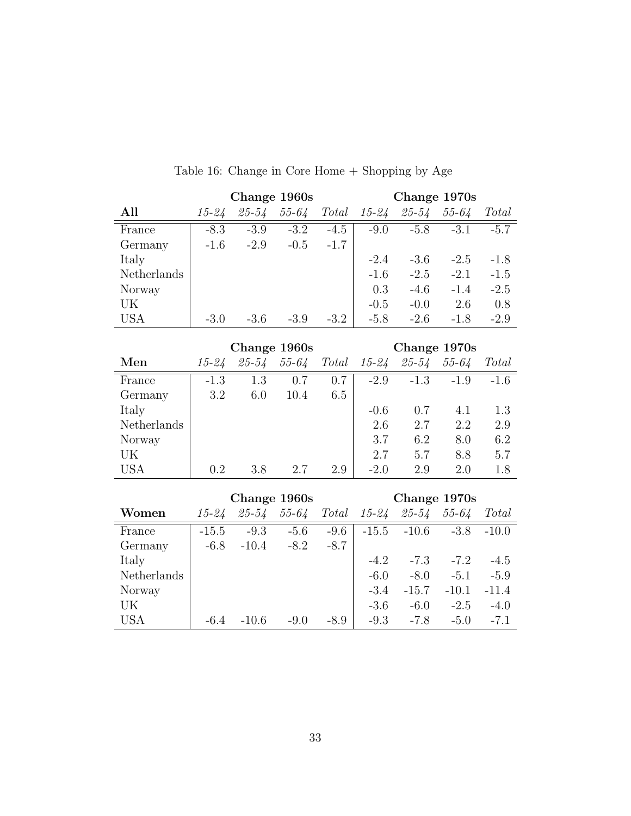|             |        |           | Change 1960s |        |           |           | Change 1970s |        |
|-------------|--------|-----------|--------------|--------|-----------|-----------|--------------|--------|
| All         | 15-24  | $25 - 54$ | $55 - 64$    | Total  | $15 - 24$ | $25 - 54$ | $55 - 64$    | Total  |
| France      | $-8.3$ | $-3.9$    | $-3.2$       | $-4.5$ | $-9.0$    | $-5.8$    | $-3.1$       | $-5.7$ |
| Germany     | $-1.6$ | $-2.9$    | $-0.5$       | $-1.7$ |           |           |              |        |
| Italy       |        |           |              |        | $-2.4$    | $-3.6$    | $-2.5$       | $-1.8$ |
| Netherlands |        |           |              |        | $-1.6$    | $-2.5$    | $-2.1$       | $-1.5$ |
| Norway      |        |           |              |        | 0.3       | $-4.6$    | $-1.4$       | $-2.5$ |
| UK          |        |           |              |        | $-0.5$    | $-0.0$    | 2.6          | 0.8    |
| <b>USA</b>  | $-3.0$ | $-3.6$    | $-3.9$       | $-3.2$ | $-5.8$    | $-2.6$    | $-1.8$       | $-2.9$ |
|             |        |           |              |        |           |           |              |        |

Table 16: Change in Core Home + Shopping by Age

|             |           |           | Change 1960s |       |           | Change 1970s |           |        |
|-------------|-----------|-----------|--------------|-------|-----------|--------------|-----------|--------|
| Men         | $15 - 24$ | $25 - 54$ | $55 - 64$    | Total | $15 - 24$ | $25 - 54$    | $55 - 64$ | Total  |
| France      | $-1.3$    | 1.3       | 0.7          | 0.7   | $-2.9$    | $-1.3$       | $-1.9$    | $-1.6$ |
| Germany     | 3.2       | 6.0       | 10.4         | 6.5   |           |              |           |        |
| Italy       |           |           |              |       | $-0.6$    | 0.7          | 4.1       | 1.3    |
| Netherlands |           |           |              |       | 2.6       | 2.7          | 2.2       | 2.9    |
| Norway      |           |           |              |       | 3.7       | 6.2          | 8.0       | 6.2    |
| UK          |           |           |              |       | 2.7       | 5.7          | 8.8       | 5.7    |
| <b>USA</b>  | 0.2       | 3.8       | 2.7          | 2.9   | $-2.0$    | 2.9          | 2.0       | 1.8    |

|             |           |           | Change 1960s |        |           | Change 1970s |           |         |
|-------------|-----------|-----------|--------------|--------|-----------|--------------|-----------|---------|
| Women       | $15 - 24$ | $25 - 54$ | $55 - 64$    | Total  | $15 - 24$ | $25 - 54$    | $55 - 64$ | Total   |
| France      | $-15.5$   | $-9.3$    | $-5.6$       | $-9.6$ | $-15.5$   | $-10.6$      | $-3.8$    | $-10.0$ |
| Germany     | $-6.8$    | $-10.4$   | $-8.2$       | $-8.7$ |           |              |           |         |
| Italy       |           |           |              |        | $-4.2$    | $-7.3$       | $-7.2$    | $-4.5$  |
| Netherlands |           |           |              |        | $-6.0$    | $-8.0$       | $-5.1$    | $-5.9$  |
| Norway      |           |           |              |        | $-3.4$    | $-15.7$      | $-10.1$   | $-11.4$ |
| UK          |           |           |              |        | $-3.6$    | $-6.0$       | $-2.5$    | $-4.0$  |
| <b>USA</b>  | $-6.4$    | $-10.6$   | $-9.0$       | -8.9   | $-9.3$    | $-7.8$       | $-5.0$    | $-7.1$  |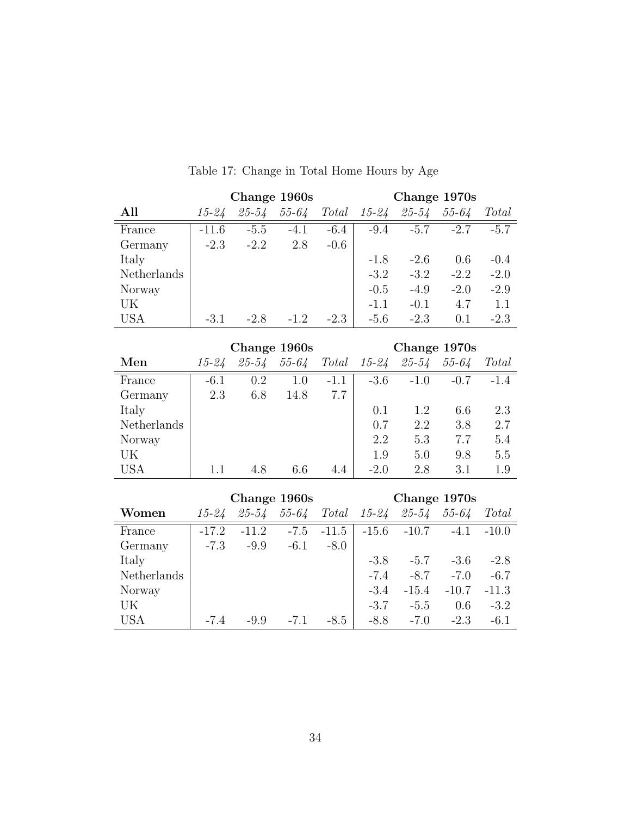|             |           |           | Change 1960s |        |           | Change 1970s |           |        |
|-------------|-----------|-----------|--------------|--------|-----------|--------------|-----------|--------|
| All         | $15 - 24$ | $25 - 54$ | $55 - 64$    | Total  | $15 - 24$ | $25 - 54$    | $55 - 64$ | Total  |
| France      | $-11.6$   | $-5.5$    | $-4.1$       | $-6.4$ | $-9.4$    | $-5.7$       | $-2.7$    | $-5.7$ |
| Germany     | $-2.3$    | $-2.2$    | 2.8          | $-0.6$ |           |              |           |        |
| Italy       |           |           |              |        | $-1.8$    | $-2.6$       | 0.6       | $-0.4$ |
| Netherlands |           |           |              |        | $-3.2$    | $-3.2$       | $-2.2$    | $-2.0$ |
| Norway      |           |           |              |        | $-0.5$    | $-4.9$       | $-2.0$    | $-2.9$ |
| UK          |           |           |              |        | $-1.1$    | $-0.1$       | 4.7       | 1.1    |
| <b>USA</b>  | $-3.1$    | $-2.8$    | $-1.2$       | $-2.3$ | $-5.6$    | $-2.3$       | 0.1       | $-2.3$ |

Table 17: Change in Total Home Hours by Age

|             |           |           | Change 1960s |        |           | Change 1970s |           |        |
|-------------|-----------|-----------|--------------|--------|-----------|--------------|-----------|--------|
| Men         | $15 - 24$ | $25 - 54$ | $55 - 64$    | Total  | $15 - 24$ | $25 - 54$    | $55 - 64$ | Total  |
| France      | $-6.1$    | 0.2       | 1.0          | $-1.1$ | $-3.6$    | $-1.0$       | $-0.7$    | $-1.4$ |
| Germany     | 2.3       | 6.8       | 14.8         | 7.7    |           |              |           |        |
| Italy       |           |           |              |        | 0.1       | 1.2          | 6.6       | 2.3    |
| Netherlands |           |           |              |        | 0.7       | 2.2          | 3.8       | 2.7    |
| Norway      |           |           |              |        | 2.2       | 5.3          | 7.7       | 5.4    |
| UK          |           |           |              |        | 1.9       | 5.0          | 9.8       | 5.5    |
| <b>USA</b>  |           | 4.8       | 6.6          | 4.4    | $-2.0$    | 2.8          | 3.1       | 1.9    |

|             |           |           | Change 1960s |         |           | Change 1970s  |           |         |
|-------------|-----------|-----------|--------------|---------|-----------|---------------|-----------|---------|
| Women       | $15 - 24$ | $25 - 54$ | $55 - 64$    | Total   | $15 - 24$ | $25 - 54$     | $55 - 64$ | Total   |
| France      | $-17.2$   | $-11.2$   | $-7.5$       | $-11.5$ |           | $-15.6 -10.7$ | $-4.1$    | $-10.0$ |
| Germany     | $-7.3$    | $-9.9$    | $-6.1$       | $-8.0$  |           |               |           |         |
| Italy       |           |           |              |         | $-3.8$    | $-5.7$        | $-3.6$    | $-2.8$  |
| Netherlands |           |           |              |         | $-7.4$    | $-8.7$        | $-7.0$    | $-6.7$  |
| Norway      |           |           |              |         | $-3.4$    | $-15.4$       | $-10.7$   | $-11.3$ |
| UK          |           |           |              |         | $-3.7$    | $-5.5$        | 0.6       | $-3.2$  |
| USA         | $-7.4$    | $-9.9$    | $-7.1$       | $-8.5$  | $-8.8$    | $-7.0$        | $-2.3$    | $-6.1$  |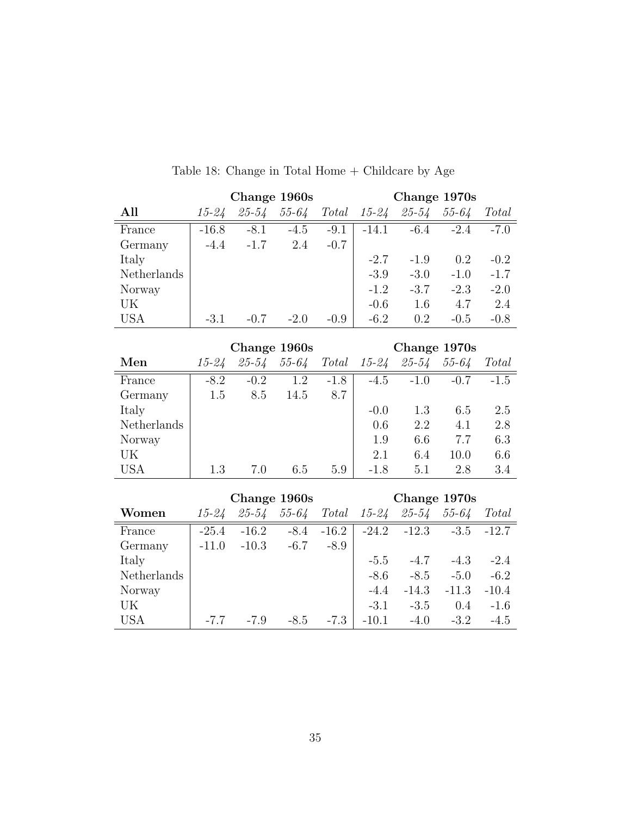|             |           |           | Change 1960s |        |           | Change 1970s |           |        |
|-------------|-----------|-----------|--------------|--------|-----------|--------------|-----------|--------|
| All         | $15 - 24$ | $25 - 54$ | $55 - 64$    | Total  | $15 - 24$ | $25 - 54$    | $55 - 64$ | Total  |
| France      | $-16.8$   | $-8.1$    | $-4.5$       | $-9.1$ | $-14.1$   | $-6.4$       | $-2.4$    | $-7.0$ |
| Germany     | $-4.4$    | $-1.7$    | 2.4          | $-0.7$ |           |              |           |        |
| Italy       |           |           |              |        | $-2.7$    | $-1.9$       | 0.2       | $-0.2$ |
| Netherlands |           |           |              |        | $-3.9$    | $-3.0$       | $-1.0$    | $-1.7$ |
| Norway      |           |           |              |        | $-1.2$    | $-3.7$       | $-2.3$    | $-2.0$ |
| UK          |           |           |              |        | $-0.6$    | 1.6          | 4.7       | 2.4    |
| <b>USA</b>  | $-3.1$    | $-0.7$    | $-2.0$       | $-0.9$ | $-6.2$    | 0.2          | $-0.5$    | $-0.8$ |
|             |           |           |              |        |           |              |           |        |
|             |           |           | Change 1960s |        |           | Change 1970s |           |        |
| Men         | 15-24     | $25 - 54$ | $55 - 64$    | Total  | $15 - 24$ | 25-54        | $55 - 64$ | Total  |
| France      | $-8.2$    | $-0.2$    | 1.2          | $-1.8$ | $-4.5$    | $-1.0$       | $-0.7$    | $-1.5$ |

Table 18: Change in Total Home  $+$  Childcare by Age  $\,$ 

|             |           |           | Change 1960s |        |           | Change 1970s |           |        |
|-------------|-----------|-----------|--------------|--------|-----------|--------------|-----------|--------|
| Men         | $15 - 24$ | $25 - 54$ | $55 - 64$    | Total  | $15 - 24$ | $25 - 54$    | $55 - 64$ | Total  |
| France      | $-8.2$    | $-0.2$    | 1.2          | $-1.8$ | $-4.5$    | $-1.0$       | $-0.7$    | $-1.5$ |
| Germany     | 1.5       | 8.5       | 14.5         | 8.7    |           |              |           |        |
| Italy       |           |           |              |        | $-0.0$    | 1.3          | 6.5       | 2.5    |
| Netherlands |           |           |              |        | 0.6       | 2.2          | 4.1       | 2.8    |
| Norway      |           |           |              |        | 1.9       | 6.6          | 7.7       | 6.3    |
| UK          |           |           |              |        | 2.1       | 6.4          | 10.0      | 6.6    |
| <b>USA</b>  | 1.3       | 7.0       | 6.5          | 5.9    | $-1.8$    | 5.1          | 2.8       | 3.4    |

|             |         |           | Change 1960s |         |           | Change 1970s  |           |              |
|-------------|---------|-----------|--------------|---------|-----------|---------------|-----------|--------------|
| Women       | 15-24   | $25 - 54$ | $55 - 64$    | Total   | $15 - 24$ | $25 - 54$     | $55 - 64$ | Total        |
| France      | $-25.4$ | $-16.2$   | $-8.4$       | $-16.2$ |           | $-24.2 -12.3$ |           | $-3.5 -12.7$ |
| Germany     | $-11.0$ | $-10.3$   | $-6.7$       | $-8.9$  |           |               |           |              |
| Italy       |         |           |              |         | $-5.5$    | $-4.7$        | $-4.3$    | $-2.4$       |
| Netherlands |         |           |              |         | $-8.6$    | $-8.5$        | $-5.0$    | $-6.2$       |
| Norway      |         |           |              |         | $-4.4$    | $-14.3$       | $-11.3$   | $-10.4$      |
| UK          |         |           |              |         | $-3.1$    | $-3.5$        | 0.4       | $-1.6$       |
| <b>USA</b>  | $-7.7$  | $-7.9$    | $-8.5$       | $-7.3$  | $-10.1$   | $-4.0$        | $-3.2$    | $-4.5$       |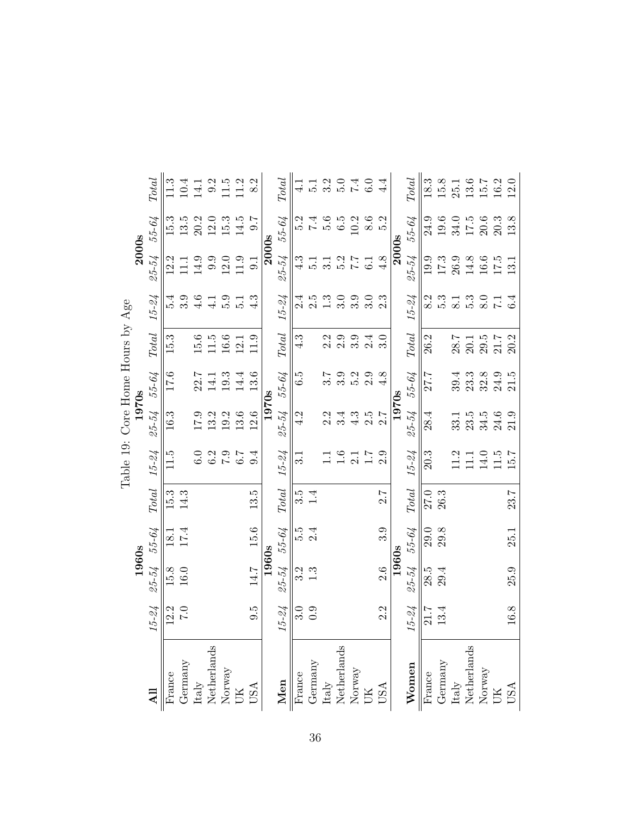|                                                                          |                  |           |          |                        |           | Table 19: Core Home Hours by Age |       |                        |                  |               |          |                          |
|--------------------------------------------------------------------------|------------------|-----------|----------|------------------------|-----------|----------------------------------|-------|------------------------|------------------|---------------|----------|--------------------------|
|                                                                          |                  | 1960s     |          |                        |           | 1970s                            |       |                        |                  | <b>2000s</b>  |          |                          |
|                                                                          | $15 - 24$        | $25 - 54$ | 55-64    | $\operatorname{Total}$ | $15 - 24$ | 25-54                            | 55-64 | $\operatorname{Total}$ | $15 - 24$        | 25-54         | 55-64    | <b>Total</b>             |
| France                                                                   | 12.2             | 15.8      | 18.1     | 15.3                   | 11.5      | 16.3                             | 17.6  | 15.3                   | 5.4              | 12.2          | 15.3     | 11.3                     |
| Germany                                                                  | 0.7              | $16.0\,$  | 17.4     | 14.3                   |           |                                  |       |                        | 3.9              | $\Xi$         | 13.5     | 10.4                     |
|                                                                          |                  |           |          |                        | 6.0       | 0.71                             | 22.7  | 15.6                   | 4.6              | 14.9          | 20.2     | 14.1                     |
| Italy<br>Netherlands<br>Norway<br>UK                                     |                  |           |          |                        | 6.2       | 13.2                             | 14.1  | $11.5\,$               | $\frac{1}{4}$    | 9.9           | 12.0     | 9.2                      |
|                                                                          |                  |           |          |                        | 6.1       | 19.2                             | 19.3  | $16.6\,$               | 5.9              | 12.0          | 15.3     | 1.5                      |
|                                                                          |                  |           |          |                        | 6.7       | 13.6                             | 14.4  | 12.1                   | $\frac{1}{2}$    | 11.9          | 14.5     | 11.2                     |
| <b>USA</b>                                                               | $9.\overline{5}$ | 14.7      | $15.6\,$ | 13.5                   | 9.4       | 12.6                             | 13.6  | 11.9                   | 4.3              | 0.1           | 0.7      | 8.2                      |
|                                                                          |                  | 1960s     |          |                        |           | 1970s                            |       |                        |                  | 2000s         |          |                          |
| Men                                                                      | $15 - 24$        | 25-54     | 55-64    | $\operatorname{Total}$ | $15 - 24$ | 25-54                            | 55-64 | $\operatorname{Total}$ | $15 - 24$        | $25 - 54$     | 55-64    | $\label{eq:total} Total$ |
| France                                                                   | 3.0              | 3.2       | 5.9      | $3.\overline{5}$       | 3.1       | 4.2                              | 6.5   | 4.3                    | 2.4              | 4.3           | 5.2      |                          |
| Germany                                                                  | 0.9              | 1.3       | 2.4      | 1.4                    |           |                                  |       |                        | 2.5              | $\frac{1}{2}$ | 7.4      | 12                       |
|                                                                          |                  |           |          |                        | $\Xi$     | 2.2                              | 3.7   | 2.2                    | 1.3              | 3.1           | 5.6      | $\frac{2}{3}$ .0         |
| Italy<br>Netherlands<br>Norway<br>UK                                     |                  |           |          |                        | 1.6       | 3.4                              | 3.9   | 2.9                    | 3.0              | 5.2           | 6.5      |                          |
|                                                                          |                  |           |          |                        | 2.1       | 4.3                              | 5.2   | 3.9                    | 3.9              | 7.7           | 10.2     | 7.4                      |
|                                                                          |                  |           |          |                        | 1.7       | 2.5                              | 2.9   | 2.4                    | 3.0              | 6.1           | 8.6      | 6.0                      |
| <b>USA</b>                                                               | 2.2              | 2.6       | 3.9      | 2.7                    | 2.9       | 2.7                              | 4.8   | 3.0                    | 2.3              | 4.8           | 5.2      | 4.4                      |
|                                                                          |                  | 1960s     |          |                        |           | 1970s                            |       |                        |                  | <b>2000s</b>  |          |                          |
| Women                                                                    | $15 - 24$        | 25-54     | 55-64    | $\operatorname{Total}$ | $15 - 24$ | 25-54                            | 55-64 | <b>Total</b>           | $15 - 24$        | 25-54         | 55-64    | <b>Total</b>             |
| $\overline{\text{France}}$                                               | 21.7             | 28.5      | 29.0     | 27.0                   | 20.3      | 28.4                             | 27.7  | 26.2                   | 8.2              | 19.9          | 24.9     | 18.3                     |
| Germany                                                                  | 13.4             | 29.4      | 29.8     | 26.3                   |           |                                  |       |                        | 5.3              | $17.3\,$      | 19.6     | 15.8                     |
| ${\rm Italy} \atop {\rm Netherlands}$                                    |                  |           |          |                        | 11.2      | 33.1                             | 39.4  | 28.7                   | $\overline{8}$ . | 26.9          | 34.0     | 25.1                     |
|                                                                          |                  |           |          |                        | 11.1      | 23.5                             | 23.3  | 20.1                   | $5.\overline{3}$ | 14.8          | 17.5     | 13.6                     |
| $\begin{array}{lcl} & & \\ \text{Moway} & \\ \text{UK} & \\ \end{array}$ |                  |           |          |                        | 14.0      | 34.5                             | 32.8  | 29.5                   | $\overline{8.0}$ | $16.6\,$      | $20.6\,$ | 15.7                     |
|                                                                          |                  |           |          |                        | 11.5      | 24.6                             | 24.9  | 21.7                   | $\overline{z}$   | 17.5          | 20.3     | 16.2                     |
| USA                                                                      | $16.8\,$         | 25.9      | 25.1     | 23.7                   | 15.7      | 21.9                             | 21.5  | 20.2                   | 6.4              | 13.1          | 13.8     | $12.0$                   |

Þ E  $T<sub>ab</sub>$ le 10.  $C<sub>b</sub>$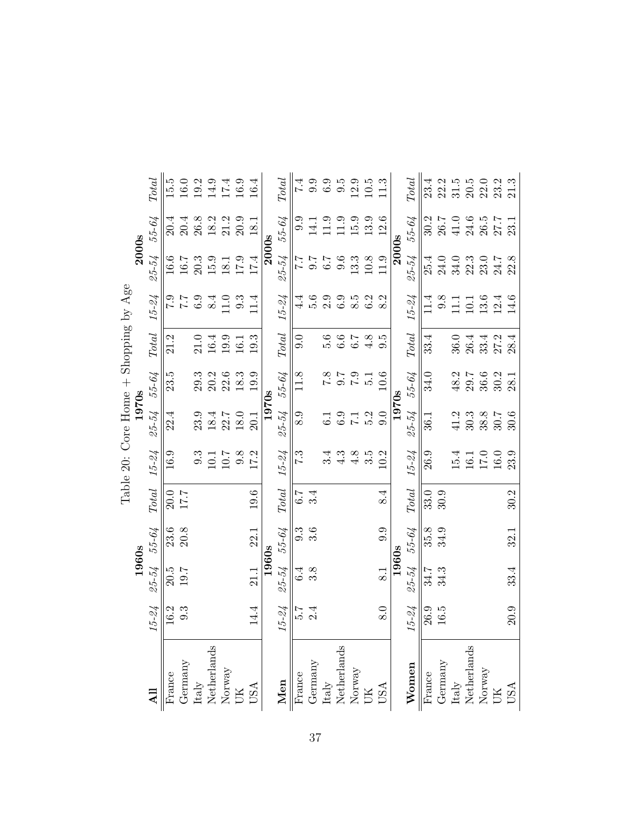|                                       |              | <b>Total</b><br>55-64  | 15.5<br>20.4 | 16.0<br>20.4 | 19.2<br>26.8 | 14.9<br>18.2                          | 17.4<br>21.2                                            | 16.9<br>20.9 | 16.4<br>18.1 |              | <b>Total</b><br>55-64  | $\overline{7.4}$<br>9.9 | 9.9<br>14.1 | 6.9<br>11.9                           | 9.5<br>11.9 | 12.9<br>15.9                                            | $10.5$<br>13.9 | 11.3<br>12.6 |       | <b>Total</b><br>55-64    | 23.4<br>30.2 | 22.2<br>26.7 | 31.5<br>41.0                          | $20.5$<br>24.6 | $22.0$<br>$23.2$<br>26.5                                                | 27.7 | 21.3<br>23. |
|---------------------------------------|--------------|------------------------|--------------|--------------|--------------|---------------------------------------|---------------------------------------------------------|--------------|--------------|--------------|------------------------|-------------------------|-------------|---------------------------------------|-------------|---------------------------------------------------------|----------------|--------------|-------|--------------------------|--------------|--------------|---------------------------------------|----------------|-------------------------------------------------------------------------|------|-------------|
|                                       | <b>2000s</b> | 25-54                  | 16.6         | 16.7         | 20.3         | 15.9                                  | 18.1                                                    | 17.9         | 17.4         | <b>2000s</b> | 25-54                  | 7.7                     | 7.6         | 6.7                                   | 9.6         | 13.3                                                    | $10.8\,$       | 11.9         | 2000s | $25 - 54$                | 25.4         | 24.0         | $34.0\,$                              | 22.3           | 23.0                                                                    | 24.7 | 22.8        |
|                                       |              | $15 - 24$              | 6.1          | 7.7          | $6.9\,$      | $\overline{8.4}$                      | 11.0                                                    | 9.3          | 11.4         |              | $15 - 24$              | 4.<br>4                 | 5.6         | 2.9                                   | 6.9         | 8.5                                                     | 6.2            | 8.2          |       | $15 - 24$                | 11.4         | 9.8          | $\Xi$                                 | 10.1           | 13.6                                                                    | 12.4 | 14.6        |
|                                       |              | $\operatorname{Total}$ | 21.2         |              | 21.0         | 16.4                                  | 19.9                                                    | 16.1         | 19.3         |              | $\operatorname{Total}$ | $\overline{0}$          |             | 9.6                                   | 6.6         | 6.7                                                     | 4.8            | 9.5          |       | $\operatorname{Total}$   | 33.4         |              | 36.0                                  | 26.4           | 33.4                                                                    | 27.2 | 28.4        |
|                                       |              | 55-64                  | 23.5         |              | 29.3         | 20.2                                  | 22.6                                                    | 18.3         | 19.9         |              | 55-64                  | 11.8                    |             | 8.7                                   | 0.7         | 6.1                                                     | $\frac{1}{5}$  | 10.6         |       | 55-64                    | 34.0         |              | 48.2                                  | 29.7           | 36.6                                                                    | 30.2 | 28.1        |
|                                       | 1970s        | $25 - 54$              | 22.4         |              | 23.9         | 18.4                                  | 22.7                                                    | 18.0         | 20.1         | 1970s        | 25-54                  | 8.9                     |             | 5                                     | 6.9         | $\vec{.}$<br>$\mathbf{r}$                               | 5.2            | 9.0          | 1970s | 25-54                    | 36.1         |              | 41.2                                  | 30.3           | 38.8                                                                    | 30.7 | 30.6        |
| Table 20: Core Home + Shopping by Age |              | $15 - 24$              | 16.9         |              | 9.3          | 10.1                                  | 10.7                                                    | 9.8          | 17.2         |              | $15 - 24$              | 7.3                     |             | 3.4                                   | 4.3         | 4.8                                                     | 3.5            | 10.2         |       | $15 - 24$                | 26.9         |              | $15.4\,$                              | 16.1           | 17.0                                                                    | 16.0 | 23.9        |
|                                       |              | $\operatorname{Total}$ | 20.0         | 17.7         |              |                                       |                                                         |              | 19.6         |              | $\operatorname{Total}$ | 6.7                     | 3.4         |                                       |             |                                                         |                | 8.4          |       | $\label{eq:total} Total$ | 33.0         | 30.9         |                                       |                |                                                                         |      | 30.2        |
|                                       |              | 55-64                  | 23.6         | 20.8         |              |                                       |                                                         |              | 22.1         |              | 55-64                  | 9.3                     | 3.6         |                                       |             |                                                         |                | 9.9          |       | 55-64                    | 35.8         | 34.9         |                                       |                |                                                                         |      | 32.1        |
|                                       | 1960s        | $25 - 54$              | 20.5         | 19.7         |              |                                       |                                                         |              | 21.1         | 1960s        | 25-54                  | 6.4                     | 3.8         |                                       |             |                                                         |                | 8.1          | 1960s | 25-54                    | 34.7         | 34.3         |                                       |                |                                                                         |      | 33.4        |
|                                       |              | $15 - 24$              | 16.2         | 9.3          |              |                                       |                                                         |              | 14.4         |              | $15 - 24$              | 2.5                     | 2.4         |                                       |             |                                                         |                | 8.0          |       | $15 - 24$                | 26.9         | 16.5         |                                       |                |                                                                         |      | 20.9        |
|                                       |              |                        | France       | Germany      |              | ${\rm Italy} \atop {\rm Netherlands}$ | $\begin{array}{c} {\rm Normay} \\ {\rm UK} \end{array}$ |              | <b>USA</b>   |              | Men                    | France<br>Germany       |             | ${\rm Italy} \atop {\rm Netherlands}$ |             | $\begin{array}{c} {\rm Normay} \\ {\rm UK} \end{array}$ |                | <b>USA</b>   |       | Women                    | France       | Germany      | ${\rm Italy} \atop {\rm Netherlands}$ |                | $\begin{array}{lcl} & & \\ \text{Moway} & \\ & \text{UK} & \end{array}$ |      | USA         |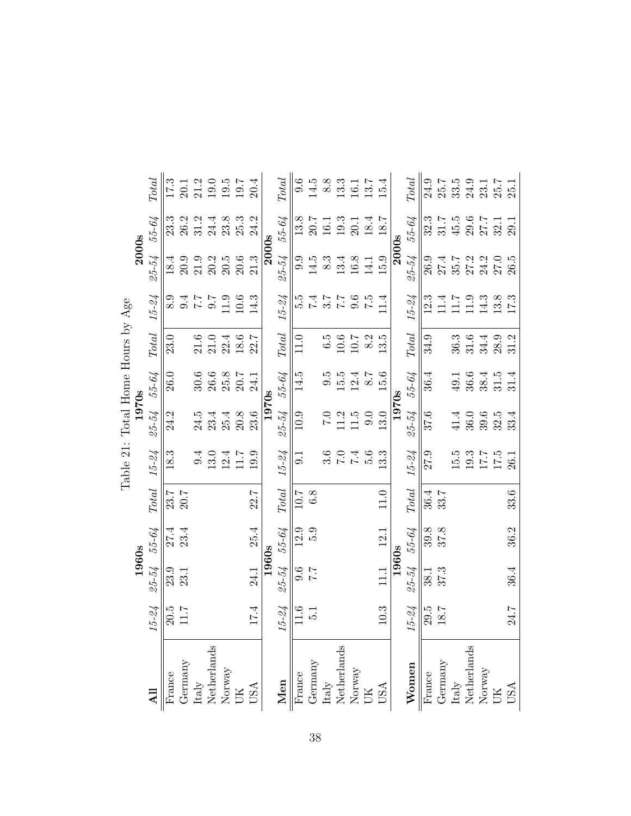|                                       |               |               |       |              |                                   | Table 21: Total Home Hours by Age |                                             |                        |                   |               |          |                          |
|---------------------------------------|---------------|---------------|-------|--------------|-----------------------------------|-----------------------------------|---------------------------------------------|------------------------|-------------------|---------------|----------|--------------------------|
|                                       |               | 1960s         |       |              |                                   | 1970s                             |                                             |                        |                   | <b>2000s</b>  |          |                          |
|                                       | $15 - 24$     | 25-54         | 55-64 | Total        | $15 - 24$                         | $25 - 54$                         | 55-64                                       | $\operatorname{Total}$ | $15 - 24$         | 25-54         | 55-64    | $\operatorname{Total}$   |
| France                                | 20.5          | 23.9          | 27.4  | 23.7         | 18.3                              | 24.2                              | 26.0                                        | 23.0                   | 8.9               | 18.4          | 23.3     | 17.3                     |
| Germany                               | 7.11          | 23.1          | 23.4  | 20.7         |                                   |                                   |                                             |                        | 9.4               | 20.9          | $26.2\,$ | 20.1                     |
|                                       |               |               |       |              | 9.4                               | 24.5                              | 30.6                                        | $21.6\,$               | $\angle$          | $21.9\,$      | 31.2     | $21.2$<br>$19.0$         |
| Italy<br>Netherlands<br>Norway<br>UK  |               |               |       |              | 13.0                              | 23.4                              | $\begin{array}{c} 26.6 \\ 25.8 \end{array}$ | 21.0                   | 0.7               | 20.2          | 24.4     |                          |
|                                       |               |               |       |              | 12.4                              | 25.4                              |                                             | 22.4                   | 11.9              | 20.5          | 23.8     | 19.5                     |
|                                       |               |               |       |              | 11.7                              | 20.8                              | 20.7                                        | 18.6                   | 10.6              | $20.6\,$      | 25.3     | 19.7                     |
| <b>USA</b>                            | 17.4          | 24.1          | 25.4  | 22.7         | 19.9                              | 23.6                              | 24.1                                        | 22.7                   | 14.3              | 21.3          | 24.2     | 20.4                     |
|                                       |               | 1960s         |       |              |                                   | 1970s                             |                                             |                        |                   | 2000s         |          |                          |
| Men                                   | $15 - 24$     | 25-54         | 55-64 | <b>Total</b> | $15 - 24$                         | 25-54                             | 55-64                                       | $\operatorname{Total}$ | $15 - 24$         | 25-54         | 55-64    | $\label{eq:total} Total$ |
| France                                | 11.6          | 9.6           | 12.9  | 10.7         | 9.1                               | 10.9                              | 14.5                                        | 11.0                   | 5.5               | 9.9           | 13.8     | 9.6                      |
| Germany                               | $\frac{1}{5}$ | $\frac{1}{4}$ | 5.9   | 6.8          |                                   |                                   |                                             |                        | $\ddot{t}$ .      | 14.5          | 20.7     | 14.5                     |
|                                       |               |               |       |              |                                   | 0.7                               | $9.\overline{5}$                            | 6.5                    | $\frac{7.7}{7.5}$ | 8.3           | 16.1     | 8.8                      |
| Italy<br>Netherlands<br>Norway<br>UK  |               |               |       |              | $3.6\phantom{0}$ $7.0\phantom{0}$ | 11.2                              | 15.5                                        | $10.6\,$               |                   | 13.4          | 19.3     | 13.3                     |
|                                       |               |               |       |              | 7.4                               | $11.5$                            | 12.4                                        | $10.7\,$               | 9.6               | $16.8\,$      | 20.1     | 16.1                     |
|                                       |               |               |       |              | 5.6                               | 0.0                               | $1.8^{\circ}$                               | 8.2                    | $\frac{5}{2}$     | 14.1          | 18.4     | 13.7                     |
| <b>USA</b>                            | $10.3\,$      | 11.1          | 12.1  | $11.0$ $\,$  | 3.3                               | 13.0                              | 15.6                                        | 13.5                   | 1.4               | 15.9          | $18.7\,$ | 15.4                     |
|                                       |               | 1960s         |       |              |                                   | 1970s                             |                                             |                        |                   | <b>2000s</b>  |          |                          |
| Women                                 | $15 - 24$     | $25 - 54$     | 55-64 | <b>Total</b> | $15 - 24$                         | 25-54                             | 55-64                                       | <b>Total</b>           | $15 - 24$         | 25-54         | 55-64    | <b>Total</b>             |
| $\overline{\text{France}}$            | 29.5          | 38.1          | 39.8  | 36.4         | 27.9                              | 37.6                              | 36.4                                        | 34.9                   | 12.3              | <b>26.9</b>   | 32.3     | 24.9                     |
| Germany                               | $18.7\,$      | 37.3          | 37.8  | 33.7         |                                   |                                   |                                             |                        | 11.4              | 27.4          | 31.7     | $25.7\,$                 |
| ${\rm Italy} \atop {\rm Netherlands}$ |               |               |       |              | 15.5                              | 41.4                              | 49.1                                        | 36.3                   | 11.7              | $35.7$ $27.2$ | 45.5     | 33.5                     |
|                                       |               |               |       |              | 19.3                              | 36.0                              | 36.6                                        | 31.6                   | 11.9              |               | $29.6\,$ | 24.9                     |
| $\frac{1}{\text{Norway}}$             |               |               |       |              | 17.7                              | 39.6                              | 38.4                                        | 34.4                   | 14.3              | 24.2          | 27.7     | 23.1                     |
|                                       |               |               |       |              | 17.5                              | 32.5                              | 31.5                                        | 28.9                   | 13.8              | 27.0          | 32.      | 25.7                     |
| USA                                   | 24.7          | 36.4          | 36.2  | 33.6         | 26.1                              | 33.4                              | 31.4                                        | 31.2                   | 17.3              | 26.5          | 29.1     | 25.1                     |

 $\overline{a}$ Table 91: Total H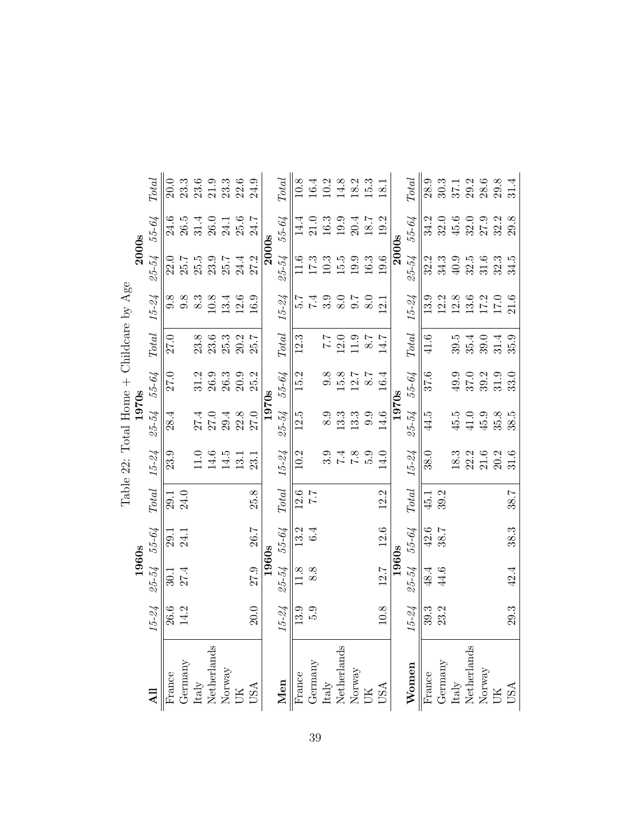|                                         |              | <b>Total</b><br>55-64  | 20.0<br>24.6 | 23.3<br>26.5 | 23.6<br>31.4 | $\begin{array}{c} 21.9 \\ 23.3 \end{array}$<br>26.0 | 24.1 | $22.6\,$<br>25.6 | 24.9<br>24.7                                                                    |       | <b>Total</b><br>55-64  | 10.8<br>14.4      | 16.4<br>21.0 | 10.2<br>$16.3\,$                      | 14.8<br>19.9 | 18.2<br>20.4                                            | 15.3<br>18.7     | 18.1<br>19.2   |       | <b>Total</b><br>55-64  | 28.9<br>34.2               | 30.3<br>32.0 | 37.1<br>45.6         | 29.2<br>32.0 | $28.6\,$<br>27.9                                                        | 29.8<br>32.2 | 31.4<br>29.8 |
|-----------------------------------------|--------------|------------------------|--------------|--------------|--------------|-----------------------------------------------------|------|------------------|---------------------------------------------------------------------------------|-------|------------------------|-------------------|--------------|---------------------------------------|--------------|---------------------------------------------------------|------------------|----------------|-------|------------------------|----------------------------|--------------|----------------------|--------------|-------------------------------------------------------------------------|--------------|--------------|
|                                         | <b>2000s</b> | $25 - 54$              | 22.0         | 25.7         | 25.5         | 23.9                                                | 25.7 | 24.4             | 27.2                                                                            | 2000s | $25 - 54$              | 1.6               | 17.3         | 10.3                                  | $15.5\,$     | $19.9\,$                                                | $16.3\,$         | 19.6           | 2000s | 25-54                  | 32.2                       | 34.3         | $40.9$               | 32.5         | 31.6                                                                    | 32.3         | 34.5         |
|                                         |              | $15 - 24$              | 9.8          | 9.8          | 8.3          | 10.8                                                | 13.4 | 12.6             | 16.9                                                                            |       | $15 - 24$              | $\frac{1}{2}$     | 7.4          | 3.9                                   | 8.0          | 0.7                                                     | $\overline{8.0}$ | $\overline{2}$ |       | $15 - 24$              | 13.9                       | 12.2         | 12.8                 | 13.6         | 17.2                                                                    | 17.0         | 21.6         |
| Table 22: Total Home + Childcare by Age |              | $\operatorname{Total}$ | 27.0         |              | 23.8         | 23.6                                                | 25.3 | 20.2             | 25.7                                                                            |       | $\operatorname{Total}$ | 12.3              |              | 7.7                                   | 12.0         | 11.9                                                    | 8.7              | 14.7           |       | $\operatorname{Total}$ | 41.6                       |              | 39.5                 | 35.4         | 39.0                                                                    | 31.4         | 35.9         |
|                                         |              | 55-64                  | 27.0         |              | 31.2         | 26.9                                                | 26.3 | 20.9             | 25.2                                                                            |       | 55-64                  | 15.2              |              | 9.8                                   | 15.8         | 12.7                                                    | 2.8              | 16.4           |       | 55-64                  | 37.6                       |              | 49.9                 | 37.0         | 39.2                                                                    | 31.9         | 33.0         |
|                                         | 1970s        | 25-54                  | 28.4         |              | 27.4         | 27.0                                                | 29.4 | 22.8             | 27.0                                                                            | 1970s | $25 - 54$              | 12.5              |              | 8.9                                   | 13.3         | 13.3                                                    | 9.9              | 14.6           | 1970s | 25-54                  | 44.5                       |              | 45.5                 | 41.0         | 45.9                                                                    | 35.8         | 38.5         |
|                                         |              | $15 - 24$              | 23.9         |              | 1.0          | 14.6                                                | 14.5 | 13.1             | 23.1                                                                            |       | $15 - 24$              | 10.2              |              | 3.9                                   | $\ddot{z}$   | $\frac{8}{7}$                                           | 5.9              | 14.0           |       | $15 - 24$              | 38.0                       |              | 18.3                 | 22.2         | $21.6$                                                                  | 20.2         | 31.6         |
|                                         |              | <b>Total</b>           | 29.1         | 24.0         |              |                                                     |      |                  | 25.8                                                                            |       | <b>Total</b>           | 12.6              | 7.7          |                                       |              |                                                         |                  | 12.2           |       | <b>Total</b>           | 45.1                       | 39.2         |                      |              |                                                                         |              | 38.7         |
|                                         | 1960s        | 55-64                  | 29.1         | 24.1         |              |                                                     |      |                  | 26.7                                                                            | 1960s | 55-64                  | 13.2              | 6.4          |                                       |              |                                                         |                  | 12.6           | 1960s | 55-64                  | 42.6                       | 38.7         |                      |              |                                                                         |              | 38.3         |
|                                         |              | $25 - 54$              | 50.1         | 27.4         |              |                                                     |      |                  | 27.9                                                                            |       | 25-54                  | 11.8              | 8.8          |                                       |              |                                                         |                  | 12.7           |       | 25-54                  | 48.4                       | 44.6         |                      |              |                                                                         |              | 42.4         |
|                                         |              | $15 - 24$              | 26.6         | 14.2         |              |                                                     |      |                  | 20.0                                                                            |       | $15 - 24$              | 13.9              | 5.9          |                                       |              |                                                         |                  | $10.8$         |       | $15 - 24$              | 39.3                       | 23.2         |                      |              |                                                                         |              | 29.3         |
|                                         |              |                        | France       | Germany      |              | ${\rm Italy} \atop {\rm Netherlands}$               |      |                  | $\begin{array}{lcl} & \text{Normay} \\ & \text{UK} \\ & \text{USA} \end{array}$ |       | Men                    | France<br>Germany |              | ${\rm Italy} \atop {\rm Netherlands}$ |              | $\begin{array}{l} {\rm Norway} \\ {\rm UK} \end{array}$ |                  | <b>USA</b>     |       | Women                  | $\overline{\text{France}}$ | Germany      | Italy<br>Netherlands |              | $\begin{array}{lcl} & & \\ \text{Moway} & \\ & \text{UK} & \end{array}$ |              | USA          |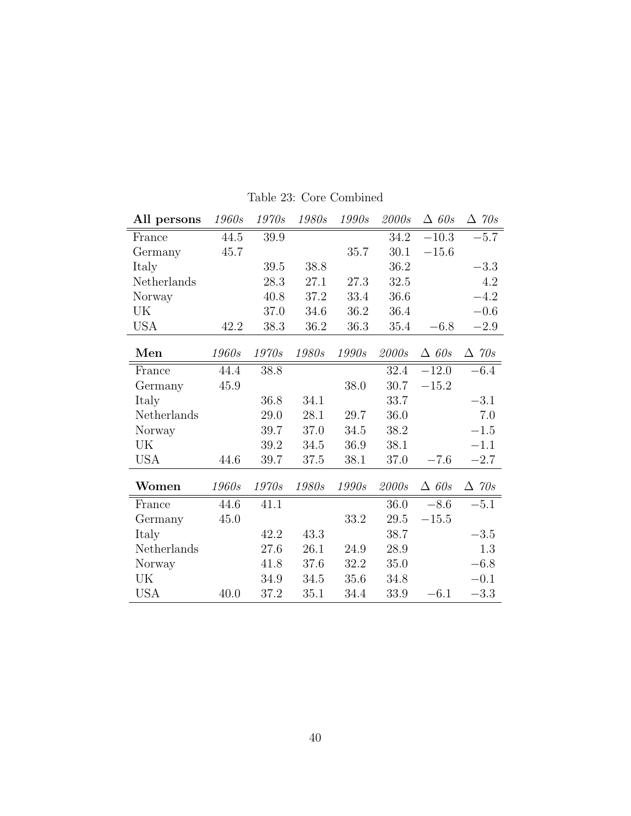| All persons | 1960s        | 1970s        | 1980s | 1990s        | 2000s | $\triangle$ 60s | $\Delta$ 70s    |
|-------------|--------------|--------------|-------|--------------|-------|-----------------|-----------------|
| France      | 44.5         | 39.9         |       |              | 34.2  | $-10.3$         | $-5.7$          |
| Germany     | 45.7         |              |       | 35.7         | 30.1  | $-15.6\,$       |                 |
| Italy       |              | 39.5         | 38.8  |              | 36.2  |                 | $-3.3$          |
| Netherlands |              | 28.3         | 27.1  | 27.3         | 32.5  |                 | 4.2             |
| Norway      |              | 40.8         | 37.2  | 33.4         | 36.6  |                 | $-4.2$          |
| UK          |              | 37.0         | 34.6  | 36.2         | 36.4  |                 | $-0.6$          |
| <b>USA</b>  | 42.2         | 38.3         | 36.2  | 36.3         | 35.4  | $-6.8$          | $-2.9$          |
| Men         | <i>1960s</i> | <i>1970s</i> | 1980s | <i>1990s</i> | 2000s | $\triangle$ 60s | $\Delta$ 70s    |
| France      | 44.4         | 38.8         |       |              | 32.4  | $-12.0$         | $-6.4$          |
| Germany     | 45.9         |              |       | 38.0         | 30.7  | $-15.2$         |                 |
| Italy       |              | 36.8         | 34.1  |              | 33.7  |                 | $-3.1$          |
| Netherlands |              | 29.0         | 28.1  | 29.7         | 36.0  |                 | 7.0             |
| Norway      |              | 39.7         | 37.0  | 34.5         | 38.2  |                 | $-1.5$          |
| UK          |              | 39.2         | 34.5  | 36.9         | 38.1  |                 | $-1.1$          |
| <b>USA</b>  | 44.6         | 39.7         | 37.5  | 38.1         | 37.0  | $-7.6$          | $-2.7$          |
| Women       | 1960s        | 1970s        | 1980s | 1990s        | 2000s | $\triangle$ 60s | $\triangle$ 70s |
| France      | 44.6         | 41.1         |       |              | 36.0  | $-8.6$          | $-5.1$          |
| Germany     | 45.0         |              |       | 33.2         | 29.5  | $-15.5$         |                 |
| Italy       |              | 42.2         | 43.3  |              | 38.7  |                 | $-3.5$          |
| Netherlands |              | 27.6         | 26.1  | 24.9         | 28.9  |                 | 1.3             |
| Norway      |              | 41.8         | 37.6  | 32.2         | 35.0  |                 | $-6.8$          |
| UK          |              | 34.9         | 34.5  | 35.6         | 34.8  |                 | $-0.1$          |
| <b>USA</b>  | 40.0         | 37.2         | 35.1  | 34.4         | 33.9  | $-6.1$          | $-3.3$          |

Table 23: Core Combined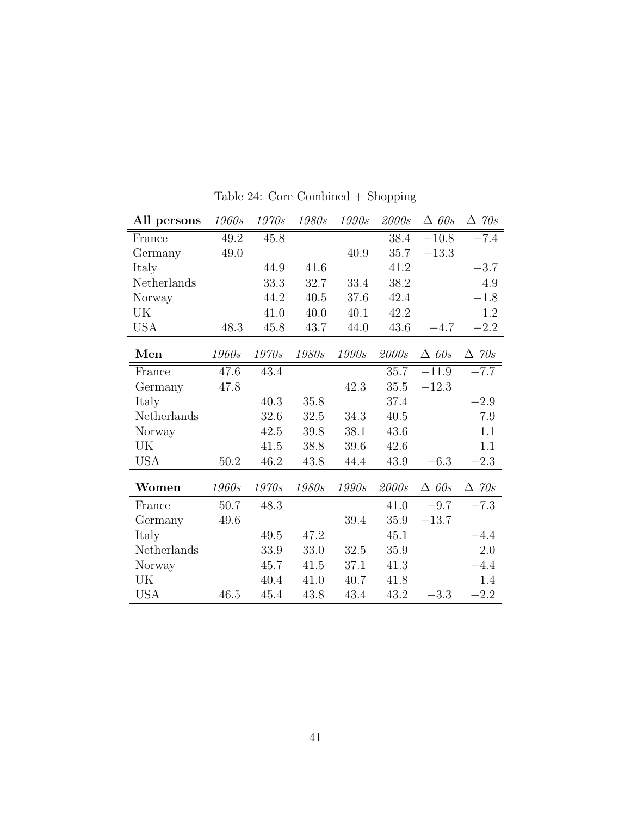| All persons | 1960s | 1970s | 1980s | 1990s        | 2000s    | $\triangle$ 60s | $\Delta$ 70s    |
|-------------|-------|-------|-------|--------------|----------|-----------------|-----------------|
| France      | 49.2  | 45.8  |       |              | 38.4     | $-10.8$         | $-7.4$          |
| Germany     | 49.0  |       |       | 40.9         | 35.7     | $-13.3$         |                 |
| Italy       |       | 44.9  | 41.6  |              | 41.2     |                 | $-3.7$          |
| Netherlands |       | 33.3  | 32.7  | 33.4         | 38.2     |                 | 4.9             |
| Norway      |       | 44.2  | 40.5  | 37.6         | 42.4     |                 | $-1.8$          |
| UK          |       | 41.0  | 40.0  | 40.1         | 42.2     |                 | 1.2             |
| USA         | 48.3  | 45.8  | 43.7  | 44.0         | 43.6     | $-4.7$          | $-2.2$          |
| Men         | 1960s | 1970s | 1980s | 1990s        | 2000s    | $\triangle$ 60s | $\triangle$ 70s |
| France      | 47.6  | 43.4  |       |              | 35.7     | $-11.9$         | $-7.7$          |
| Germany     | 47.8  |       |       | 42.3         | $35.5\,$ | $-12.3$         |                 |
| Italy       |       | 40.3  | 35.8  |              | 37.4     |                 | $-2.9$          |
| Netherlands |       | 32.6  | 32.5  | 34.3         | 40.5     |                 | 7.9             |
| Norway      |       | 42.5  | 39.8  | 38.1         | 43.6     |                 | 1.1             |
| UK          |       | 41.5  | 38.8  | 39.6         | 42.6     |                 | 1.1             |
| <b>USA</b>  | 50.2  | 46.2  | 43.8  | 44.4         | 43.9     | $-6.3$          | $-2.3$          |
| Women       | 1960s | 1970s | 1980s | <i>1990s</i> | 2000s    | $\triangle$ 60s | $\triangle$ 70s |
| France      | 50.7  | 48.3  |       |              | 41.0     | $-9.7$          | $-7.3$          |
| Germany     | 49.6  |       |       | 39.4         | 35.9     | $-13.7$         |                 |
| Italy       |       | 49.5  | 47.2  |              | 45.1     |                 | $-4.4$          |
| Netherlands |       | 33.9  | 33.0  | 32.5         | 35.9     |                 | 2.0             |
| Norway      |       | 45.7  | 41.5  | 37.1         | 41.3     |                 | $-4.4$          |
| UK          |       | 40.4  | 41.0  | 40.7         | 41.8     |                 | 1.4             |
| <b>USA</b>  | 46.5  | 45.4  | 43.8  | 43.4         | 43.2     | $-3.3$          | $-2.2$          |

Table 24: Core Combined + Shopping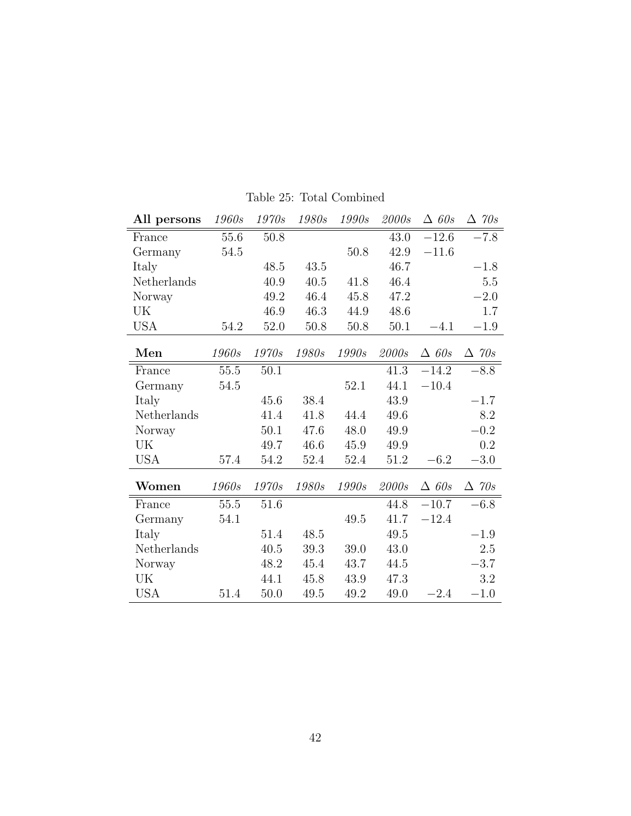| All persons | 1960s    | 1970s  | 1980s | 1990s    | 2000s | $\triangle$ 60s | $\Delta$ 70s    |
|-------------|----------|--------|-------|----------|-------|-----------------|-----------------|
| France      | 55.6     | 50.8   |       |          | 43.0  | $-12.6$         | $-7.8$          |
| Germany     | 54.5     |        |       | 50.8     | 42.9  | $-11.6\,$       |                 |
| Italy       |          | 48.5   | 43.5  |          | 46.7  |                 | $-1.8$          |
| Netherlands |          | 40.9   | 40.5  | 41.8     | 46.4  |                 | $5.5\,$         |
| Norway      |          | 49.2   | 46.4  | 45.8     | 47.2  |                 | $-2.0$          |
| UK          |          | 46.9   | 46.3  | 44.9     | 48.6  |                 | 1.7             |
| USA         | 54.2     | 52.0   | 50.8  | 50.8     | 50.1  | $-4.1$          | $-1.9$          |
| Men         | 1960s    | 1970s  | 1980s | 1990s    | 2000s | $\triangle$ 60s | $\triangle$ 70s |
| France      | $55.5\,$ | 50.1   |       |          | 41.3  | $-14.2$         | $-8.8$          |
| Germany     | 54.5     |        |       | 52.1     | 44.1  | $-10.4$         |                 |
| Italy       |          | 45.6   | 38.4  |          | 43.9  |                 | $-1.7$          |
| Netherlands |          | 41.4   | 41.8  | 44.4     | 49.6  |                 | 8.2             |
| Norway      |          | 50.1   | 47.6  | 48.0     | 49.9  |                 | $-0.2$          |
| UK          |          | 49.7   | 46.6  | 45.9     | 49.9  |                 | $0.2\,$         |
| <b>USA</b>  | 57.4     | 54.2   | 52.4  | 52.4     | 51.2  | $-6.2$          | $-3.0$          |
| Women       | 1960s    | 1970s  | 1980s | 1990s    | 2000s | $\triangle$ 60s | $\triangle$ 70s |
| France      | 55.5     | 51.6   |       |          | 44.8  | $-10.7$         | $-6.8$          |
| Germany     | 54.1     |        |       | $49.5\,$ | 41.7  | $-12.4$         |                 |
| Italy       |          | 51.4   | 48.5  |          | 49.5  |                 | $-1.9$          |
| Netherlands |          | 40.5   | 39.3  | 39.0     | 43.0  |                 | 2.5             |
| Norway      |          | 48.2   | 45.4  | 43.7     | 44.5  |                 | $-3.7$          |
| UK          |          | 44.1   | 45.8  | 43.9     | 47.3  |                 | 3.2             |
| <b>USA</b>  | 51.4     | $50.0$ | 49.5  | 49.2     | 49.0  | $-2.4$          | $-1.0$          |

Table 25: Total Combined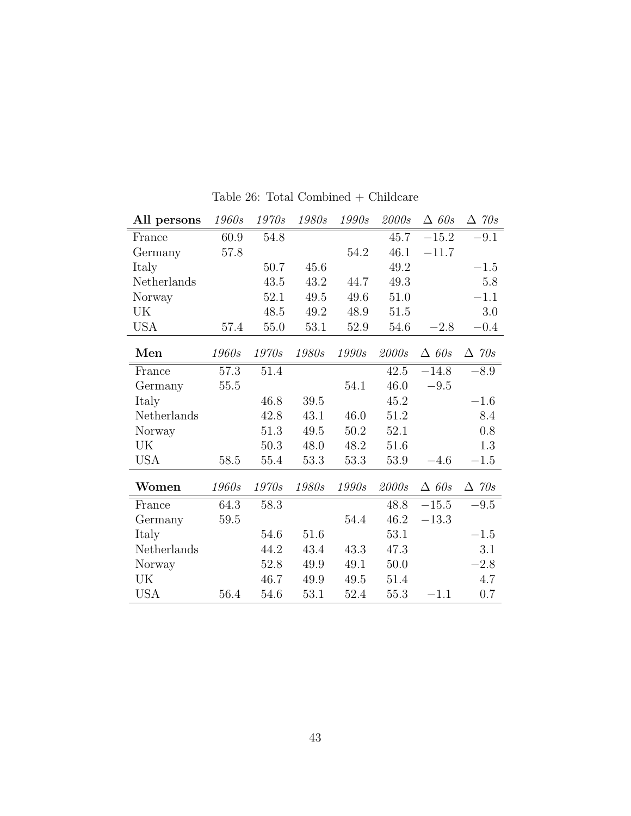| All persons | 1960s | 1970s        | 1980s | 1990s | 2000s | $\triangle$ 60s | $\Delta$ 70s    |
|-------------|-------|--------------|-------|-------|-------|-----------------|-----------------|
| France      | 60.9  | 54.8         |       |       | 45.7  | $-15.2$         | $-9.1$          |
| Germany     | 57.8  |              |       | 54.2  | 46.1  | $-11.7$         |                 |
| Italy       |       | $50.7\,$     | 45.6  |       | 49.2  |                 | $-1.5$          |
| Netherlands |       | 43.5         | 43.2  | 44.7  | 49.3  |                 | 5.8             |
| Norway      |       | 52.1         | 49.5  | 49.6  | 51.0  |                 | $-1.1$          |
| UK          |       | 48.5         | 49.2  | 48.9  | 51.5  |                 | 3.0             |
| <b>USA</b>  | 57.4  | 55.0         | 53.1  | 52.9  | 54.6  | $-2.8$          | $-0.4$          |
| Men         | 1960s | 1970s        | 1980s | 1990s | 2000s | $\triangle$ 60s | $\triangle$ 70s |
| France      | 57.3  | 51.4         |       |       | 42.5  | $-14.8$         | $-8.9$          |
| Germany     | 55.5  |              |       | 54.1  | 46.0  | $-9.5$          |                 |
| Italy       |       | 46.8         | 39.5  |       | 45.2  |                 | $-1.6$          |
| Netherlands |       | 42.8         | 43.1  | 46.0  | 51.2  |                 | 8.4             |
| Norway      |       | 51.3         | 49.5  | 50.2  | 52.1  |                 | 0.8             |
| UK          |       | $50.3\,$     | 48.0  | 48.2  | 51.6  |                 | 1.3             |
| <b>USA</b>  | 58.5  | 55.4         | 53.3  | 53.3  | 53.9  | $-4.6$          | $-1.5$          |
| Women       | 1960s | <i>1970s</i> | 1980s | 1990s | 2000s | $\triangle$ 60s | $\triangle$ 70s |
| France      | 64.3  | 58.3         |       |       | 48.8  | $-15.5$         | $-9.5$          |
| Germany     | 59.5  |              |       | 54.4  | 46.2  | $-13.3$         |                 |
| Italy       |       | 54.6         | 51.6  |       | 53.1  |                 | $-1.5$          |
| Netherlands |       | 44.2         | 43.4  | 43.3  | 47.3  |                 | 3.1             |
| Norway      |       | 52.8         | 49.9  | 49.1  | 50.0  |                 | $-2.8$          |
| UK          |       | 46.7         | 49.9  | 49.5  | 51.4  |                 | 4.7             |
| <b>USA</b>  | 56.4  | 54.6         | 53.1  | 52.4  | 55.3  | $-1.1$          | 0.7             |

Table 26: Total Combined + Childcare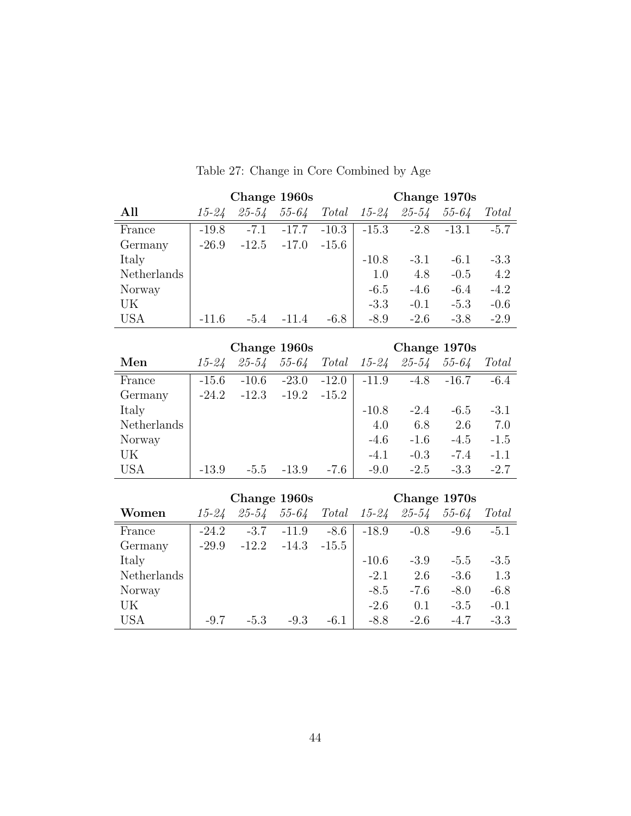|             |           | Change 1960s |           |         |         | Change 1970s |           |        |
|-------------|-----------|--------------|-----------|---------|---------|--------------|-----------|--------|
| All         | $15 - 24$ | $25 - 54$    | $55 - 64$ | Total   | 15-24   | $25 - 54$    | $55 - 64$ | Total  |
| France      | $-19.8$   | $-7.1$       | $-17.7$   | $-10.3$ | $-15.3$ | $-2.8$       | $-13.1$   | $-5.7$ |
| Germany     | $-26.9$   | $-12.5$      | $-17.0$   | $-15.6$ |         |              |           |        |
| Italy       |           |              |           |         | $-10.8$ | $-3.1$       | $-6.1$    | $-3.3$ |
| Netherlands |           |              |           |         | 1.0     | 4.8          | $-0.5$    | 4.2    |
| Norway      |           |              |           |         | $-6.5$  | $-4.6$       | $-6.4$    | $-4.2$ |
| UK          |           |              |           |         | $-3.3$  | $-0.1$       | $-5.3$    | $-0.6$ |
| <b>USA</b>  | $-11.6$   | $-5.4$       | $-11.4$   | $-6.8$  | $-8.9$  | $-2.6$       | $-3.8$    | $-2.9$ |

## Table 27: Change in Core Combined by Age

|             |         |           | Change 1960s |         |           | Change 1970s |           |        |
|-------------|---------|-----------|--------------|---------|-----------|--------------|-----------|--------|
| Men         | 15-24   | $25 - 54$ | $55 - 64$    | Total   | $15 - 24$ | $25 - 54$    | $55 - 64$ | Total  |
| France      | $-15.6$ | $-10.6$   | $-23.0$      | $-12.0$ | $-11.9$   | $-4.8$       | $-16.7$   | $-6.4$ |
| Germany     | $-24.2$ | $-12.3$   | $-19.2$      | $-15.2$ |           |              |           |        |
| Italy       |         |           |              |         | $-10.8$   | $-2.4$       | $-6.5$    | $-3.1$ |
| Netherlands |         |           |              |         | 4.0       | 6.8          | 2.6       | 7.0    |
| Norway      |         |           |              |         | $-4.6$    | $-1.6$       | $-4.5$    | $-1.5$ |
| UK          |         |           |              |         | $-4.1$    | $-0.3$       | $-7.4$    | $-1.1$ |
| <b>USA</b>  | $-13.9$ | $-5.5$    | $-13.9$      | $-7.6$  | $-9.0$    | $-2.5$       | $-3.3$    | $-2.7$ |

|             |           |           | Change 1960s |         |           | Change 1970s |           |        |
|-------------|-----------|-----------|--------------|---------|-----------|--------------|-----------|--------|
| Women       | $15 - 24$ | $25 - 54$ | $55 - 64$    | Total   | $15 - 24$ | $25 - 54$    | $55 - 64$ | Total  |
| France      | $-24.2$   | $-3.7$    | $-11.9$      | $-8.6$  | $-18.9$   | $-0.8$       | $-9.6$    | $-5.1$ |
| Germany     | $-29.9$   | $-12.2$   | $-14.3$      | $-15.5$ |           |              |           |        |
| Italy       |           |           |              |         | $-10.6$   | $-3.9$       | $-5.5$    | $-3.5$ |
| Netherlands |           |           |              |         | $-2.1$    | 2.6          | $-3.6$    | 1.3    |
| Norway      |           |           |              |         | $-8.5$    | $-7.6$       | $-8.0$    | $-6.8$ |
| UK          |           |           |              |         | $-2.6$    | 0.1          | $-3.5$    | $-0.1$ |
| <b>USA</b>  | -9.7      | $-5.3$    | $-9.3$       | $-6.1$  | $-8.8$    | $-2.6$       | $-4.7$    | $-3.3$ |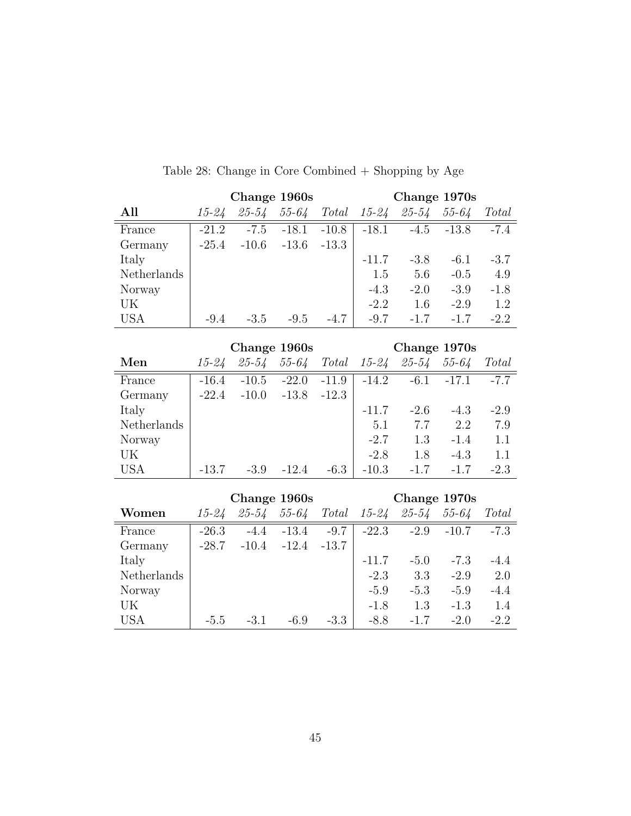| All         | $15 - 24$ | $25 - 54$ | $55 - 64$    | Total   | $15 - 24$ | $25 - 54$           | $55 - 64$ | Total   |
|-------------|-----------|-----------|--------------|---------|-----------|---------------------|-----------|---------|
| France      | $-21.2$   | $-7.5$    | $-18.1$      | $-10.8$ | $-18.1$   | $-4.5$              | $-13.8$   | $-7.4$  |
| Germany     | $-25.4$   | $-10.6$   | $-13.6$      | $-13.3$ |           |                     |           |         |
| Italy       |           |           |              |         | $-11.7$   | $-3.8$              | $-6.1$    | $-3.7$  |
| Netherlands |           |           |              |         | 1.5       | 5.6                 | $-0.5$    | 4.9     |
| Norway      |           |           |              |         | $-4.3$    | $-2.0$              | $-3.9$    | $-1.8$  |
| UK          |           |           |              |         | $-2.2$    | 1.6                 | $-2.9$    | 1.2     |
| <b>USA</b>  | $-9.4$    | $-3.5$    | $-9.5$       | $-4.7$  | $-9.7$    | $-1.7$              | $-1.7$    | $-2.2$  |
|             |           |           |              |         |           |                     |           |         |
|             |           |           | Change 1960s |         |           | Change 1970s        |           |         |
| Men         | $15 - 24$ | $25 - 54$ | $55 - 64$    | Total   |           | $15 - 24$ $25 - 54$ | $55 - 64$ | Total   |
| France      | $-16.4$   | $-10.5$   | $-22.0$      | $-11.9$ | $-14.2$   | $-6.1$              | $-17.1$   | $-7.7$  |
| Germany     | $-22.4$   | $-10.0$   | $-13.8$      | $-12.3$ |           |                     |           |         |
| Italy       |           |           |              |         | $-11.7$   | $-2.6$              | $-4.3$    | $-2.9$  |
| Netherlands |           |           |              |         | 5.1       | 7.7                 | 2.2       | $7.9\,$ |
| Norway      |           |           |              |         | $-2.7$    | 1.3                 | $-1.4$    | 1.1     |
| UK          |           |           |              |         | $-2.8$    | 1.8                 | $-4.3$    | 1.1     |
| <b>USA</b>  | $-13.7$   | $-3.9$    | $-12.4$      | $-6.3$  | $-10.3$   | $-1.7$              | $-1.7$    | $-2.3$  |
|             |           |           | Change 1960s |         |           | Change 1970s        |           |         |
| Women       | $15 - 24$ | $25 - 54$ | $55 - 64$    | Total   | 15-24     | 25-54               | $55 - 64$ | Total   |
|             |           |           |              |         |           |                     |           |         |
| France      | $-26.3$   | $-4.4$    | $-13.4$      | $-9.7$  | $-22.3$   | $-2.9$              | $-10.7$   | $-7.3$  |
| Germany     | $-28.7$   | $-10.4$   | $-12.4$      | $-13.7$ |           |                     |           |         |
| Italy       |           |           |              |         | $-11.7$   | $-5.0$              | $-7.3$    | $-4.4$  |
| Netherlands |           |           |              |         | $-2.3$    | $3.3\,$             | $-2.9$    | 2.0     |
| Norway      |           |           |              |         | $-5.9$    | $-5.3$              | $-5.9$    | $-4.4$  |
| UK          |           |           |              |         | $-1.8$    | 1.3                 | $-1.3$    | 1.4     |
| <b>USA</b>  | $-5.5$    | $-3.1$    | $-6.9$       | $-3.3$  | $-8.8$    | $-1.7$              | $-2.0$    | $-2.2$  |

Table 28: Change in Core Combined + Shopping by Age

Change 1960s Change 1970s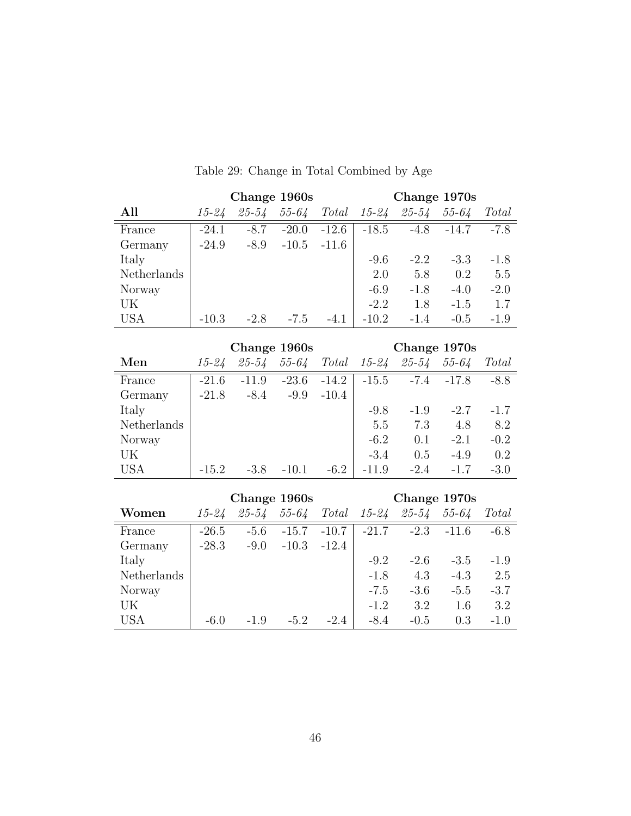|             |           | Change 1960s |           |         |           | Change 1970s |           |        |
|-------------|-----------|--------------|-----------|---------|-----------|--------------|-----------|--------|
| All         | $15 - 24$ | 25-54        | $55 - 64$ | Total   | $15 - 24$ | $25 - 54$    | $55 - 64$ | Total  |
| France      | $-24.1$   | $-8.7$       | $-20.0$   | $-12.6$ | $-18.5$   | $-4.8$       | $-14.7$   | $-7.8$ |
| Germany     | $-24.9$   | $-8.9$       | $-10.5$   | $-11.6$ |           |              |           |        |
| Italy       |           |              |           |         | $-9.6$    | $-2.2$       | $-3.3$    | $-1.8$ |
| Netherlands |           |              |           |         | 2.0       | 5.8          | 0.2       | 5.5    |
| Norway      |           |              |           |         | $-6.9$    | $-1.8$       | $-4.0$    | $-2.0$ |
| UK          |           |              |           |         | $-2.2$    | 1.8          | $-1.5$    | 1.7    |
| <b>USA</b>  | $-10.3$   | $-2.8$       | $-7.5$    | $-4.1$  | $-10.2$   | $-1.4$       | $-0.5$    | $-1.9$ |
|             |           |              |           |         |           |              |           |        |

Table 29: Change in Total Combined by Age

|             |           | Change 1960s |           |         |           | Change 1970s |           |        |
|-------------|-----------|--------------|-----------|---------|-----------|--------------|-----------|--------|
| Men         | $15 - 24$ | $25 - 54$    | $55 - 64$ | Total   | $15 - 24$ | $25 - 54$    | $55 - 64$ | Total  |
| France      | $-21.6$   | $-11.9$      | $-23.6$   | $-14.2$ | $-15.5$   | $-7.4$       | $-17.8$   | $-8.8$ |
| Germany     | $-21.8$   | $-8.4$       | $-9.9$    | $-10.4$ |           |              |           |        |
| Italy       |           |              |           |         | $-9.8$    | $-1.9$       | $-2.7$    | $-1.7$ |
| Netherlands |           |              |           |         | 5.5       | 7.3          | 4.8       | 8.2    |
| Norway      |           |              |           |         | $-6.2$    | 0.1          | $-2.1$    | $-0.2$ |
| UK          |           |              |           |         | $-3.4$    | 0.5          | $-4.9$    | 0.2    |
| <b>USA</b>  | $-15.2$   | $-3.8$       | $-10.1$   | $-6.2$  | $-11.9$   | $-2.4$       | $-1.7$    | $-3.0$ |

|             |           |           | Change 1960s |         |           | Change 1970s |           |        |
|-------------|-----------|-----------|--------------|---------|-----------|--------------|-----------|--------|
| Women       | $15 - 24$ | $25 - 54$ | $55 - 64$    | Total   | $15 - 24$ | $25 - 54$    | $55 - 64$ | Total  |
| France      | $-26.5$   | $-5.6$    | $-15.7$      | $-10.7$ | $-21.7$   | $-2.3$       | $-11.6$   | $-6.8$ |
| Germany     | $-28.3$   | $-9.0$    | $-10.3$      | $-12.4$ |           |              |           |        |
| Italy       |           |           |              |         | $-9.2$    | $-2.6$       | $-3.5$    | $-1.9$ |
| Netherlands |           |           |              |         | $-1.8$    | 4.3          | $-4.3$    | 2.5    |
| Norway      |           |           |              |         | $-7.5$    | $-3.6$       | $-5.5$    | $-3.7$ |
| UK          |           |           |              |         | $-1.2$    | 3.2          | 1.6       | 3.2    |
| <b>USA</b>  | $-6.0$    | $-1.9$    | $-5.2$       | $-2.4$  | $-8.4$    | $-0.5$       | 0.3       | $-1.0$ |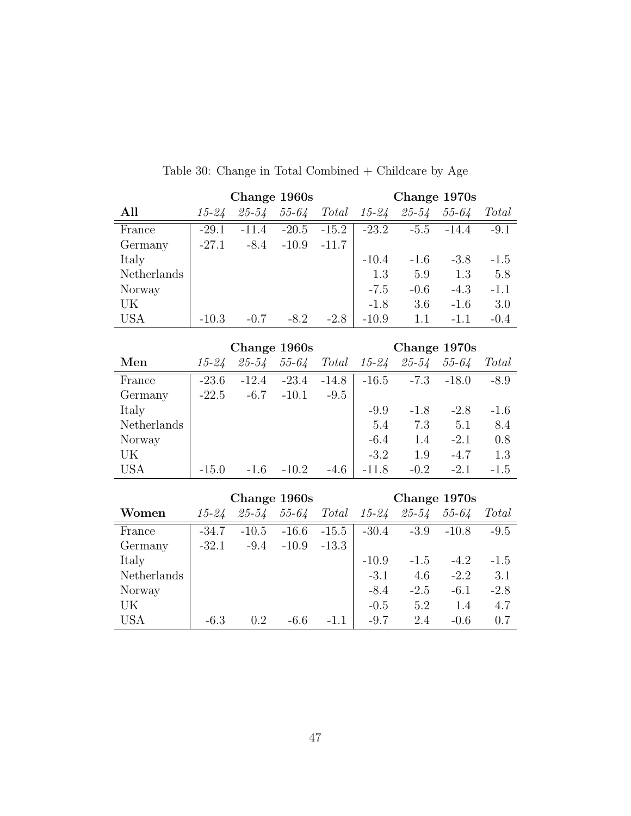| All         | $15 - 24$ | $25 - 54$ | $55 - 64$    | Total   | $15 - 24$ | $25 - 54$    | $55 - 64$ | Total   |
|-------------|-----------|-----------|--------------|---------|-----------|--------------|-----------|---------|
| France      | $-29.1$   | $-11.4$   | $-20.5$      | $-15.2$ | $-23.2$   | $-5.5$       | $-14.4$   | $-9.1$  |
| Germany     | $-27.1$   | $-8.4$    | $-10.9$      | $-11.7$ |           |              |           |         |
| Italy       |           |           |              |         | $-10.4$   | $-1.6$       | $-3.8$    | $-1.5$  |
| Netherlands |           |           |              |         | 1.3       | $5.9\,$      | 1.3       | $5.8\,$ |
| Norway      |           |           |              |         | $-7.5$    | $-0.6$       | $-4.3$    | $-1.1$  |
| UK          |           |           |              |         | $-1.8$    | 3.6          | $-1.6$    | 3.0     |
| <b>USA</b>  | $-10.3$   | $-0.7$    | $-8.2$       | $-2.8$  | $-10.9$   | 1.1          | $-1.1$    | $-0.4$  |
|             |           |           | Change 1960s |         |           | Change 1970s |           |         |
| Men         | $15 - 24$ | $25 - 54$ | $55 - 64$    | Total   | $15 - 24$ | $25 - 54$    | $55 - 64$ | Total   |
|             |           |           |              |         |           |              |           |         |
| France      | $-23.6$   | $-12.4$   | $-23.4$      | $-14.8$ | $-16.5$   | $-7.3$       | $-18.0$   | $-8.9$  |
| Germany     | $-22.5$   | $-6.7$    | $-10.1$      | $-9.5$  |           |              |           |         |
| Italy       |           |           |              |         | $-9.9$    | $-1.8$       | $-2.8$    | $-1.6$  |
| Netherlands |           |           |              |         | $5.4\,$   | 7.3          | 5.1       | 8.4     |
| Norway      |           |           |              |         | $-6.4$    | 1.4          | $-2.1$    | 0.8     |
| UK          |           |           |              |         | $-3.2$    | 1.9          | $-4.7$    | 1.3     |
| <b>USA</b>  | $-15.0$   | $-1.6$    | $-10.2$      | $-4.6$  | $-11.8$   | $-0.2$       | $-2.1$    | $-1.5$  |
|             |           |           |              |         |           |              |           |         |
|             |           |           | Change 1960s |         |           | Change 1970s |           |         |
| Women       | $15 - 24$ | $25 - 54$ | $55 - 64$    | Total   | $15 - 24$ | $25 - 54$    | $55 - 64$ | Total   |
| France      | $-34.7$   | $-10.5$   | $-16.6$      | $-15.5$ | $-30.4$   | $-3.9$       | $-10.8$   | $-9.5$  |
| Germany     | $-32.1$   | $-9.4$    | $-10.9$      | $-13.3$ |           |              |           |         |
| Italy       |           |           |              |         | $-10.9$   | $-1.5$       | $-4.2$    | $-1.5$  |
| Netherlands |           |           |              |         | $-3.1$    | 4.6          | $-2.2$    | 3.1     |
| Norway      |           |           |              |         | $-8.4$    | $-2.5$       | $-6.1$    | $-2.8$  |
| UK          |           |           |              |         | $-0.5$    | 5.2          | 1.4       | 4.7     |
| <b>USA</b>  | $-6.3$    | 0.2       | $-6.6$       | $-1.1$  | $-9.7$    | 2.4          | $-0.6$    | 0.7     |

Table 30: Change in Total Combined + Childcare by Age

Change 1960s Change 1970s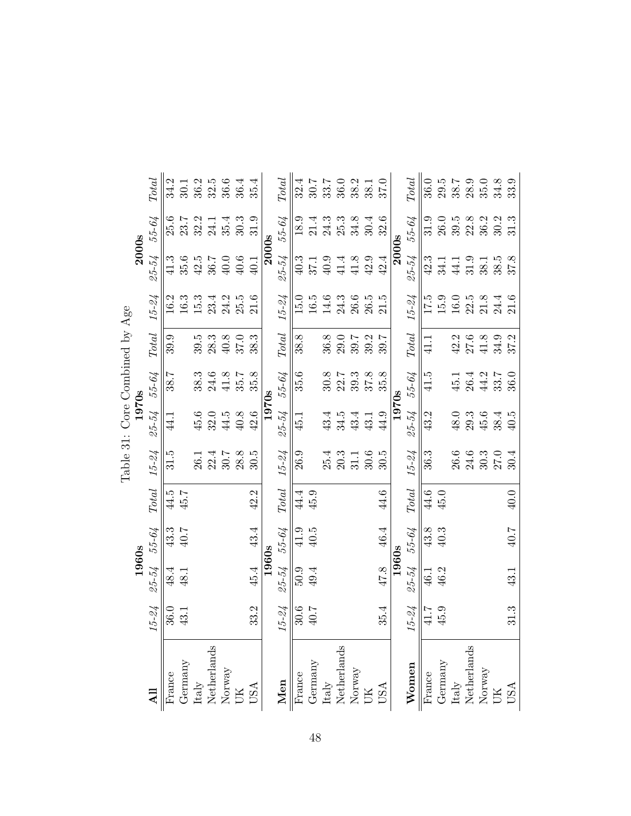|                                                                                                                   |           |           |        |                        |           | Table 31: Core Combined by Age |       |                        |           |              |        |                          |
|-------------------------------------------------------------------------------------------------------------------|-----------|-----------|--------|------------------------|-----------|--------------------------------|-------|------------------------|-----------|--------------|--------|--------------------------|
|                                                                                                                   |           | 1960s     |        |                        |           | 1970s                          |       |                        |           | <b>2000s</b> |        |                          |
|                                                                                                                   | $15 - 24$ | 25-54     | 55-64  | $\operatorname{Total}$ | $15 - 24$ | 25-54                          | 55-64 | Total                  | $15 - 24$ | $25 - 54$    | 55-64  | $\operatorname{Total}$   |
| France                                                                                                            | 36.0      | 48.4      | 43.3   | 44.5                   | 31.5      | 44.1                           | 38.7  | 39.9                   | 16.2      |              | 25.6   | 34.2                     |
| Germany                                                                                                           | 43.1      | 48.1      | 40.7   | 45.7                   |           |                                |       |                        | $16.3$    | 35.6         | 23.7   | 30.1                     |
|                                                                                                                   |           |           |        |                        | 26.1      | 45.6                           | 38.3  | 39.5                   | $15.3\,$  | $42.5\,$     | 32.2   | 36.2                     |
| ${\rm Italy} \atop {\rm Netherlands}$                                                                             |           |           |        |                        | 22.4      | 32.0                           | 24.6  | 28.3                   | 23.4      | 36.7         | 24.1   | 32.5                     |
| $\begin{array}{lcl} & & \\ \text{Morway} & \\ & \text{UK} & \\ \end{array}$                                       |           |           |        |                        | $30.7\,$  | 44.5                           | 41.8  | 40.8                   | 24.2      | 40.0         | 35.4   | 36.6                     |
|                                                                                                                   |           |           |        |                        | 28.8      | 40.8                           | 35.7  | 37.0                   | 25.5      | $40.6$       | 30.3   | 36.4                     |
| <b>USA</b>                                                                                                        | 33.2      | 45.4      | 43.4   | $42.2$                 | 30.5      | 42.6                           | 35.8  | 38.3                   | 21.6      | 40.1         | 31.9   | 35.4                     |
|                                                                                                                   |           | 1960s     |        |                        |           | 1970s                          |       |                        |           | 2000s        |        |                          |
| Men                                                                                                               | $15 - 24$ | $25 - 54$ | 55-64  | $\operatorname{Total}$ | $15 - 24$ | 25-54                          | 55-64 | $\operatorname{Total}$ | $15 - 24$ | $25 - 54$    | 55-64  | $\label{eq:total} Total$ |
| $\begin{tabular}{l} \hline \textbf{France} \\ \textbf{Germany} \\ \textbf{Italy} \\ \textbf{Italy} \end{tabular}$ | 30.6      | 5.0.5     | 41.9   | 44.4                   | 26.9      | 45.1                           | 35.6  | 38.8                   | 15.0      | 40.3         | 18.9   | 32.4                     |
|                                                                                                                   | 40.7      | 49.4      | 40.5   | $45.9$                 |           |                                |       |                        | 16.5      | 37.1         | 21.4   | 30.7                     |
|                                                                                                                   |           |           |        |                        | 25.4      | 43.4                           | 30.8  | 36.8                   | 14.6      | 40.9         | $24.3$ | 33.7                     |
|                                                                                                                   |           |           |        |                        | 20.3      | 34.5                           | 22.7  | 29.0                   | 24.3      | 41.4         | 25.3   | 36.0                     |
| $\begin{array}{lcl} & & \\ \text{Morway} & \\ & \text{UK} & \end{array}$                                          |           |           |        |                        | 31.1      | 43.4                           | 39.3  | 39.7                   | 26.6      | 41.8         | 34.8   | 38.2                     |
|                                                                                                                   |           |           |        |                        | 30.6      | 43.1                           | 37.8  | 39.2                   | 26.5      | 42.9         | 30.4   | 38.1                     |
| <b>USA</b>                                                                                                        | 35.4      | $47.8$    | 46.4   | 44.6                   | 30.5      | 44.9                           | 35.8  | 39.7                   | 21.5      | 42.4         | 32.6   | 37.0                     |
|                                                                                                                   |           | 1960s     |        |                        |           | 1970s                          |       |                        |           | <b>2000s</b> |        |                          |
| Women                                                                                                             | $15 - 24$ | $25 - 54$ | 55-64  | <b>Total</b>           | $15 - 24$ | 25-54                          | 55-64 | <b>Total</b>           | $15 - 24$ | $25 - 54$    | 55-64  | <b>Total</b>             |
| $\overline{\text{France}}$                                                                                        | 41.7      | 46.1      | 43.8   | 44.6                   | 36.3      | 43.2                           | 41.5  | 41.1                   | 17.5      | 42.3         | 31.9   | 36.0                     |
| Germany                                                                                                           | 45.9      | 46.2      | $40.3$ | 45.0                   |           |                                |       |                        | 15.9      | 34.1         | 26.0   | $29.5$                   |
| ${\rm Italy} \atop {\rm Netherlands}$                                                                             |           |           |        |                        | 26.6      | 48.0                           | 45.1  | 42.2                   | 16.0      | 44.1         | 39.5   | $38.7\,$                 |
|                                                                                                                   |           |           |        |                        | 24.6      | 29.3                           | 26.4  | 27.6                   | 22.5      | 31.9         | 22.8   | 28.9                     |
| $\begin{array}{lcl} & & \\ \text{Morway} & \\ & \text{UK} & \\ \end{array}$                                       |           |           |        |                        | 30.3      | 45.6                           | 44.2  | 41.8                   | $21.8\,$  | 38.1         | 36.2   | 35.0                     |
|                                                                                                                   |           |           |        |                        | 27.0      | 38.4                           | 33.7  | 34.9                   | 24.4      | 38.5         | 30.2   | 34.8                     |
| USA                                                                                                               | 31.3      | 43.1      | 40.7   | 40.0                   | 30.4      | 40.5                           | 36.0  | 37.2                   | 21.6      | 37.8         | 31.3   | 33.9                     |

≺ ہ یہ نہیں  $\zeta$  $T_2$ <sub>ble</sub> 21.  $C_6$ 

j.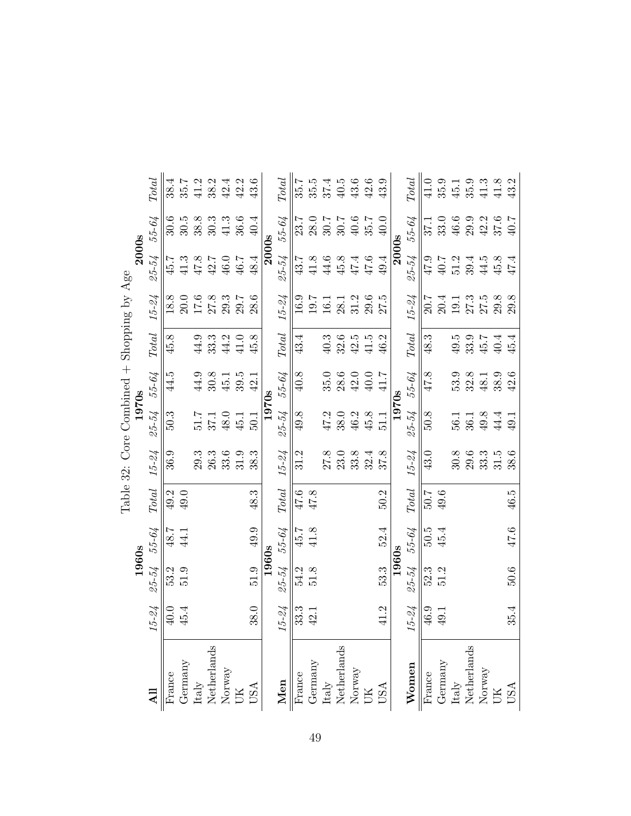|                                           | <b>Total</b>           | 38.4   | 35.7    | 41.2 | 38.2                 | 42.4   | 42.2                                                                                | 43.6 |       | $\label{eq:total} Total$ | 35.7              | 35.5   | 37.4                 | 40.5 | 43.6                                                                  | 42.6     | $43.9\,$       |       | <b>Total</b>             | 41.0   | 35.9    | $45.1\,$                              | 35.9 | $41.3$                                                                     | 41.8 | 43.2 |
|-------------------------------------------|------------------------|--------|---------|------|----------------------|--------|-------------------------------------------------------------------------------------|------|-------|--------------------------|-------------------|--------|----------------------|------|-----------------------------------------------------------------------|----------|----------------|-------|--------------------------|--------|---------|---------------------------------------|------|----------------------------------------------------------------------------|------|------|
|                                           | 55-64                  | 30.6   | 30.5    | 38.8 | 30.3                 | $41.3$ | 36.6                                                                                | 40.4 |       | 55-64                    | 23.7              | 28.0   | 30.7                 | 30.7 | $40.6$                                                                | 35.7     | 40.0           |       | 55-64                    | 37.1   | 33.0    | 46.6                                  | 29.9 | 42.2                                                                       | 37.6 | 40.7 |
| 2000s                                     | $25 - 54$              | 45.7   | 41.3    | 47.8 | 42.7                 | 46.0   | 46.7                                                                                | 48.4 | 2000s | $25 - 54$                | 43.7              | 41.8   | 44.6                 | 45.8 | 47.4                                                                  | 47.6     | 49.4           | 2000s | $25 - 54$                | 47.9   | 40.7    | 51.2                                  | 39.4 | 44.5                                                                       | 45.8 | 47.4 |
| Table 32: Core Combined + Shopping by Age | $15 - 24$              | 18.8   | 20.0    |      | $\frac{17.6}{27.8}$  |        | 29.7                                                                                | 28.6 |       | $15 - 24$                | 16.9              | 19.7   | 16.1                 | 28.1 | 31.2                                                                  | $29.6\,$ | 27.5           |       | $15 - 24$                | 20.7   | 20.4    | 19.1                                  | 27.3 | 27.5                                                                       | 29.8 | 29.8 |
|                                           | Total                  | 45.8   |         | 44.9 | 33.3                 | 44.2   | 41.0                                                                                | 45.8 |       | $\operatorname{Total}$   | 43.4              |        | $40.3$               | 32.6 | 42.5                                                                  | 41.5     | 46.2           |       | $\operatorname{Total}$   | 48.3   |         | $49.5$                                | 33.9 | 45.7                                                                       | 40.4 | 45.4 |
|                                           | 55-64                  | 44.5   |         | 44.9 | 30.8                 | 45.1   | 39.5                                                                                | 42.1 |       | 55-64                    | 40.8              |        | 35.0                 | 28.6 | 42.0                                                                  | 40.0     | 41.7           |       | 55-64                    | 47.8   |         | 53.9                                  | 32.8 | 48.1                                                                       | 38.9 | 42.6 |
| 1970s                                     | 25-54                  | 50.3   |         | 51.7 | 37.1                 | 48.0   | 45.1                                                                                | 50.1 | 1970s | 25-54                    | 49.8              |        | 47.2                 | 38.0 | 46.2                                                                  | 45.8     | $\frac{1}{10}$ | 1970s | $25 - 54$                | 50.8   |         | 56.1                                  | 36.1 | 49.8                                                                       | 44.4 | 49.1 |
|                                           | $15 - 24$              | 36.9   |         | 29.3 | 26.3                 | 33.6   | 31.9                                                                                | 38.3 |       | $15 - 24$                | 31.2              |        | 27.8                 | 23.0 | 33.8                                                                  | 32.4     | 37.8           |       | $15 - 24$                | 43.0   |         | 30.8                                  | 29.6 | 33.3                                                                       | 31.5 | 38.6 |
|                                           | $\operatorname{Total}$ | 49.2   | 49.0    |      |                      |        |                                                                                     | 48.3 |       | $\label{eq:total} Total$ | 47.6              | 47.8   |                      |      |                                                                       |          | 50.2           |       | $\label{eq:total} Total$ | 7.05   | 49.6    |                                       |      |                                                                            |      | 46.5 |
|                                           | 55-64                  | 48.7   | 44.1    |      |                      |        |                                                                                     | 49.9 |       | 55-64                    | 45.7              | $41.8$ |                      |      |                                                                       |          | 52.4           |       | 55-64                    | 50.5   | 45.4    |                                       |      |                                                                            |      | 47.6 |
| 1960s                                     | 25-54                  | 53.2   | 51.9    |      |                      |        |                                                                                     | 51.9 | 1960s | 25-54                    | 54.2              | 51.8   |                      |      |                                                                       |          | 53.3           | 1960s | 25-54                    | 52.3   | 51.2    |                                       |      |                                                                            |      | 50.6 |
|                                           | $15 - 24$              | 40.0   | 45.4    |      |                      |        |                                                                                     | 38.0 |       | $15 - 24$                | 33.3              | 42.1   |                      |      |                                                                       |          | 41.2           |       | $15 - 24$                | 46.9   | 49.1    |                                       |      |                                                                            |      | 35.4 |
|                                           |                        | France | Germany |      | Italy<br>Netherlands |        | $\begin{array}{lcl} & & \\ \text{Moway} \\ & \text{UK} \\ & \text{USA} \end{array}$ |      |       | Men                      | France<br>Germany |        | Italy<br>Netherlands |      | $\begin{array}{lcl} & & \\ \text{Mor} & \\ \text{UK} & & \end{array}$ |          | <b>ASU</b>     |       | Women                    | France | Germany | ${\rm Italy} \atop {\rm Netherlands}$ |      | $\begin{array}{lcl} & & \\ \text{Mor} & & \\ \text{UK} & & \\ \end{array}$ |      | USA  |

| ombinoo           | م<br>موج |
|-------------------|----------|
| 1070 <sub>2</sub> | ζ        |
| Ì                 | C<br>C   |
|                   |          |

49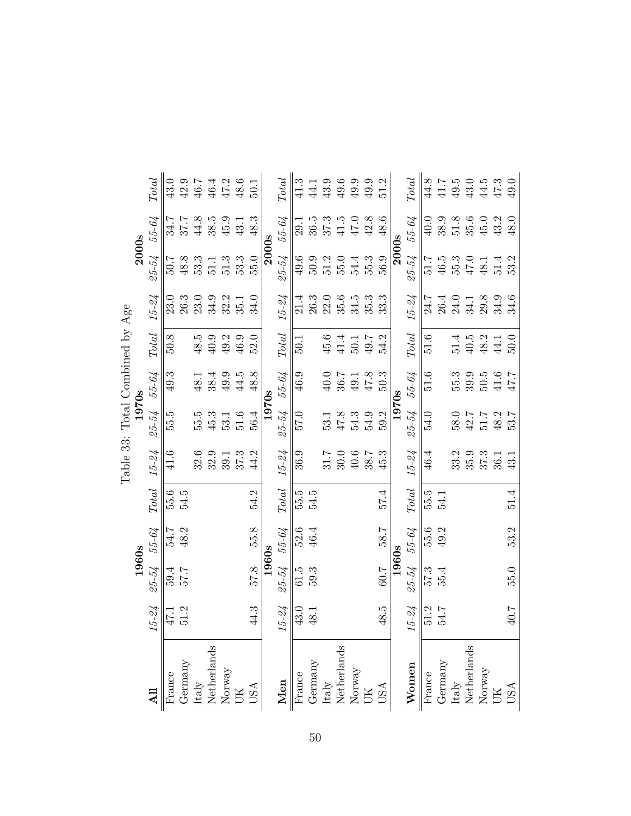|                                 |       | <b>Total</b>           | 43.0   | $42.9$  | 46.7 | 46.4                                  | 47.2                                                    | 48.6 | 50.1       |       | <b>Total</b>           | 41.3                       | 44.1    | $43.9\,$                              | $49.6\,$ | 49.9                                                     | 49.9 | 51.2       |              | <b>Total</b>           | 44.8             | 41.7    | $49.5$               | 43.0 | 44.5                                                                    | 47.3   | 49.0 |
|---------------------------------|-------|------------------------|--------|---------|------|---------------------------------------|---------------------------------------------------------|------|------------|-------|------------------------|----------------------------|---------|---------------------------------------|----------|----------------------------------------------------------|------|------------|--------------|------------------------|------------------|---------|----------------------|------|-------------------------------------------------------------------------|--------|------|
|                                 | 2000s | 55-64                  | 34.7   | 37.7    | 44.8 | 38.5                                  | 45.9                                                    | 43.1 | 48.3       | 2000s | 55-64                  | 29.1                       | 36.5    | 37.3                                  | 41.5     | 47.0                                                     | 42.8 | 48.6       | <b>2000s</b> | 55-64                  | 40.0             | 38.9    | $51.8\,$             | 35.6 | 45.0                                                                    | 43.2   | 48.0 |
|                                 |       | 25-54                  | 7.02   | 48.8    | 53.3 | 51.1                                  | 51.3                                                    | 53.3 | 55.0       |       | 25-54                  | 49.6                       | 50.9    | 51.2                                  | 55.0     | 54.4                                                     | 55.3 | 56.9       |              | 25-54                  | 51.7             | 46.5    | 55.3                 | 47.0 | 48.1                                                                    | 51.4   | 53.2 |
|                                 |       | $15 - 24$              | 23.0   | 26.3    | 23.0 | 34.9                                  | 32.2                                                    | 35.1 | 34.0       |       | $15 - 24$              | 21.4                       | 26.3    | 22.0                                  | 35.6     | 34.5                                                     | 35.3 | 33.3       |              | $15 - 24$              | 24.7             | 26.4    | 24.0                 | 34.1 | 29.8                                                                    | 34.9   | 34.6 |
|                                 |       | $\operatorname{Total}$ | 50.8   |         | 48.5 | 40.9                                  | 49.2                                                    | 46.9 | 52.0       |       | $\operatorname{Total}$ | 50.1                       |         | 45.6                                  | 41.4     | 50.1                                                     | 49.7 | 54.2       |              | $\operatorname{Total}$ | 51.6             |         | 51.4                 | 40.5 | 48.2                                                                    | 44.1   | 50.0 |
|                                 |       | 55-64                  | 49.3   |         | 48.1 | 38.4                                  | 49.9                                                    | 44.5 | 48.8       |       | 55-64                  | 46.9                       |         | 40.0                                  | 36.7     | 49.1                                                     | 47.8 | 50.3       |              | 55-64                  | 51.6             |         | 55.3                 | 39.9 | 50.5                                                                    | $41.6$ | 47.7 |
|                                 | 1970s | 25-54                  | 55.5   |         | 55.5 | 45.3                                  | 53.1                                                    | 51.6 | 56.4       | 1970s | 25-54                  | 57.0                       |         | 53.1                                  | 47.8     | 54.3                                                     | 54.9 | 59.2       | 1970s        | 25-54                  | 54.0             |         | 58.0                 | 42.7 | 51.7                                                                    | 48.2   | 53.7 |
| Table 33: Total Combined by Age |       | $15 - 24$              | 41.6   |         | 32.6 | 32.9                                  | 39.1                                                    | 37.3 | 44.2       |       | $15 - 24$              | 36.9                       |         | 31.7                                  | 30.0     | $40.6$                                                   | 38.7 | 45.3       |              | $15 - 24$              | 46.4             |         | 33.2                 | 35.9 | 37.3                                                                    | 36.1   | 43.1 |
|                                 |       | $\operatorname{Total}$ | 55.6   | 54.5    |      |                                       |                                                         |      | 54.2       |       | $\operatorname{Total}$ | 55.5                       | 54.5    |                                       |          |                                                          |      | 57.4       |              | $\operatorname{Total}$ | $\frac{5.5}{5}$  | 54.1    |                      |      |                                                                         |        | 51.4 |
|                                 |       | 55-64                  | 54.7   | 48.2    |      |                                       |                                                         |      | 55.8       |       | 55-64                  | 52.6                       | 46.4    |                                       |          |                                                          |      | 58.7       |              | 55-64                  | $\frac{55.6}{ }$ | 49.2    |                      |      |                                                                         |        | 53.2 |
|                                 | 1960s | $25 - 54$              | 59.4   | 7.76    |      |                                       |                                                         |      | 57.8       | 1960s | 25-54                  | 61.5                       | 59.3    |                                       |          |                                                          |      | 60.7       | 1960s        | 25-54                  | 57.3             | 55.4    |                      |      |                                                                         |        | 55.0 |
|                                 |       | $15 - 24$              | 17.1   | 51.2    |      |                                       |                                                         |      | 44.3       |       | $15 - 24$              | 43.0                       | 48.1    |                                       |          |                                                          |      | 48.5       |              | $15 - 24$              | 51.2             | 54.7    |                      |      |                                                                         |        | 40.7 |
|                                 |       |                        | France | Gernany |      | ${\rm Italy} \atop {\rm Netherlands}$ | $\begin{array}{l} {\rm Normay} \\ {\rm UK} \end{array}$ |      | <b>USA</b> |       | Men                    | $\overline{\text{France}}$ | Germany | ${\rm Italy} \atop {\rm Netherlands}$ |          | $\begin{array}{l}\text{Norway} \\ \text{UK} \end{array}$ |      | <b>USA</b> |              | Women                  | France           | Germany | Italy<br>Netherlands |      | $\begin{array}{lcl} & & \\ \text{Moway} & \\ & \text{UK} & \end{array}$ |        | USA  |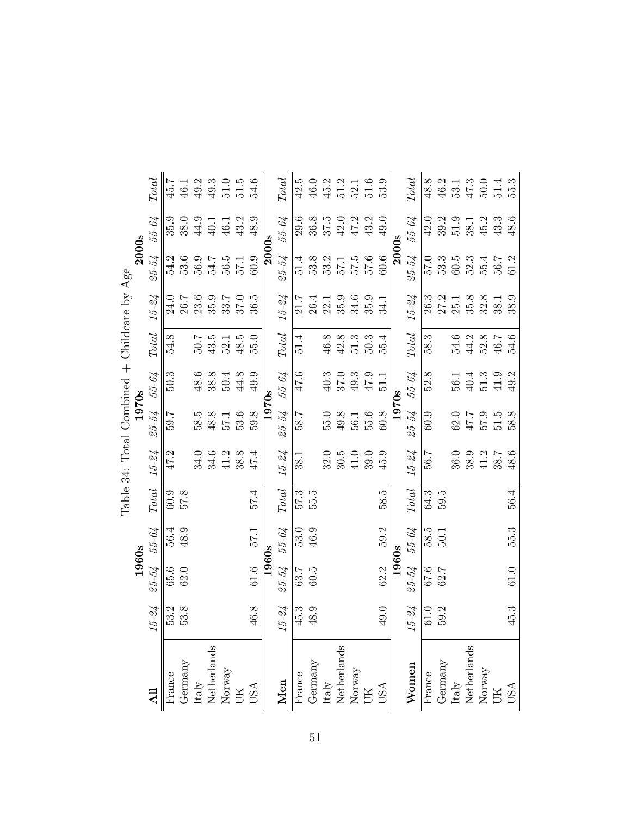|                                             |       | $\operatorname{Total}$ | 45.7   | 46.1    | 49.2                 | $49.3$ | 51.0 | 51.5                                                                            | 54.6 |       | $\label{eq:total} Total$ | 42.5              | 46.0 | 45.2                 | 51.2 | 52.1                                                                        | 51.6   | 53.9           |       | $\operatorname{Total}$   | 48.8   | 46.2    | 53.1                                  | 47.3 | 50.0                                                                       | 51.4 | 55.3 |
|---------------------------------------------|-------|------------------------|--------|---------|----------------------|--------|------|---------------------------------------------------------------------------------|------|-------|--------------------------|-------------------|------|----------------------|------|-----------------------------------------------------------------------------|--------|----------------|-------|--------------------------|--------|---------|---------------------------------------|------|----------------------------------------------------------------------------|------|------|
|                                             |       | 55-64                  | 35.9   | 38.0    | 44.9                 | 40.1   | 46.1 | 43.2                                                                            | 48.9 |       | 55-64                    | 29.6              | 36.8 | 37.5                 | 42.0 | 47.2                                                                        | 43.2   | 49.0           |       | 55-64                    | 42.0   | 39.2    | 51.9                                  | 38.1 | 45.2                                                                       | 43.3 | 48.6 |
|                                             | 2000s | $25 - 54$              | 54.2   | 53.6    | 56.9                 | 54.7   | 56.5 | 57.1                                                                            | 60.9 | 2000s | $25 - 54$                | 51.4              | 53.8 | 53.2                 | 57.1 | $57.5$ $57.6$                                                               |        | 60.6           | 2000s | $25 - 54$                | 0.75   | 53.3    | $60.5$                                | 52.3 | 55.4                                                                       | 56.7 | 61.2 |
| Table 34: Total Combined + Childcare by Age |       | $15 - 24$              | 24.0   | 26.7    | 23.6                 | 35.9   | 33.7 | 37.0                                                                            | 36.5 |       | $15 - 24$                | 21.7              | 26.4 | 22.1                 | 35.9 | 34.6                                                                        | 35.9   | 34.1           |       | $15 - 24$                | 26.3   | 27.2    | $25.1\,$                              | 35.8 | 32.8                                                                       | 38.1 | 38.9 |
|                                             |       | Total                  | 54.8   |         | 50.7                 | $43.5$ | 52.1 | 48.5                                                                            | 55.0 |       | $\operatorname{Total}$   | 51.4              |      | 46.8                 | 42.8 | 51.3                                                                        | 50.3   | 55.4           |       | $\label{eq:total} Total$ | 58.3   |         | 54.6                                  | 44.2 | 52.8                                                                       | 46.7 | 54.6 |
|                                             |       | 55-64                  | 50.3   |         | 48.6                 | 38.8   | 50.4 | 44.8                                                                            | 49.9 |       | 55-64                    | 47.6              |      | $40.3$               | 37.0 | 49.3                                                                        | $47.9$ | $\frac{1}{10}$ |       | 55-64                    | 52.8   |         | 56.1                                  | 40.4 | 51.3                                                                       | 41.9 | 49.2 |
|                                             | 1970s | 25-54                  | 59.7   |         | 58.5                 | 48.8   | 57.1 | 53.6                                                                            | 59.8 | 1970s | 25-54                    | 58.7              |      | 55.0                 | 49.8 | 56.1                                                                        | 55.6   | 60.8           | 1970s | 25-54                    | 60.9   |         | 62.0                                  | 47.7 | 57.9                                                                       | 51.5 | 58.8 |
|                                             |       | $15 - 24$              | 47.2   |         | 34.0                 | 34.6   | 41.2 | 38.8                                                                            | 47.4 |       | $15 - 24$                | 38.1              |      | 32.0                 | 30.5 | 41.0                                                                        | 39.0   | 45.9           |       | $15 - 24$                | 56.7   |         | 36.0                                  | 38.9 | 41.2                                                                       | 38.7 | 48.6 |
|                                             |       | $\operatorname{Total}$ | 6.03   | 57.8    |                      |        |      |                                                                                 | 57.4 |       | <b>Total</b>             | 57.3              | 55.5 |                      |      |                                                                             |        | 58.5           |       | <b>Total</b>             | 64.3   | 5.05    |                                       |      |                                                                            |      | 56.4 |
|                                             |       | 55-64                  | 56.4   | 48.9    |                      |        |      |                                                                                 | 57.1 |       | 55-64                    | 53.0              | 46.9 |                      |      |                                                                             |        | 59.2           |       | 55-64                    | 58.5   | 50.1    |                                       |      |                                                                            |      | 55.3 |
|                                             | 1960s | 25-54                  | 65.6   | 62.0    |                      |        |      |                                                                                 | 61.6 | 1960s | 25-54                    | 63.7              | 60.5 |                      |      |                                                                             |        | 62.2           | 1960s | 25-54                    | 67.6   | 62.7    |                                       |      |                                                                            |      | 61.0 |
|                                             |       | $15 - 24$              | 53.2   | 53.8    |                      |        |      |                                                                                 | 46.8 |       | $15 - 24$                | 45.3              | 48.9 |                      |      |                                                                             |        | 49.0           |       | $15 - 24$                | 61.0   | 59.2    |                                       |      |                                                                            |      | 45.3 |
|                                             |       |                        | France | Germany | Italy<br>Netherlands |        |      | $\begin{array}{lcl} & \text{Normay} \\ & \text{UK} \\ & \text{USA} \end{array}$ |      |       | Men                      | France<br>Germany |      | Italy<br>Netherlands |      | $\begin{array}{lcl} & & \\ \text{Morway} & \\ & \text{UK} & \\ \end{array}$ |        | <b>ASU</b>     |       | Women                    | France | Germany | ${\rm Italy} \atop {\rm Netherlands}$ |      | $\begin{array}{lcl} & & \\ \text{Mor} & & \\ \text{UK} & & \\ \end{array}$ |      | USA  |

| $\frac{1}{2}$               |             |
|-----------------------------|-------------|
| しんじん<br>֬֘֝֬<br>-<br>7<br>Ē |             |
|                             |             |
| nmmmer<br>ζ                 | C<br>T<br>T |
| ۱<br>$\overline{a}$<br>ś    |             |
| ł                           |             |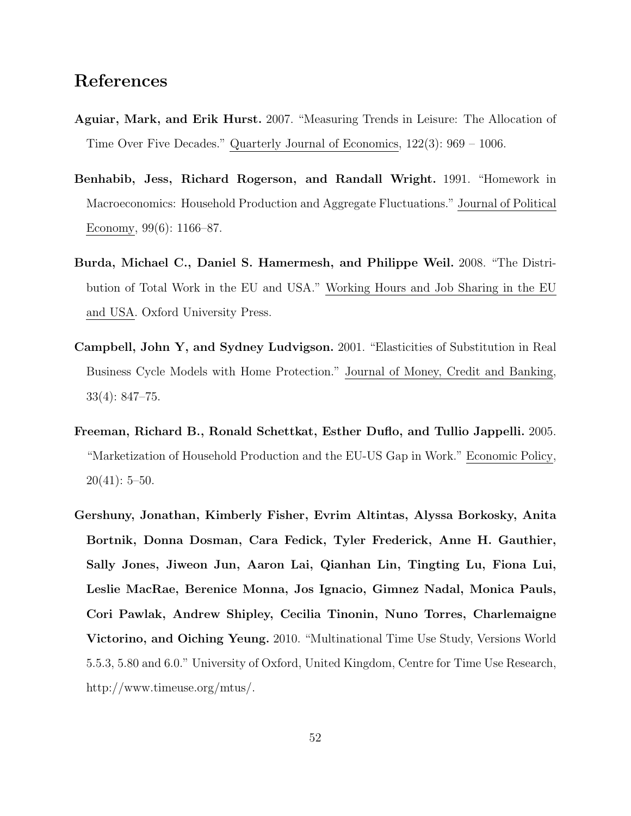# References

- Aguiar, Mark, and Erik Hurst. 2007. "Measuring Trends in Leisure: The Allocation of Time Over Five Decades." Quarterly Journal of Economics, 122(3): 969 – 1006.
- Benhabib, Jess, Richard Rogerson, and Randall Wright. 1991. "Homework in Macroeconomics: Household Production and Aggregate Fluctuations." Journal of Political Economy, 99(6): 1166–87.
- Burda, Michael C., Daniel S. Hamermesh, and Philippe Weil. 2008. "The Distribution of Total Work in the EU and USA." Working Hours and Job Sharing in the EU and USA. Oxford University Press.
- Campbell, John Y, and Sydney Ludvigson. 2001. "Elasticities of Substitution in Real Business Cycle Models with Home Protection." Journal of Money, Credit and Banking, 33(4): 847–75.
- Freeman, Richard B., Ronald Schettkat, Esther Duflo, and Tullio Jappelli. 2005. "Marketization of Household Production and the EU-US Gap in Work." Economic Policy,  $20(41): 5-50.$
- Gershuny, Jonathan, Kimberly Fisher, Evrim Altintas, Alyssa Borkosky, Anita Bortnik, Donna Dosman, Cara Fedick, Tyler Frederick, Anne H. Gauthier, Sally Jones, Jiweon Jun, Aaron Lai, Qianhan Lin, Tingting Lu, Fiona Lui, Leslie MacRae, Berenice Monna, Jos Ignacio, Gimnez Nadal, Monica Pauls, Cori Pawlak, Andrew Shipley, Cecilia Tinonin, Nuno Torres, Charlemaigne Victorino, and Oiching Yeung. 2010. "Multinational Time Use Study, Versions World 5.5.3, 5.80 and 6.0." University of Oxford, United Kingdom, Centre for Time Use Research, http://www.timeuse.org/mtus/.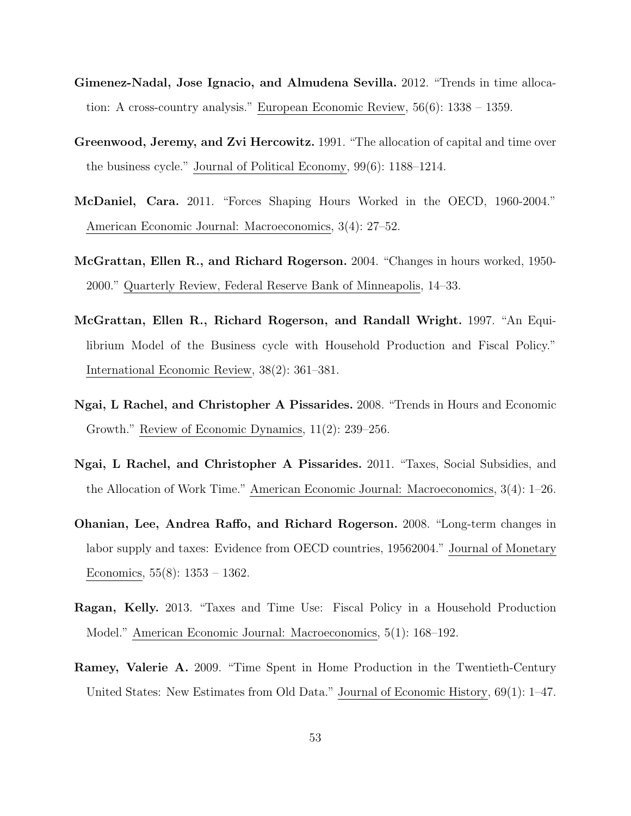- Gimenez-Nadal, Jose Ignacio, and Almudena Sevilla. 2012. "Trends in time allocation: A cross-country analysis." European Economic Review, 56(6): 1338 – 1359.
- Greenwood, Jeremy, and Zvi Hercowitz. 1991. "The allocation of capital and time over the business cycle." Journal of Political Economy, 99(6): 1188–1214.
- McDaniel, Cara. 2011. "Forces Shaping Hours Worked in the OECD, 1960-2004." American Economic Journal: Macroeconomics, 3(4): 27–52.
- McGrattan, Ellen R., and Richard Rogerson. 2004. "Changes in hours worked, 1950- 2000." Quarterly Review, Federal Reserve Bank of Minneapolis, 14–33.
- McGrattan, Ellen R., Richard Rogerson, and Randall Wright. 1997. "An Equilibrium Model of the Business cycle with Household Production and Fiscal Policy." International Economic Review, 38(2): 361–381.
- Ngai, L Rachel, and Christopher A Pissarides. 2008. "Trends in Hours and Economic Growth." Review of Economic Dynamics, 11(2): 239–256.
- Ngai, L Rachel, and Christopher A Pissarides. 2011. "Taxes, Social Subsidies, and the Allocation of Work Time." American Economic Journal: Macroeconomics, 3(4): 1–26.
- Ohanian, Lee, Andrea Raffo, and Richard Rogerson. 2008. "Long-term changes in labor supply and taxes: Evidence from OECD countries, 19562004." Journal of Monetary Economics,  $55(8)$ :  $1353 - 1362$ .
- Ragan, Kelly. 2013. "Taxes and Time Use: Fiscal Policy in a Household Production Model." American Economic Journal: Macroeconomics, 5(1): 168–192.
- Ramey, Valerie A. 2009. "Time Spent in Home Production in the Twentieth-Century United States: New Estimates from Old Data." Journal of Economic History, 69(1): 1–47.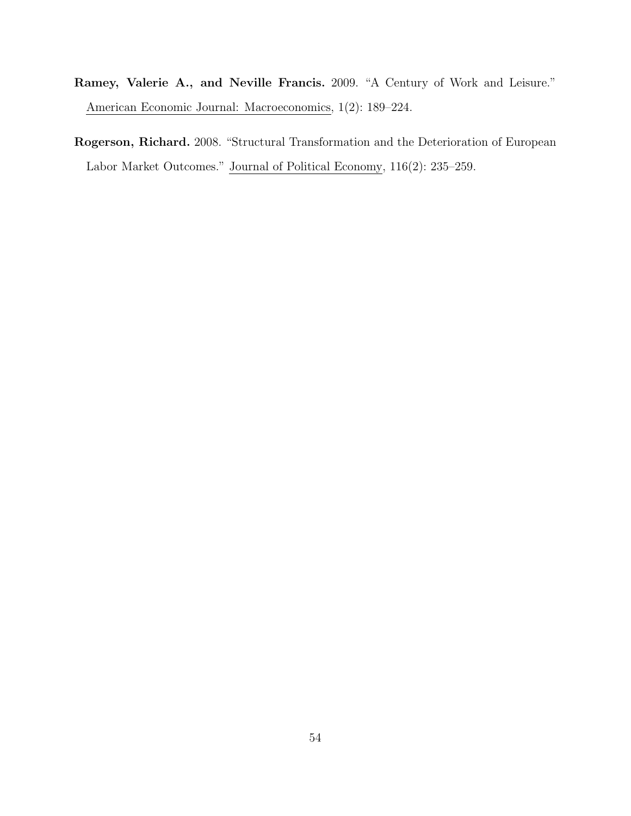- Ramey, Valerie A., and Neville Francis. 2009. "A Century of Work and Leisure." American Economic Journal: Macroeconomics, 1(2): 189–224.
- Rogerson, Richard. 2008. "Structural Transformation and the Deterioration of European Labor Market Outcomes." Journal of Political Economy, 116(2): 235–259.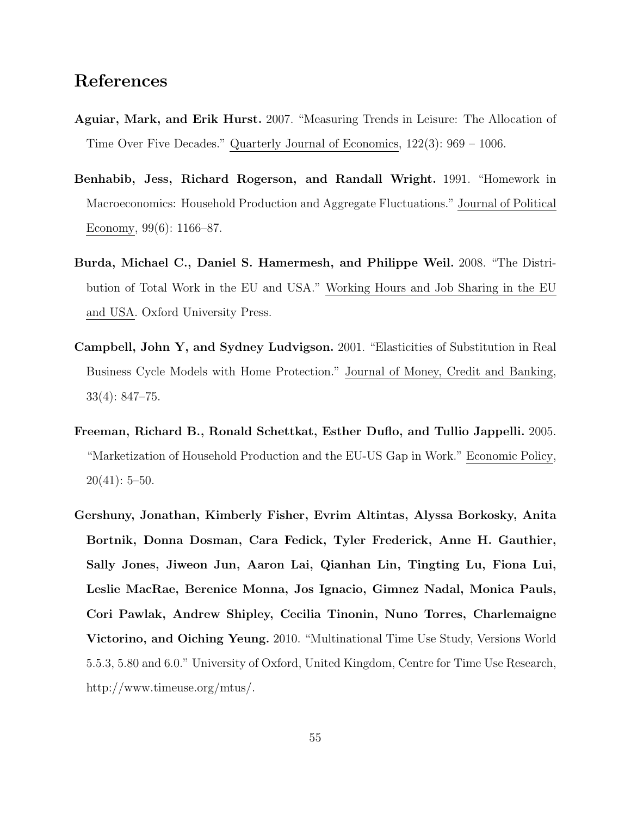# References

- Aguiar, Mark, and Erik Hurst. 2007. "Measuring Trends in Leisure: The Allocation of Time Over Five Decades." Quarterly Journal of Economics, 122(3): 969 – 1006.
- Benhabib, Jess, Richard Rogerson, and Randall Wright. 1991. "Homework in Macroeconomics: Household Production and Aggregate Fluctuations." Journal of Political Economy, 99(6): 1166–87.
- Burda, Michael C., Daniel S. Hamermesh, and Philippe Weil. 2008. "The Distribution of Total Work in the EU and USA." Working Hours and Job Sharing in the EU and USA. Oxford University Press.
- Campbell, John Y, and Sydney Ludvigson. 2001. "Elasticities of Substitution in Real Business Cycle Models with Home Protection." Journal of Money, Credit and Banking, 33(4): 847–75.
- Freeman, Richard B., Ronald Schettkat, Esther Duflo, and Tullio Jappelli. 2005. "Marketization of Household Production and the EU-US Gap in Work." Economic Policy,  $20(41): 5-50.$
- Gershuny, Jonathan, Kimberly Fisher, Evrim Altintas, Alyssa Borkosky, Anita Bortnik, Donna Dosman, Cara Fedick, Tyler Frederick, Anne H. Gauthier, Sally Jones, Jiweon Jun, Aaron Lai, Qianhan Lin, Tingting Lu, Fiona Lui, Leslie MacRae, Berenice Monna, Jos Ignacio, Gimnez Nadal, Monica Pauls, Cori Pawlak, Andrew Shipley, Cecilia Tinonin, Nuno Torres, Charlemaigne Victorino, and Oiching Yeung. 2010. "Multinational Time Use Study, Versions World 5.5.3, 5.80 and 6.0." University of Oxford, United Kingdom, Centre for Time Use Research, http://www.timeuse.org/mtus/.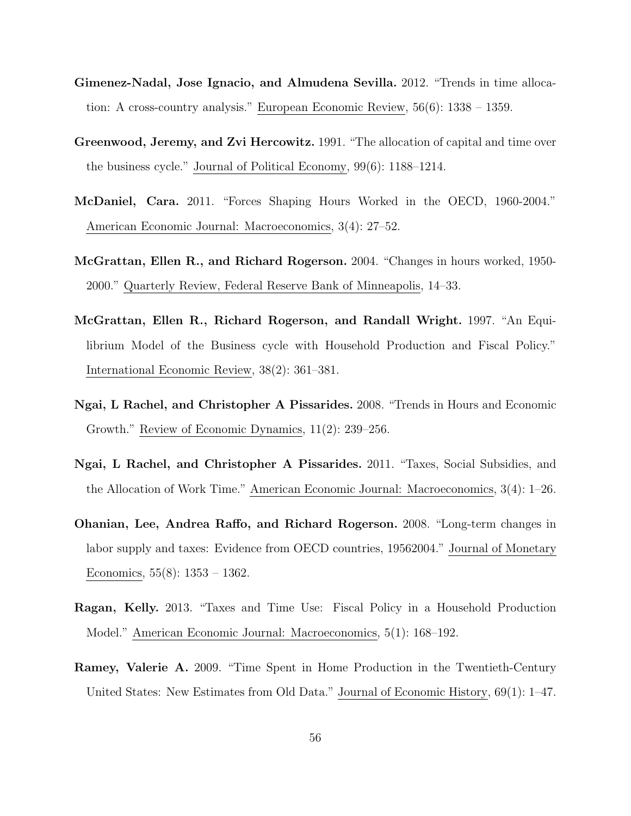- Gimenez-Nadal, Jose Ignacio, and Almudena Sevilla. 2012. "Trends in time allocation: A cross-country analysis." European Economic Review, 56(6): 1338 – 1359.
- Greenwood, Jeremy, and Zvi Hercowitz. 1991. "The allocation of capital and time over the business cycle." Journal of Political Economy, 99(6): 1188–1214.
- McDaniel, Cara. 2011. "Forces Shaping Hours Worked in the OECD, 1960-2004." American Economic Journal: Macroeconomics, 3(4): 27–52.
- McGrattan, Ellen R., and Richard Rogerson. 2004. "Changes in hours worked, 1950- 2000." Quarterly Review, Federal Reserve Bank of Minneapolis, 14–33.
- McGrattan, Ellen R., Richard Rogerson, and Randall Wright. 1997. "An Equilibrium Model of the Business cycle with Household Production and Fiscal Policy." International Economic Review, 38(2): 361–381.
- Ngai, L Rachel, and Christopher A Pissarides. 2008. "Trends in Hours and Economic Growth." Review of Economic Dynamics, 11(2): 239–256.
- Ngai, L Rachel, and Christopher A Pissarides. 2011. "Taxes, Social Subsidies, and the Allocation of Work Time." American Economic Journal: Macroeconomics, 3(4): 1–26.
- Ohanian, Lee, Andrea Raffo, and Richard Rogerson. 2008. "Long-term changes in labor supply and taxes: Evidence from OECD countries, 19562004." Journal of Monetary Economics,  $55(8)$ :  $1353 - 1362$ .
- Ragan, Kelly. 2013. "Taxes and Time Use: Fiscal Policy in a Household Production Model." American Economic Journal: Macroeconomics, 5(1): 168–192.
- Ramey, Valerie A. 2009. "Time Spent in Home Production in the Twentieth-Century United States: New Estimates from Old Data." Journal of Economic History, 69(1): 1–47.